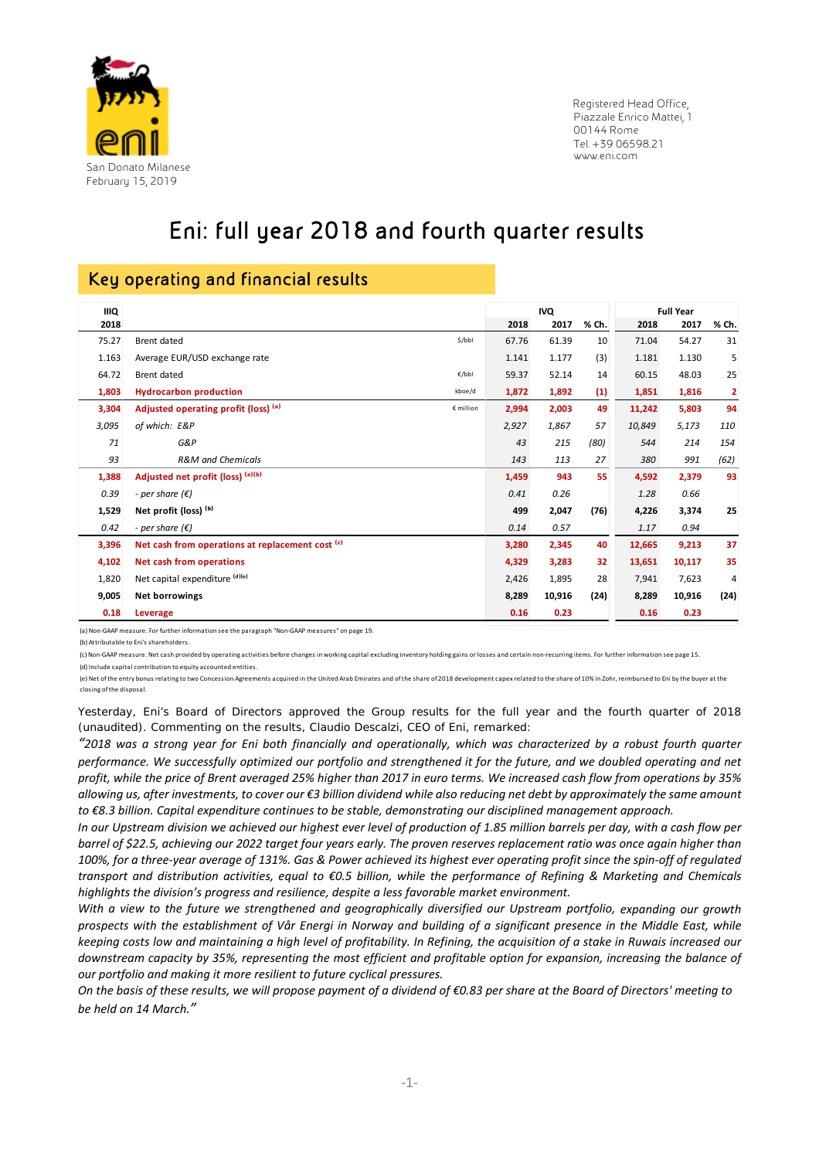

 Registered Head Office, Piazzale Enrico Mattei, 1 00144 Rome Tel. +39 06598.21 www.eni.com

# Eni: full year 2018 and fourth quarter results

### Key operating and financial results

| <b>IIIQ</b> |                                                   |       | <b>IVQ</b> |       | <b>Full Year</b> |        |       |
|-------------|---------------------------------------------------|-------|------------|-------|------------------|--------|-------|
| 2018        |                                                   | 2018  | 2017       | % Ch. | 2018             | 2017   | % Ch. |
| 75.27       | Brent dated<br>\$/bbl                             | 67.76 | 61.39      | 10    | 71.04            | 54.27  | 31    |
| 1.163       | Average EUR/USD exchange rate                     | 1.141 | 1.177      | (3)   | 1.181            | 1.130  | 5     |
| 64.72       | Brent dated<br>€/bbl                              | 59.37 | 52.14      | 14    | 60.15            | 48.03  | 25    |
| 1,803       | <b>Hydrocarbon production</b><br>kboe/d           | 1,872 | 1,892      | (1)   | 1,851            | 1,816  | 2     |
| 3,304       | Adjusted operating profit (loss) (a)<br>€ million | 2,994 | 2,003      | 49    | 11,242           | 5,803  | 94    |
| 3,095       | of which: E&P                                     | 2,927 | 1,867      | 57    | 10,849           | 5,173  | 110   |
| 71          | G&P                                               | 43    | 215        | (80)  | 544              | 214    | 154   |
| 93          | <b>R&amp;M</b> and Chemicals                      | 143   | 113        | 27    | 380              | 991    | (62)  |
| 1,388       | Adjusted net profit (loss) (a)(b)                 | 1,459 | 943        | 55    | 4,592            | 2,379  | 93    |
| 0.39        | - per share $(\epsilon)$                          | 0.41  | 0.26       |       | 1.28             | 0.66   |       |
| 1,529       | Net profit (loss) (b)                             | 499   | 2,047      | (76)  | 4,226            | 3,374  | 25    |
| 0.42        | - per share $(\epsilon)$                          | 0.14  | 0.57       |       | 1.17             | 0.94   |       |
| 3,396       | Net cash from operations at replacement cost (c)  | 3,280 | 2,345      | 40    | 12,665           | 9,213  | 37    |
| 4,102       | Net cash from operations                          | 4,329 | 3,283      | 32    | 13,651           | 10,117 | 35    |
| 1,820       | Net capital expenditure (d)(e)                    | 2,426 | 1,895      | 28    | 7,941            | 7,623  | 4     |
| 9,005       | Net borrowings                                    | 8,289 | 10,916     | (24)  | 8,289            | 10,916 | (24)  |
| 0.18        | Leverage                                          | 0.16  | 0.23       |       | 0.16             | 0.23   |       |

(a)Non‐GAAP measure. For further information see the paragraph "Non‐GAAP measures" on page 19.

(b) Attributable to Eni's shareholders.

(c) Non-GAAP measure. Net cash provided by operating activities before changes in working capital excluding inventory holding gains or losses and certain non-recurring items. For further information see page 15.

(d) Include capital contribution to equity accounted entities. (e) Net of the entry bonus relating to two Concession Agreements acquired in the United Arab Emirates and of the share of 2018 development capex related to the share of 10% in Zohr, reimbursed to Eni by the buyer at the closing ofthe disposal.

Yesterday, Eni's Board of Directors approved the Group results for the full year and the fourth quarter of 2018 (unaudited). Commenting on the results, Claudio Descalzi, CEO of Eni, remarked:

"2018 was a strong year for Eni both financially and operationally, which was characterized by a robust fourth quarter performance. We successfully optimized our portfolio and strengthened it for the future, and we doubled operating and net profit, while the price of Brent averaged 25% higher than 2017 in euro terms. We increased cash flow from operations by 35% allowing us, after investments, to cover our €3 billion dividend while also reducing net debt by approximately the same amount *to €8.3 billion. Capital expenditure continues to be stable, demonstrating our disciplined management approach.*

In our Upstream division we achieved our highest ever level of production of 1.85 million barrels per day, with a cash flow per barrel of \$22.5, achieving our 2022 target four years early. The proven reserves replacement ratio was once again higher than 100%, for a three-year average of 131%. Gas & Power achieved its highest ever operating profit since the spin-off of regulated transport and distribution activities, equal to €0.5 billion, while the performance of Refining & Marketing and Chemicals *highlights the division's progress and resilience, despite a less favorable market environment.*

With a view to the future we strengthened and geographically diversified our Upstream portfolio, expanding our growth prospects with the establishment of Vår Energi in Norway and building of a significant presence in the Middle East, while keeping costs low and maintaining a high level of profitability. In Refining, the acquisition of a stake in Ruwais increased our downstream capacity by 35%, representing the most efficient and profitable option for expansion, increasing the balance of *our portfolio and making it more resilient to future cyclical pressures.* 

On the basis of these results, we will propose payment of a dividend of €0.83 per share at the Board of Directors' meeting to *be held on 14 March."*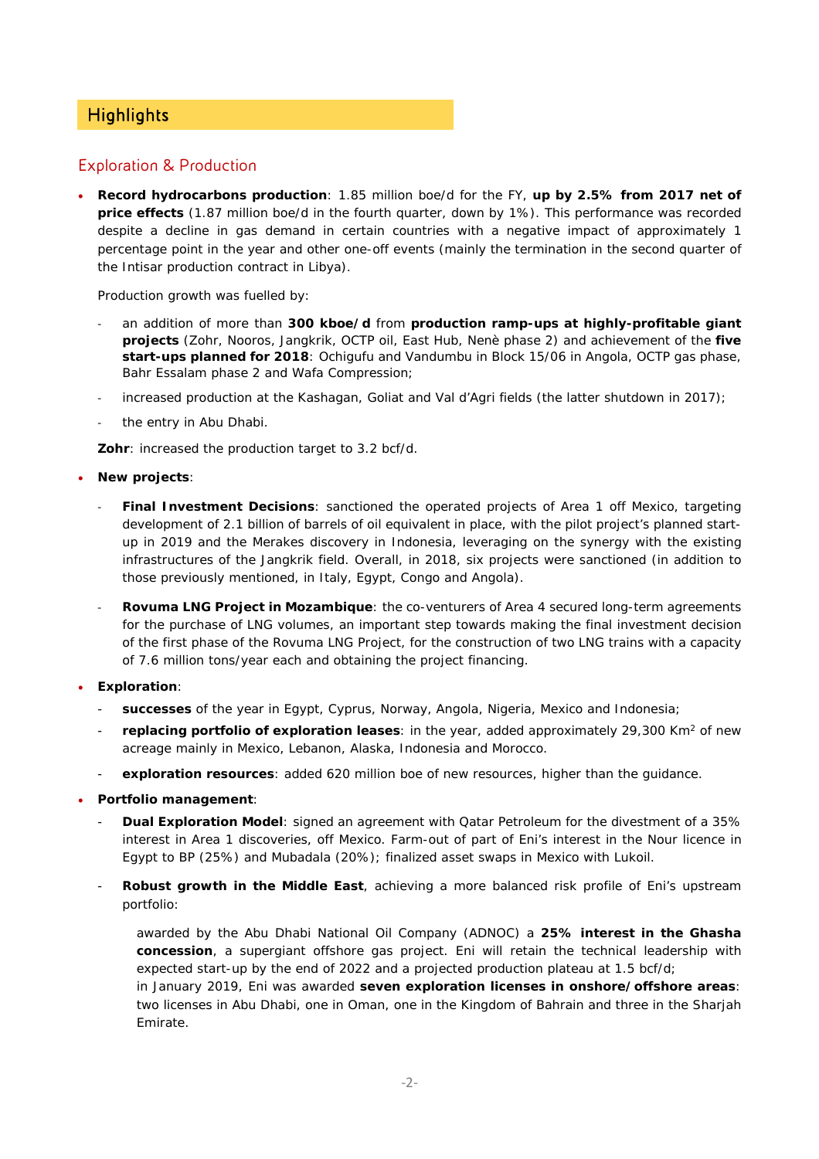## **Highlights**

### Exploration & Production

 **Record hydrocarbons production**: 1.85 million boe/d for the FY, **up by 2.5% from 2017 net of price effects** (1.87 million boe/d in the fourth quarter, down by 1%). This performance was recorded despite a decline in gas demand in certain countries with a negative impact of approximately 1 percentage point in the year and other one-off events (mainly the termination in the second quarter of the Intisar production contract in Libya).

Production growth was fuelled by:

- ‐ an addition of more than **300 kboe/d** from **production ramp-ups at highly-profitable giant projects** (Zohr, Nooros, Jangkrik, OCTP oil, East Hub, Nenè phase 2) and achievement of the **five start-ups planned for 2018**: Ochigufu and Vandumbu in Block 15/06 in Angola, OCTP gas phase, Bahr Essalam phase 2 and Wafa Compression;
- increased production at the Kashagan, Goliat and Val d'Agri fields (the latter shutdown in 2017);
- the entry in Abu Dhabi.

**Zohr**: increased the production target to 3.2 bcf/d.

- **New projects**:
	- ‐ **Final Investment Decisions**: sanctioned the operated projects of Area 1 off Mexico, targeting development of 2.1 billion of barrels of oil equivalent in place, with the pilot project's planned startup in 2019 and the Merakes discovery in Indonesia, leveraging on the synergy with the existing infrastructures of the Jangkrik field. Overall, in 2018, six projects were sanctioned (in addition to those previously mentioned, in Italy, Egypt, Congo and Angola).
	- ‐ **Rovuma LNG Project in Mozambique**: the co-venturers of Area 4 secured long-term agreements for the purchase of LNG volumes, an important step towards making the final investment decision of the first phase of the Rovuma LNG Project, for the construction of two LNG trains with a capacity of 7.6 million tons/year each and obtaining the project financing.
- **Exploration**:
	- successes of the year in Egypt, Cyprus, Norway, Angola, Nigeria, Mexico and Indonesia;
	- replacing portfolio of exploration leases: in the year, added approximately 29,300 Km<sup>2</sup> of new acreage mainly in Mexico, Lebanon, Alaska, Indonesia and Morocco.
	- exploration resources: added 620 million boe of new resources, higher than the guidance.
- **Portfolio management**:
	- **Dual Exploration Model**: signed an agreement with Qatar Petroleum for the divestment of a 35% interest in Area 1 discoveries, off Mexico. Farm-out of part of Eni's interest in the Nour licence in Egypt to BP (25%) and Mubadala (20%); finalized asset swaps in Mexico with Lukoil.
	- **Robust growth in the Middle East**, achieving a more balanced risk profile of Eni's upstream portfolio:

awarded by the Abu Dhabi National Oil Company (ADNOC) a **25% interest in the Ghasha concession**, a supergiant offshore gas project. Eni will retain the technical leadership with expected start-up by the end of 2022 and a projected production plateau at 1.5 bcf/d; in January 2019, Eni was awarded **seven exploration licenses in onshore/offshore areas**:

two licenses in Abu Dhabi, one in Oman, one in the Kingdom of Bahrain and three in the Sharjah Emirate.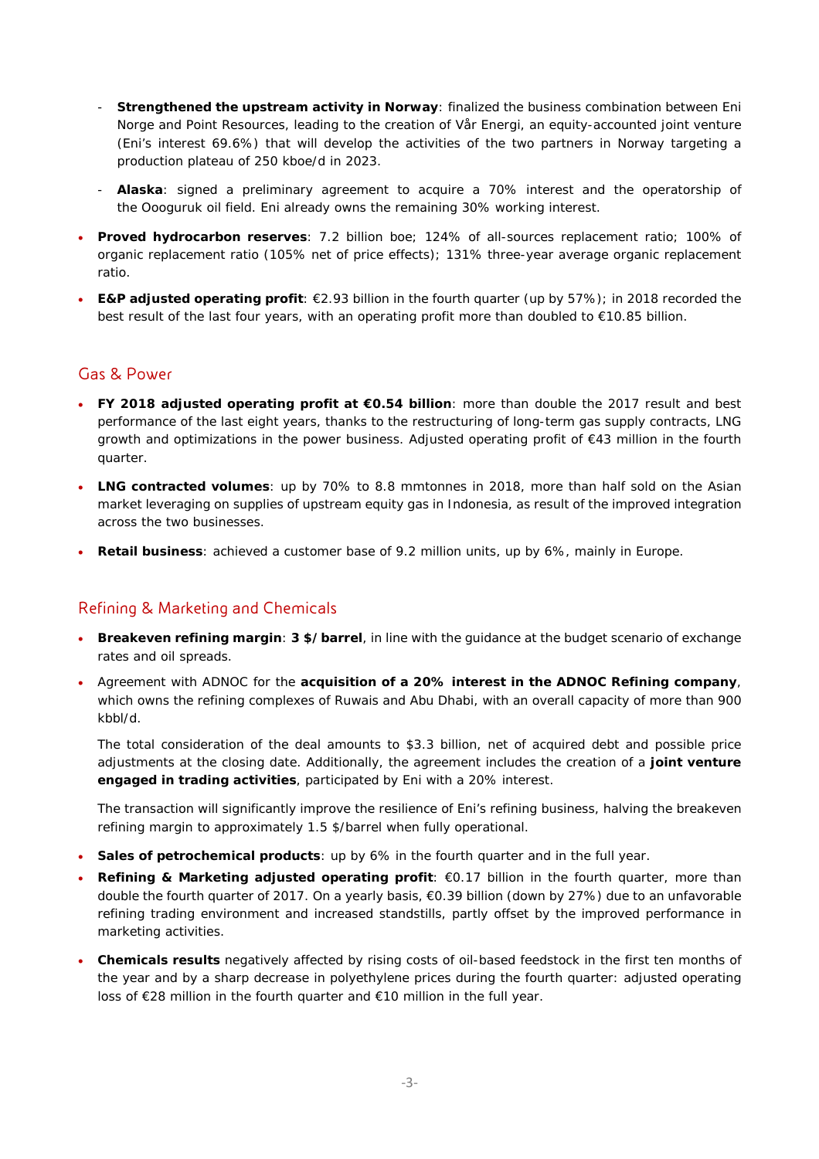- **Strengthened the upstream activity in Norway**: finalized the business combination between Eni Norge and Point Resources, leading to the creation of Vår Energi, an equity-accounted joint venture (Eni's interest 69.6%) that will develop the activities of the two partners in Norway targeting a production plateau of 250 kboe/d in 2023.
- **Alaska**: signed a preliminary agreement to acquire a 70% interest and the operatorship of the Oooguruk oil field. Eni already owns the remaining 30% working interest.
- **Proved hydrocarbon reserves**: 7.2 billion boe; 124% of all-sources replacement ratio; 100% of organic replacement ratio (105% net of price effects); 131% three-year average organic replacement ratio.
- **E&P adjusted operating profit**: €2.93 billion in the fourth quarter (up by 57%); in 2018 recorded the best result of the last four years, with an operating profit more than doubled to €10.85 billion.

### Gas & Power

- **FY 2018 adjusted operating profit at €0.54 billion**: more than double the 2017 result and best performance of the last eight years, thanks to the restructuring of long-term gas supply contracts, LNG growth and optimizations in the power business. Adjusted operating profit of €43 million in the fourth quarter.
- **LNG contracted volumes**: up by 70% to 8.8 mmtonnes in 2018, more than half sold on the Asian market leveraging on supplies of upstream equity gas in Indonesia, as result of the improved integration across the two businesses.
- **Retail business**: achieved a customer base of 9.2 million units, up by 6%, mainly in Europe.

### Refining & Marketing and Chemicals

- **Breakeven refining margin**: **3 \$/barrel**, in line with the guidance at the budget scenario of exchange rates and oil spreads.
- Agreement with ADNOC for the **acquisition of a 20% interest in the ADNOC Refining company**, which owns the refining complexes of Ruwais and Abu Dhabi, with an overall capacity of more than 900 kbbl/d.

The total consideration of the deal amounts to \$3.3 billion, net of acquired debt and possible price adjustments at the closing date. Additionally, the agreement includes the creation of a **joint venture engaged in trading activities**, participated by Eni with a 20% interest.

The transaction will significantly improve the resilience of Eni's refining business, halving the breakeven refining margin to approximately 1.5 \$/barrel when fully operational.

- **Sales of petrochemical products**: up by 6% in the fourth quarter and in the full year.
- Refining & Marketing adjusted operating profit: €0.17 billion in the fourth quarter, more than double the fourth quarter of 2017. On a yearly basis, €0.39 billion (down by 27%) due to an unfavorable refining trading environment and increased standstills, partly offset by the improved performance in marketing activities.
- **Chemicals results** negatively affected by rising costs of oil-based feedstock in the first ten months of the year and by a sharp decrease in polyethylene prices during the fourth quarter: adjusted operating loss of €28 million in the fourth quarter and €10 million in the full year.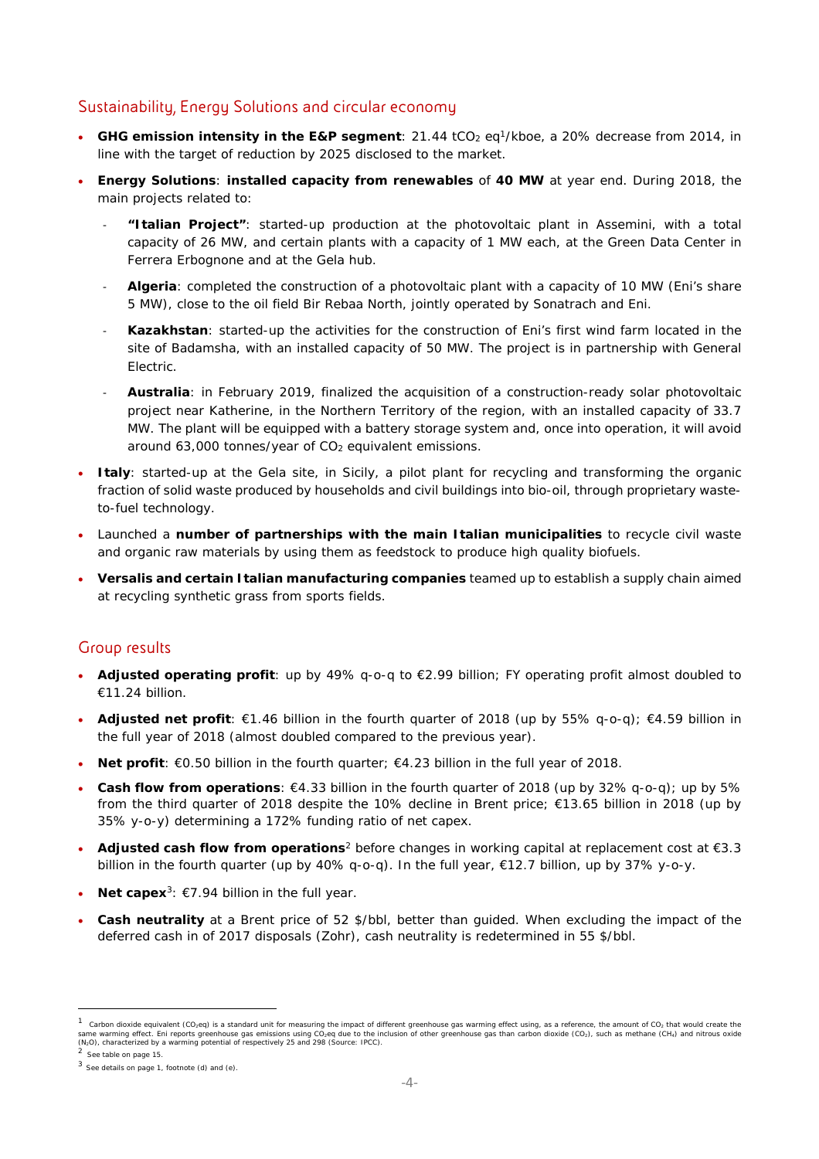### Sustainability, Energy Solutions and circular economy

- GHG emission intensity in the E&P segment: 21.44 tCO<sub>2</sub> eq<sup>1</sup>/kboe, a 20% decrease from 2014, in line with the target of reduction by 2025 disclosed to the market.
- **Energy Solutions**: **installed capacity from renewables** of **40 MW** at year end. During 2018, the main projects related to:
	- ‐ **"Italian Project"**: started-up production at the photovoltaic plant in Assemini, with a total capacity of 26 MW, and certain plants with a capacity of 1 MW each, at the Green Data Center in Ferrera Erbognone and at the Gela hub.
	- ‐ **Algeria**: completed the construction of a photovoltaic plant with a capacity of 10 MW (Eni's share 5 MW), close to the oil field Bir Rebaa North, jointly operated by Sonatrach and Eni.
	- ‐ **Kazakhstan**: started-up the activities for the construction of Eni's first wind farm located in the site of Badamsha, with an installed capacity of 50 MW. The project is in partnership with General Electric.
	- ‐ **Australia**: in February 2019, finalized the acquisition of a construction-ready solar photovoltaic project near Katherine, in the Northern Territory of the region, with an installed capacity of 33.7 MW. The plant will be equipped with a battery storage system and, once into operation, it will avoid around  $63,000$  tonnes/year of  $CO<sub>2</sub>$  equivalent emissions.
- **Italy**: started-up at the Gela site, in Sicily, a pilot plant for recycling and transforming the organic fraction of solid waste produced by households and civil buildings into bio-oil, through proprietary wasteto-fuel technology.
- Launched a **number of partnerships with the main Italian municipalities** to recycle civil waste and organic raw materials by using them as feedstock to produce high quality biofuels.
- **Versalis and certain Italian manufacturing companies** teamed up to establish a supply chain aimed at recycling synthetic grass from sports fields.

### Group results

- **Adjusted operating profit**: up by 49% q-o-q to €2.99 billion; FY operating profit almost doubled to €11.24 billion.
- **Adjusted net profit**: €1.46 billion in the fourth quarter of 2018 (up by 55% q-o-q); €4.59 billion in the full year of 2018 (almost doubled compared to the previous year).
- **Net profit**: €0.50 billion in the fourth quarter; €4.23 billion in the full year of 2018.
- **Cash flow from operations**: €4.33 billion in the fourth quarter of 2018 (up by 32% q-o-q); up by 5% from the third quarter of 2018 despite the 10% decline in Brent price; €13.65 billion in 2018 (up by 35% y-o-y) determining a 172% funding ratio of net capex.
- **Adjusted cash flow from operations**2 before changes in working capital at replacement cost at €3.3 billion in the fourth quarter (up by 40% q-o-q). In the full year, €12.7 billion, up by 37% y-o-y.
- **Net capex**<sup>3</sup>: €7.94 billion in the full year.
- **Cash neutrality** at a Brent price of 52 \$/bbl, better than guided. When excluding the impact of the deferred cash in of 2017 disposals (Zohr), cash neutrality is redetermined in 55 \$/bbl.

Carbon dioxide equivalent (CO<sub>2</sub>eq) is a standard unit for measuring the impact of different greenhouse gas warming effect using, as a reference, the amount of CO<sub>2</sub> that would create the same warming effect. Eni reports greenhouse gas emissions using CO2eq due to the inclusion of other greenhouse gas than carbon dioxide (CO2), such as methane (CH4) and nitrous oxide<br>(N2O), characterized by a warming potent

See table on page 15.

 $3$  See details on page 1, footnote (d) and (e).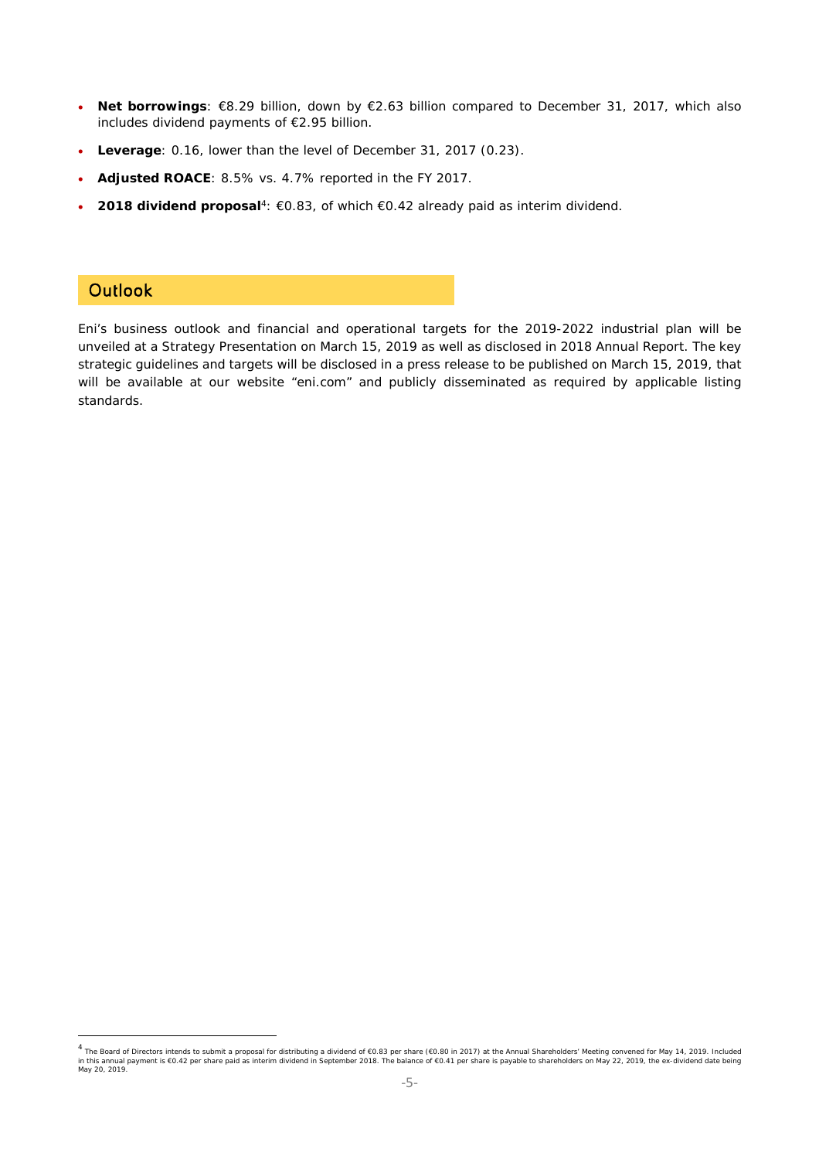- **Net borrowings**: €8.29 billion, down by €2.63 billion compared to December 31, 2017, which also includes dividend payments of €2.95 billion.
- **Leverage**: 0.16, lower than the level of December 31, 2017 (0.23).
- **Adjusted ROACE**: 8.5% vs. 4.7% reported in the FY 2017.
- **2018 dividend proposal**4: €0.83, of which €0.42 already paid as interim dividend.

### **Outlook**

Eni's business outlook and financial and operational targets for the 2019-2022 industrial plan will be unveiled at a Strategy Presentation on March 15, 2019 as well as disclosed in 2018 Annual Report. The key strategic guidelines and targets will be disclosed in a press release to be published on March 15, 2019, that will be available at our website "eni.com" and publicly disseminated as required by applicable listing standards.

<sup>4</sup> The Board of Directors intends to submit a proposal for distributing a dividend of €0.83 per share (€0.80 in 2017) at the Annual Shareholders' Meeting convened for May 14, 2019. Included in this annual payment is €0.42 per share paid as interim dividend in September 2018. The balance of €0.41 per share is payable to shareholders on May 22, 2019, the ex-dividend date being<br>May 20, 2019.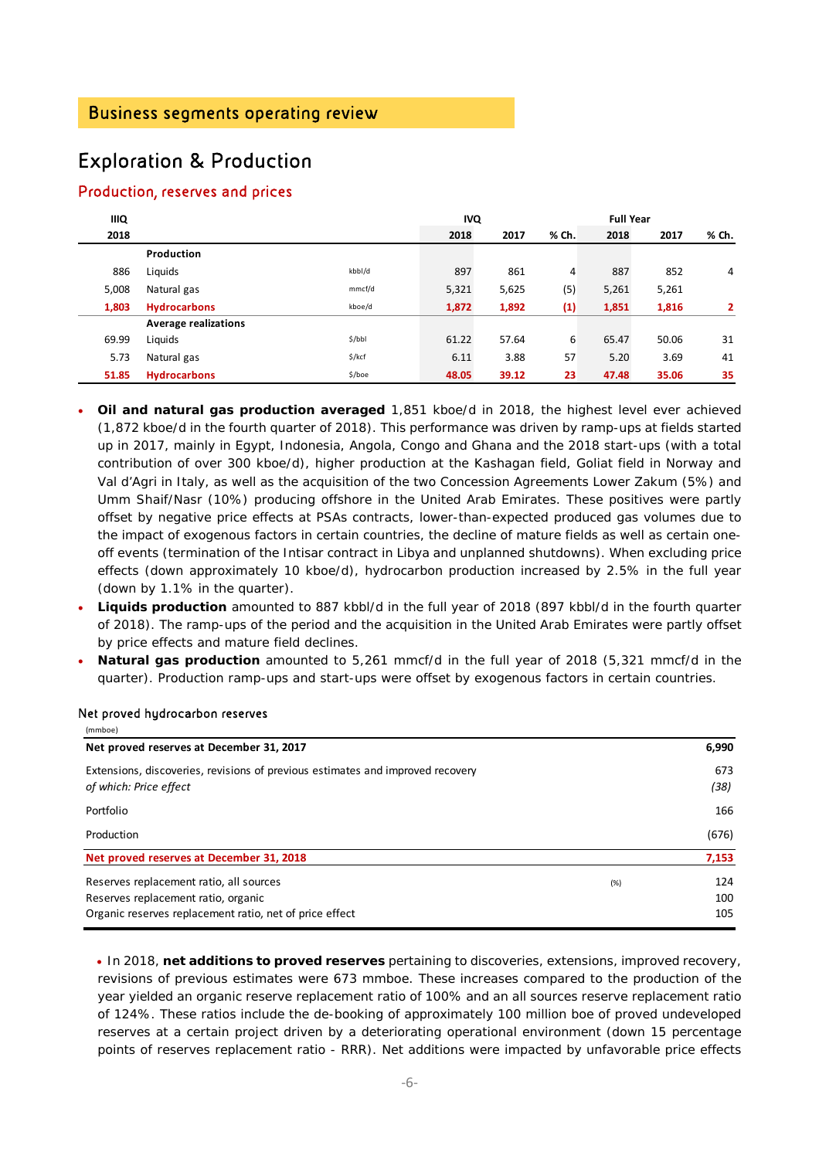## Exploration & Production

### Production, reserves and prices

| <b>IIIQ</b> |                             | <b>IVQ</b> |       |       | <b>Full Year</b> |       |       |       |
|-------------|-----------------------------|------------|-------|-------|------------------|-------|-------|-------|
| 2018        |                             |            | 2018  | 2017  | % Ch.            | 2018  | 2017  | % Ch. |
|             | Production                  |            |       |       |                  |       |       |       |
| 886         | Liquids                     | kbbl/d     | 897   | 861   | 4                | 887   | 852   | 4     |
| 5,008       | Natural gas                 | mmcf/d     | 5,321 | 5,625 | (5)              | 5,261 | 5,261 |       |
| 1,803       | <b>Hydrocarbons</b>         | kboe/d     | 1,872 | 1,892 | (1)              | 1,851 | 1,816 | 2     |
|             | <b>Average realizations</b> |            |       |       |                  |       |       |       |
| 69.99       | Liquids                     | \$/bbl     | 61.22 | 57.64 | 6                | 65.47 | 50.06 | 31    |
| 5.73        | Natural gas                 | $$$ /kcf   | 6.11  | 3.88  | 57               | 5.20  | 3.69  | 41    |
| 51.85       | <b>Hydrocarbons</b>         | \$/boe     | 48.05 | 39.12 | 23               | 47.48 | 35.06 | 35    |

- **Oil and natural gas production averaged** 1,851 kboe/d in 2018, the highest level ever achieved (1,872 kboe/d in the fourth quarter of 2018). This performance was driven by ramp-ups at fields started up in 2017, mainly in Egypt, Indonesia, Angola, Congo and Ghana and the 2018 start-ups (with a total contribution of over 300 kboe/d), higher production at the Kashagan field, Goliat field in Norway and Val d'Agri in Italy, as well as the acquisition of the two Concession Agreements Lower Zakum (5%) and Umm Shaif/Nasr (10%) producing offshore in the United Arab Emirates. These positives were partly offset by negative price effects at PSAs contracts, lower-than-expected produced gas volumes due to the impact of exogenous factors in certain countries, the decline of mature fields as well as certain oneoff events (termination of the Intisar contract in Libya and unplanned shutdowns). When excluding price effects (down approximately 10 kboe/d), hydrocarbon production increased by 2.5% in the full year (down by 1.1% in the quarter).
- **Liquids production** amounted to 887 kbbl/d in the full year of 2018 (897 kbbl/d in the fourth quarter of 2018). The ramp-ups of the period and the acquisition in the United Arab Emirates were partly offset by price effects and mature field declines.
- **Natural gas production** amounted to 5,261 mmcf/d in the full year of 2018 (5,321 mmcf/d in the quarter). Production ramp-ups and start-ups were offset by exogenous factors in certain countries.

| (mmboe)                                                                                                                                   |      |                   |
|-------------------------------------------------------------------------------------------------------------------------------------------|------|-------------------|
| Net proved reserves at December 31, 2017                                                                                                  |      | 6,990             |
| Extensions, discoveries, revisions of previous estimates and improved recovery<br>of which: Price effect                                  |      | 673<br>(38)       |
| Portfolio                                                                                                                                 |      | 166               |
| Production                                                                                                                                |      | (676)             |
| Net proved reserves at December 31, 2018                                                                                                  |      | 7,153             |
| Reserves replacement ratio, all sources<br>Reserves replacement ratio, organic<br>Organic reserves replacement ratio, net of price effect | (% ) | 124<br>100<br>105 |

#### Net proved hydrocarbon reserves

 In 2018, **net additions to proved reserves** pertaining to discoveries, extensions, improved recovery, revisions of previous estimates were 673 mmboe. These increases compared to the production of the year yielded an organic reserve replacement ratio of 100% and an all sources reserve replacement ratio of 124%. These ratios include the de-booking of approximately 100 million boe of proved undeveloped reserves at a certain project driven by a deteriorating operational environment (down 15 percentage points of reserves replacement ratio - RRR). Net additions were impacted by unfavorable price effects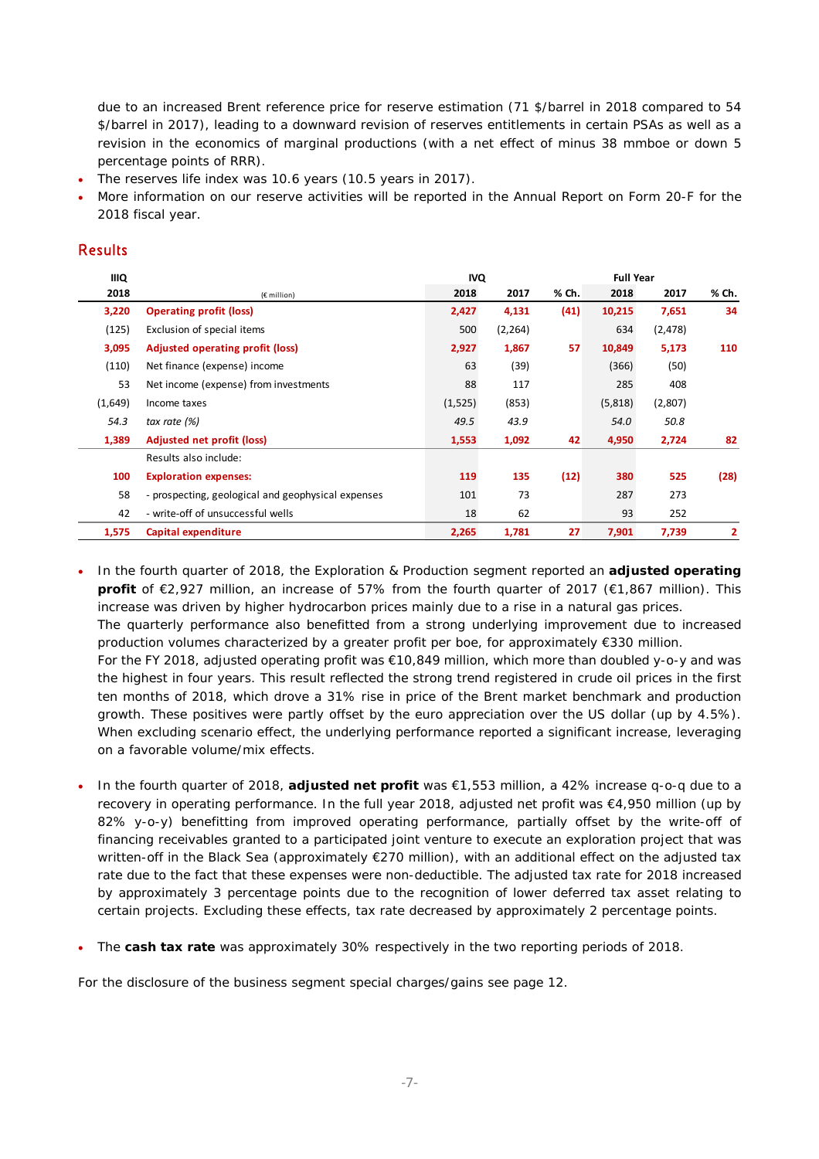due to an increased Brent reference price for reserve estimation (71 \$/barrel in 2018 compared to 54 \$/barrel in 2017), leading to a downward revision of reserves entitlements in certain PSAs as well as a revision in the economics of marginal productions (with a net effect of minus 38 mmboe or down 5 percentage points of RRR).

- The reserves life index was 10.6 years (10.5 years in 2017).
- More information on our reserve activities will be reported in the Annual Report on Form 20-F for the 2018 fiscal year.

### Results

| <b>IIIQ</b> |                                                    | <b>IVQ</b> |          | <b>Full Year</b> |         |          |       |
|-------------|----------------------------------------------------|------------|----------|------------------|---------|----------|-------|
| 2018        | $(E$ million)                                      | 2018       | 2017     | % Ch.            | 2018    | 2017     | % Ch. |
| 3,220       | <b>Operating profit (loss)</b>                     | 2,427      | 4,131    | (41)             | 10,215  | 7,651    | 34    |
| (125)       | Exclusion of special items                         | 500        | (2, 264) |                  | 634     | (2, 478) |       |
| 3,095       | Adjusted operating profit (loss)                   | 2,927      | 1,867    | 57               | 10,849  | 5,173    | 110   |
| (110)       | Net finance (expense) income                       | 63         | (39)     |                  | (366)   | (50)     |       |
| 53          | Net income (expense) from investments              | 88         | 117      |                  | 285     | 408      |       |
| (1,649)     | Income taxes                                       | (1, 525)   | (853)    |                  | (5,818) | (2,807)  |       |
| 54.3        | tax rate $(%)$                                     | 49.5       | 43.9     |                  | 54.0    | 50.8     |       |
| 1,389       | <b>Adjusted net profit (loss)</b>                  | 1,553      | 1,092    | 42               | 4,950   | 2,724    | 82    |
|             | Results also include:                              |            |          |                  |         |          |       |
| 100         | <b>Exploration expenses:</b>                       | 119        | 135      | (12)             | 380     | 525      | (28)  |
| 58          | - prospecting, geological and geophysical expenses | 101        | 73       |                  | 287     | 273      |       |
| 42          | - write-off of unsuccessful wells                  | 18         | 62       |                  | 93      | 252      |       |
| 1,575       | Capital expenditure                                | 2,265      | 1,781    | 27               | 7,901   | 7,739    | 2     |

 In the fourth quarter of 2018, the Exploration & Production segment reported an **adjusted operating profit** of €2,927 million, an increase of 57% from the fourth quarter of 2017 (€1,867 million). This increase was driven by higher hydrocarbon prices mainly due to a rise in a natural gas prices. The quarterly performance also benefitted from a strong underlying improvement due to increased production volumes characterized by a greater profit per boe, for approximately €330 million. For the FY 2018, adjusted operating profit was €10,849 million, which more than doubled y-o-y and was the highest in four years. This result reflected the strong trend registered in crude oil prices in the first ten months of 2018, which drove a 31% rise in price of the Brent market benchmark and production growth. These positives were partly offset by the euro appreciation over the US dollar (up by 4.5%). When excluding scenario effect, the underlying performance reported a significant increase, leveraging on a favorable volume/mix effects.

- In the fourth quarter of 2018, **adjusted net profit** was €1,553 million, a 42% increase q-o-q due to a recovery in operating performance. In the full year 2018, adjusted net profit was €4,950 million (up by 82% y-o-y) benefitting from improved operating performance, partially offset by the write-off of financing receivables granted to a participated joint venture to execute an exploration project that was written-off in the Black Sea (approximately €270 million), with an additional effect on the adjusted tax rate due to the fact that these expenses were non-deductible. The adjusted tax rate for 2018 increased by approximately 3 percentage points due to the recognition of lower deferred tax asset relating to certain projects. Excluding these effects, tax rate decreased by approximately 2 percentage points.
- The **cash tax rate** was approximately 30% respectively in the two reporting periods of 2018.

For the disclosure of the business segment special charges/gains see page 12.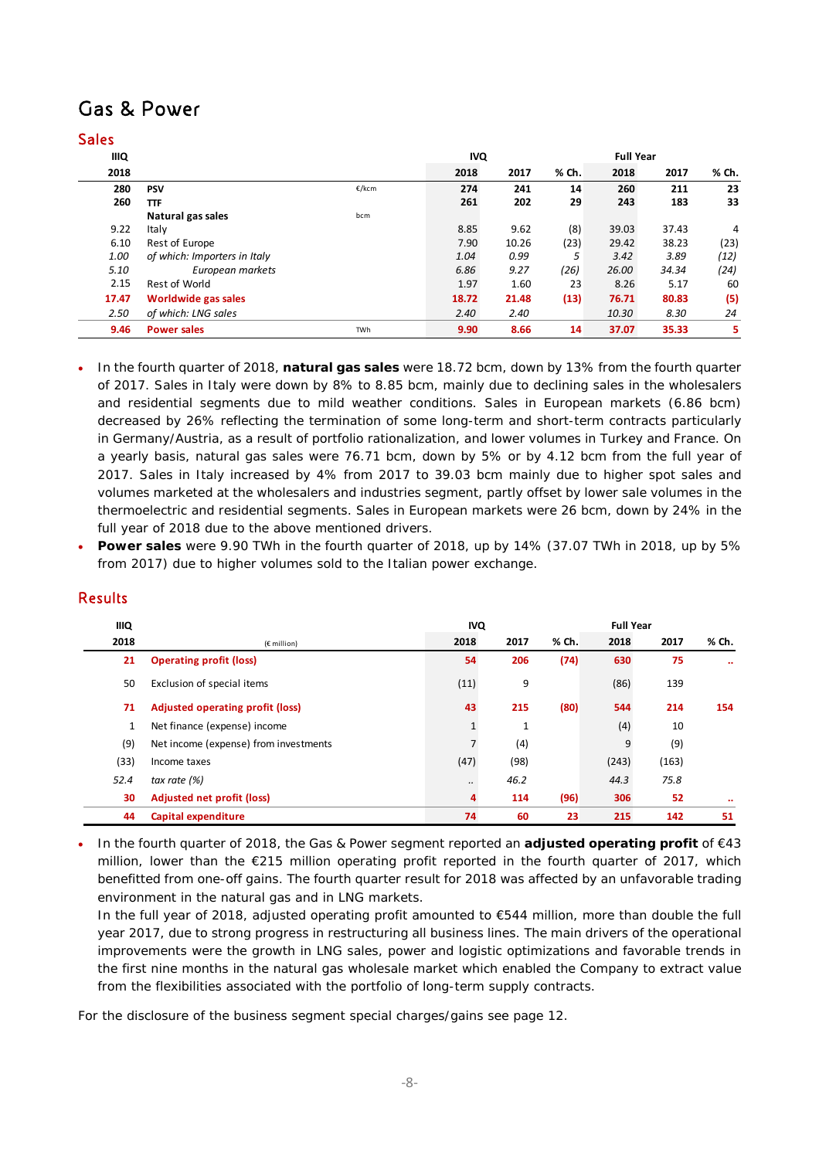## Gas & Power

### Sales

| <b>IIIQ</b> |                              |            | <b>IVQ</b> |       | <b>Full Year</b> |       |       |       |
|-------------|------------------------------|------------|------------|-------|------------------|-------|-------|-------|
| 2018        |                              |            | 2018       | 2017  | % Ch.            | 2018  | 2017  | % Ch. |
| 280         | <b>PSV</b>                   | €/kcm      | 274        | 241   | 14               | 260   | 211   | 23    |
| 260         | <b>TTF</b>                   |            | 261        | 202   | 29               | 243   | 183   | 33    |
|             | Natural gas sales            | bcm        |            |       |                  |       |       |       |
| 9.22        | Italy                        |            | 8.85       | 9.62  | (8)              | 39.03 | 37.43 | 4     |
| 6.10        | Rest of Europe               |            | 7.90       | 10.26 | (23)             | 29.42 | 38.23 | (23)  |
| 1.00        | of which: Importers in Italy |            | 1.04       | 0.99  | 5                | 3.42  | 3.89  | (12)  |
| 5.10        | European markets             |            | 6.86       | 9.27  | (26)             | 26.00 | 34.34 | (24)  |
| 2.15        | Rest of World                |            | 1.97       | 1.60  | 23               | 8.26  | 5.17  | 60    |
| 17.47       | Worldwide gas sales          |            | 18.72      | 21.48 | (13)             | 76.71 | 80.83 | (5)   |
| 2.50        | of which: LNG sales          |            | 2.40       | 2.40  |                  | 10.30 | 8.30  | 24    |
| 9.46        | <b>Power sales</b>           | <b>TWh</b> | 9.90       | 8.66  | 14               | 37.07 | 35.33 | 5     |

- In the fourth quarter of 2018, **natural gas sales** were 18.72 bcm, down by 13% from the fourth quarter of 2017. Sales in Italy were down by 8% to 8.85 bcm, mainly due to declining sales in the wholesalers and residential segments due to mild weather conditions. Sales in European markets (6.86 bcm) decreased by 26% reflecting the termination of some long-term and short-term contracts particularly in Germany/Austria, as a result of portfolio rationalization, and lower volumes in Turkey and France. On a yearly basis, natural gas sales were 76.71 bcm, down by 5% or by 4.12 bcm from the full year of 2017. Sales in Italy increased by 4% from 2017 to 39.03 bcm mainly due to higher spot sales and volumes marketed at the wholesalers and industries segment, partly offset by lower sale volumes in the thermoelectric and residential segments. Sales in European markets were 26 bcm, down by 24% in the full year of 2018 due to the above mentioned drivers.
- **Power sales** were 9.90 TWh in the fourth quarter of 2018, up by 14% (37.07 TWh in 2018, up by 5% from 2017) due to higher volumes sold to the Italian power exchange.

| <b>IIIQ</b> |                                         | <b>IVQ</b> |              |       |       |       |                      |
|-------------|-----------------------------------------|------------|--------------|-------|-------|-------|----------------------|
| 2018        | $(E$ million)                           | 2018       | 2017         | % Ch. | 2018  | 2017  | % Ch.                |
| 21          | <b>Operating profit (loss)</b>          | 54         | 206          | (74)  | 630   | 75    | $\ddot{\phantom{0}}$ |
| 50          | Exclusion of special items              | (11)       | 9            |       | (86)  | 139   |                      |
| 71          | <b>Adjusted operating profit (loss)</b> | 43         | 215          | (80)  | 544   | 214   | 154                  |
| 1           | Net finance (expense) income            | 1          | $\mathbf{1}$ |       | (4)   | 10    |                      |
| (9)         | Net income (expense) from investments   | 7          | (4)          |       | 9     | (9)   |                      |
| (33)        | Income taxes                            | (47)       | (98)         |       | (243) | (163) |                      |
| 52.4        | tax rate $(%)$                          |            | 46.2         |       | 44.3  | 75.8  |                      |
| 30          | <b>Adjusted net profit (loss)</b>       | 4          | 114          | (96)  | 306   | 52    | $\bullet\bullet$     |
| 44          | Capital expenditure                     | 74         | 60           | 23    | 215   | 142   | 51                   |

### Results

 In the fourth quarter of 2018, the Gas & Power segment reported an **adjusted operating profit** of €43 million, lower than the €215 million operating profit reported in the fourth quarter of 2017, which benefitted from one-off gains. The fourth quarter result for 2018 was affected by an unfavorable trading environment in the natural gas and in LNG markets.

In the full year of 2018, adjusted operating profit amounted to €544 million, more than double the full year 2017, due to strong progress in restructuring all business lines. The main drivers of the operational improvements were the growth in LNG sales, power and logistic optimizations and favorable trends in the first nine months in the natural gas wholesale market which enabled the Company to extract value from the flexibilities associated with the portfolio of long-term supply contracts.

For the disclosure of the business segment special charges/gains see page 12.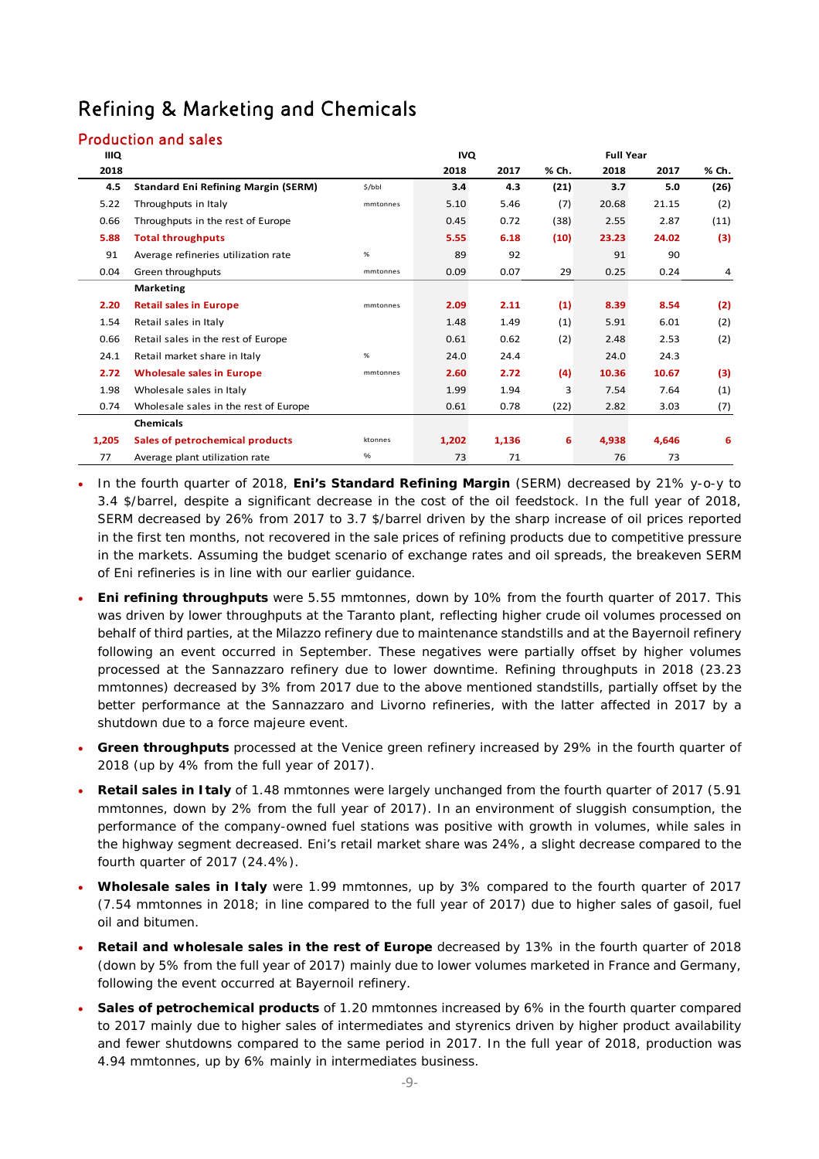## Refining & Marketing and Chemicals

### Production and sales

| <b>IIIQ</b> |                                            |          | <b>IVQ</b> |       |       |       |       |       |
|-------------|--------------------------------------------|----------|------------|-------|-------|-------|-------|-------|
| 2018        |                                            |          | 2018       | 2017  | % Ch. | 2018  | 2017  | % Ch. |
| 4.5         | <b>Standard Eni Refining Margin (SERM)</b> | \$/bbI   | 3.4        | 4.3   | (21)  | 3.7   | 5.0   | (26)  |
| 5.22        | Throughputs in Italy                       | mmtonnes | 5.10       | 5.46  | (7)   | 20.68 | 21.15 | (2)   |
| 0.66        | Throughputs in the rest of Europe          |          | 0.45       | 0.72  | (38)  | 2.55  | 2.87  | (11)  |
| 5.88        | <b>Total throughputs</b>                   |          | 5.55       | 6.18  | (10)  | 23.23 | 24.02 | (3)   |
| 91          | Average refineries utilization rate        | %        | 89         | 92    |       | 91    | 90    |       |
| 0.04        | Green throughputs<br>mmtonnes              |          | 0.09       | 0.07  | 29    | 0.25  | 0.24  | 4     |
|             | <b>Marketing</b>                           |          |            |       |       |       |       |       |
| 2.20        | <b>Retail sales in Europe</b>              | mmtonnes | 2.09       | 2.11  | (1)   | 8.39  | 8.54  | (2)   |
| 1.54        | Retail sales in Italy                      |          | 1.48       | 1.49  | (1)   | 5.91  | 6.01  | (2)   |
| 0.66        | Retail sales in the rest of Europe         |          | 0.61       | 0.62  | (2)   | 2.48  | 2.53  | (2)   |
| 24.1        | Retail market share in Italy               | %        | 24.0       | 24.4  |       | 24.0  | 24.3  |       |
| 2.72        | <b>Wholesale sales in Europe</b>           | mmtonnes | 2.60       | 2.72  | (4)   | 10.36 | 10.67 | (3)   |
| 1.98        | Wholesale sales in Italy                   |          | 1.99       | 1.94  | 3     | 7.54  | 7.64  | (1)   |
| 0.74        | Wholesale sales in the rest of Europe      |          | 0.61       | 0.78  | (22)  | 2.82  | 3.03  | (7)   |
|             | <b>Chemicals</b>                           |          |            |       |       |       |       |       |
| 1,205       | Sales of petrochemical products            | ktonnes  | 1,202      | 1,136 | 6     | 4,938 | 4,646 | 6     |
| 77          | Average plant utilization rate             | %        | 73         | 71    |       | 76    | 73    |       |

- In the fourth quarter of 2018, **Eni's Standard Refining Margin** (SERM) decreased by 21% y-o-y to 3.4 \$/barrel, despite a significant decrease in the cost of the oil feedstock. In the full year of 2018, SERM decreased by 26% from 2017 to 3.7 \$/barrel driven by the sharp increase of oil prices reported in the first ten months, not recovered in the sale prices of refining products due to competitive pressure in the markets. Assuming the budget scenario of exchange rates and oil spreads, the breakeven SERM of Eni refineries is in line with our earlier guidance.
- **Eni refining throughputs** were 5.55 mmtonnes, down by 10% from the fourth quarter of 2017. This was driven by lower throughputs at the Taranto plant, reflecting higher crude oil volumes processed on behalf of third parties, at the Milazzo refinery due to maintenance standstills and at the Bayernoil refinery following an event occurred in September. These negatives were partially offset by higher volumes processed at the Sannazzaro refinery due to lower downtime. Refining throughputs in 2018 (23.23 mmtonnes) decreased by 3% from 2017 due to the above mentioned standstills, partially offset by the better performance at the Sannazzaro and Livorno refineries, with the latter affected in 2017 by a shutdown due to a force majeure event.
- **Green throughputs** processed at the Venice green refinery increased by 29% in the fourth quarter of 2018 (up by 4% from the full year of 2017).
- **Retail sales in Italy** of 1.48 mmtonnes were largely unchanged from the fourth quarter of 2017 (5.91 mmtonnes, down by 2% from the full year of 2017). In an environment of sluggish consumption, the performance of the company-owned fuel stations was positive with growth in volumes, while sales in the highway segment decreased. Eni's retail market share was 24%, a slight decrease compared to the fourth quarter of 2017 (24.4%).
- **Wholesale sales in Italy** were 1.99 mmtonnes, up by 3% compared to the fourth quarter of 2017 (7.54 mmtonnes in 2018; in line compared to the full year of 2017) due to higher sales of gasoil, fuel oil and bitumen.
- **Retail and wholesale sales in the rest of Europe** decreased by 13% in the fourth quarter of 2018 (down by 5% from the full year of 2017) mainly due to lower volumes marketed in France and Germany, following the event occurred at Bayernoil refinery.
- **Sales of petrochemical products** of 1.20 mmtonnes increased by 6% in the fourth quarter compared to 2017 mainly due to higher sales of intermediates and styrenics driven by higher product availability and fewer shutdowns compared to the same period in 2017. In the full year of 2018, production was 4.94 mmtonnes, up by 6% mainly in intermediates business.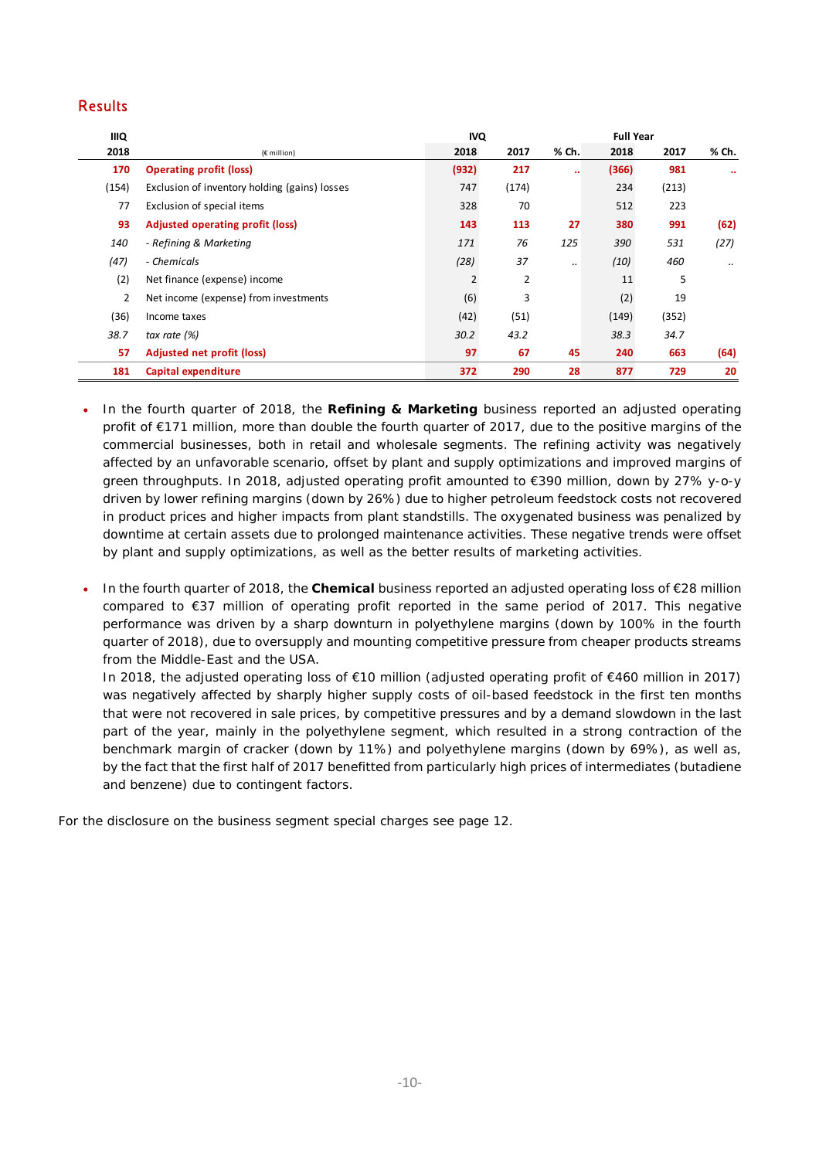### Results

| <b>IIIQ</b> |                                               | <b>IVQ</b>     |                | <b>Full Year</b> |       |       |                  |
|-------------|-----------------------------------------------|----------------|----------------|------------------|-------|-------|------------------|
| 2018        | $(E$ million)                                 | 2018           | 2017           | % Ch.            | 2018  | 2017  | % Ch.            |
| 170         | <b>Operating profit (loss)</b>                | (932)          | 217            | $\bullet\bullet$ | (366) | 981   | $\bullet\bullet$ |
| (154)       | Exclusion of inventory holding (gains) losses | 747            | (174)          |                  | 234   | (213) |                  |
| 77          | Exclusion of special items                    | 328            | 70             |                  | 512   | 223   |                  |
| 93          | Adjusted operating profit (loss)              | 143            | 113            | 27               | 380   | 991   | (62)             |
| 140         | - Refining & Marketing                        | 171            | 76             | 125              | 390   | 531   | (27)             |
| (47)        | - Chemicals                                   | (28)           | 37             |                  | (10)  | 460   | $\ddotsc$        |
| (2)         | Net finance (expense) income                  | $\overline{2}$ | $\overline{2}$ |                  | 11    | 5     |                  |
| 2           | Net income (expense) from investments         | (6)            | 3              |                  | (2)   | 19    |                  |
| (36)        | Income taxes                                  | (42)           | (51)           |                  | (149) | (352) |                  |
| 38.7        | tax rate $(%)$                                | 30.2           | 43.2           |                  | 38.3  | 34.7  |                  |
| 57          | <b>Adjusted net profit (loss)</b>             | 97             | 67             | 45               | 240   | 663   | (64)             |
| 181         | Capital expenditure                           | 372            | 290            | 28               | 877   | 729   | 20               |

- In the fourth quarter of 2018, the **Refining & Marketing** business reported an adjusted operating profit of €171 million, more than double the fourth quarter of 2017, due to the positive margins of the commercial businesses, both in retail and wholesale segments. The refining activity was negatively affected by an unfavorable scenario, offset by plant and supply optimizations and improved margins of green throughputs. In 2018, adjusted operating profit amounted to €390 million, down by 27% y-o-y driven by lower refining margins (down by 26%) due to higher petroleum feedstock costs not recovered in product prices and higher impacts from plant standstills. The oxygenated business was penalized by downtime at certain assets due to prolonged maintenance activities. These negative trends were offset by plant and supply optimizations, as well as the better results of marketing activities.
- In the fourth quarter of 2018, the **Chemical** business reported an adjusted operating loss of €28 million compared to €37 million of operating profit reported in the same period of 2017. This negative performance was driven by a sharp downturn in polyethylene margins (down by 100% in the fourth quarter of 2018), due to oversupply and mounting competitive pressure from cheaper products streams from the Middle-East and the USA.

In 2018, the adjusted operating loss of €10 million (adjusted operating profit of €460 million in 2017) was negatively affected by sharply higher supply costs of oil-based feedstock in the first ten months that were not recovered in sale prices, by competitive pressures and by a demand slowdown in the last part of the year, mainly in the polyethylene segment, which resulted in a strong contraction of the benchmark margin of cracker (down by 11%) and polyethylene margins (down by 69%), as well as, by the fact that the first half of 2017 benefitted from particularly high prices of intermediates (butadiene and benzene) due to contingent factors.

For the disclosure on the business segment special charges see page 12.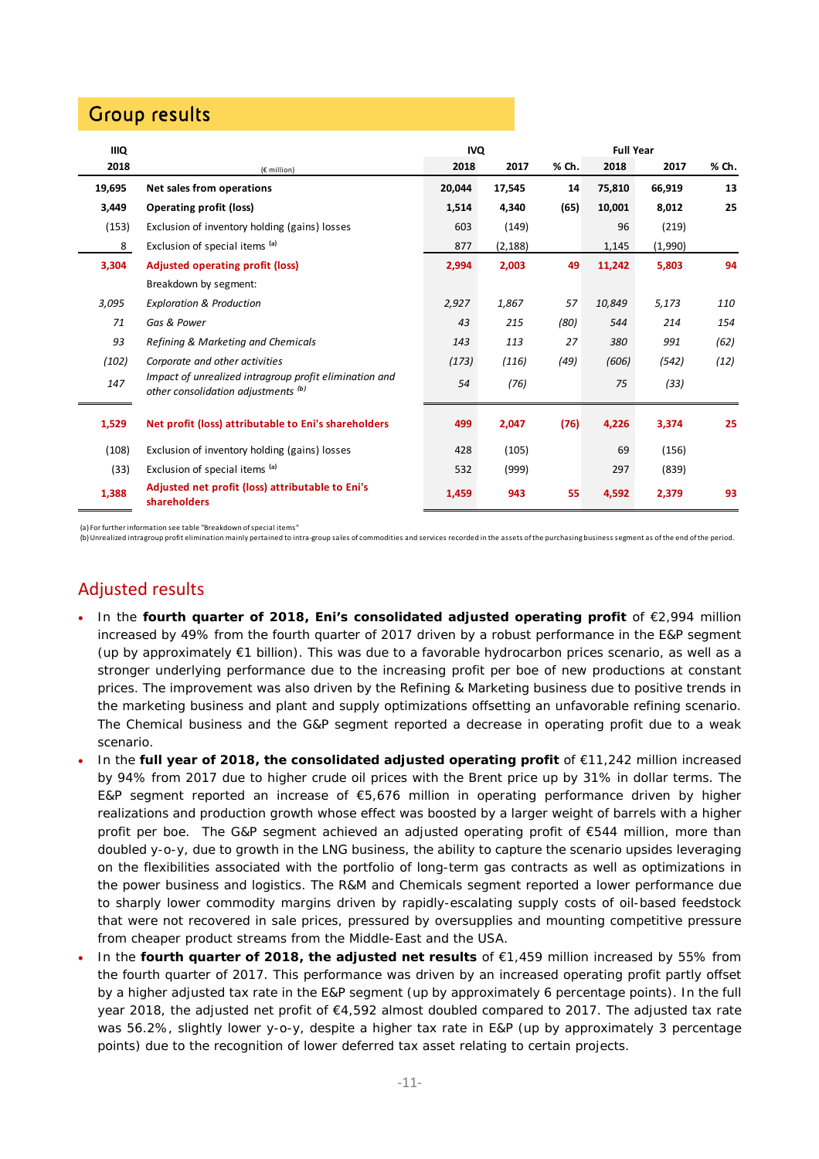## Group results

| <b>IIIQ</b> |                                                                                               | <b>Full Year</b><br><b>IVQ</b> |          |       |        |         |       |
|-------------|-----------------------------------------------------------------------------------------------|--------------------------------|----------|-------|--------|---------|-------|
| 2018        | $(E \text{ million})$                                                                         | 2018                           | 2017     | % Ch. | 2018   | 2017    | % Ch. |
| 19,695      | Net sales from operations                                                                     | 20,044                         | 17,545   | 14    | 75,810 | 66,919  | 13    |
| 3,449       | <b>Operating profit (loss)</b>                                                                | 1,514                          | 4,340    | (65)  | 10,001 | 8,012   | 25    |
| (153)       | Exclusion of inventory holding (gains) losses                                                 | 603                            | (149)    |       | 96     | (219)   |       |
| 8           | Exclusion of special items (a)                                                                | 877                            | (2, 188) |       | 1,145  | (1,990) |       |
| 3,304       | <b>Adjusted operating profit (loss)</b>                                                       |                                | 2,003    | 49    | 11,242 | 5,803   | 94    |
|             | Breakdown by segment:                                                                         |                                |          |       |        |         |       |
| 3,095       | <b>Exploration &amp; Production</b>                                                           | 2,927                          | 1,867    | 57    | 10,849 | 5,173   | 110   |
| 71          | Gas & Power                                                                                   | 43                             | 215      | (80)  | 544    | 214     | 154   |
| 93          | Refining & Marketing and Chemicals                                                            | 143                            | 113      | 27    | 380    | 991     | (62)  |
| (102)       | Corporate and other activities                                                                | (173)                          | (116)    | (49)  | (606)  | (542)   | (12)  |
| 147         | Impact of unrealized intragroup profit elimination and<br>other consolidation adjustments (b) |                                | (76)     |       | 75     | (33)    |       |
| 1,529       | Net profit (loss) attributable to Eni's shareholders                                          | 499                            | 2,047    | (76)  | 4,226  | 3,374   | 25    |
| (108)       | Exclusion of inventory holding (gains) losses                                                 | 428                            | (105)    |       | 69     | (156)   |       |
| (33)        | Exclusion of special items (a)                                                                | 532                            | (999)    |       | 297    | (839)   |       |
| 1,388       | Adjusted net profit (loss) attributable to Eni's<br>shareholders                              | 1,459                          | 943      | 55    | 4,592  | 2,379   | 93    |

(a) For further information see table "Breakdown ofspecial items"

(b) Unrealized intragroup profit elimination mainly pertained to intra-group sales of commodities and services recorded in the assets of the purchasing business segment as of the end of the period.

## Adjusted results

- In the **fourth quarter of 2018, Eni's consolidated adjusted operating profit** of €2,994 million increased by 49% from the fourth quarter of 2017 driven by a robust performance in the E&P segment (up by approximately €1 billion). This was due to a favorable hydrocarbon prices scenario, as well as a stronger underlying performance due to the increasing profit per boe of new productions at constant prices. The improvement was also driven by the Refining & Marketing business due to positive trends in the marketing business and plant and supply optimizations offsetting an unfavorable refining scenario. The Chemical business and the G&P segment reported a decrease in operating profit due to a weak scenario.
- In the **full year of 2018, the consolidated adjusted operating profit** of €11,242 million increased by 94% from 2017 due to higher crude oil prices with the Brent price up by 31% in dollar terms. The E&P segment reported an increase of €5,676 million in operating performance driven by higher realizations and production growth whose effect was boosted by a larger weight of barrels with a higher profit per boe. The G&P segment achieved an adjusted operating profit of €544 million, more than doubled y-o-y, due to growth in the LNG business, the ability to capture the scenario upsides leveraging on the flexibilities associated with the portfolio of long-term gas contracts as well as optimizations in the power business and logistics. The R&M and Chemicals segment reported a lower performance due to sharply lower commodity margins driven by rapidly-escalating supply costs of oil-based feedstock that were not recovered in sale prices, pressured by oversupplies and mounting competitive pressure from cheaper product streams from the Middle-East and the USA.
- In the **fourth quarter of 2018, the adjusted net results** of €1,459 million increased by 55% from the fourth quarter of 2017. This performance was driven by an increased operating profit partly offset by a higher adjusted tax rate in the E&P segment (up by approximately 6 percentage points). In the full year 2018, the adjusted net profit of €4,592 almost doubled compared to 2017. The adjusted tax rate was 56.2%, slightly lower y-o-y, despite a higher tax rate in E&P (up by approximately 3 percentage points) due to the recognition of lower deferred tax asset relating to certain projects.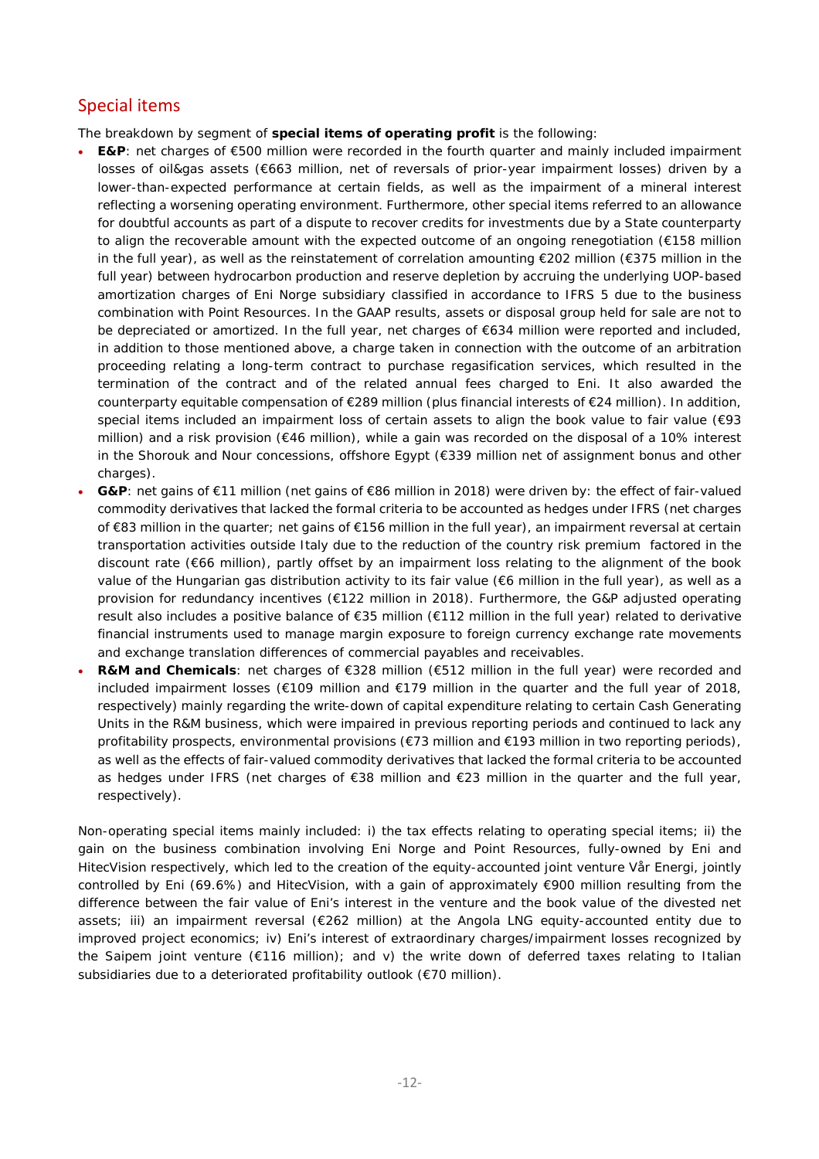## Special items

The breakdown by segment of **special items of operating profit** is the following:

- **E&P**: net charges of €500 million were recorded in the fourth quarter and mainly included impairment losses of oil&gas assets (€663 million, net of reversals of prior-year impairment losses) driven by a lower-than-expected performance at certain fields, as well as the impairment of a mineral interest reflecting a worsening operating environment. Furthermore, other special items referred to an allowance for doubtful accounts as part of a dispute to recover credits for investments due by a State counterparty to align the recoverable amount with the expected outcome of an ongoing renegotiation (€158 million in the full year), as well as the reinstatement of correlation amounting €202 million (€375 million in the full year) between hydrocarbon production and reserve depletion by accruing the underlying UOP-based amortization charges of Eni Norge subsidiary classified in accordance to IFRS 5 due to the business combination with Point Resources. In the GAAP results, assets or disposal group held for sale are not to be depreciated or amortized. In the full year, net charges of €634 million were reported and included, in addition to those mentioned above, a charge taken in connection with the outcome of an arbitration proceeding relating a long-term contract to purchase regasification services, which resulted in the termination of the contract and of the related annual fees charged to Eni. It also awarded the counterparty equitable compensation of €289 million (plus financial interests of €24 million). In addition, special items included an impairment loss of certain assets to align the book value to fair value (€93 million) and a risk provision (€46 million), while a gain was recorded on the disposal of a 10% interest in the Shorouk and Nour concessions, offshore Egypt (€339 million net of assignment bonus and other charges).
- **G&P**: net gains of €11 million (net gains of €86 million in 2018) were driven by: the effect of fair-valued commodity derivatives that lacked the formal criteria to be accounted as hedges under IFRS (net charges of €83 million in the quarter; net gains of €156 million in the full year), an impairment reversal at certain transportation activities outside Italy due to the reduction of the country risk premium factored in the discount rate (€66 million), partly offset by an impairment loss relating to the alignment of the book value of the Hungarian gas distribution activity to its fair value (€6 million in the full year), as well as a provision for redundancy incentives (€122 million in 2018). Furthermore, the G&P adjusted operating result also includes a positive balance of €35 million (€112 million in the full year) related to derivative financial instruments used to manage margin exposure to foreign currency exchange rate movements and exchange translation differences of commercial payables and receivables.
- R&M and Chemicals: net charges of €328 million (€512 million in the full year) were recorded and included impairment losses (€109 million and €179 million in the quarter and the full year of 2018, respectively) mainly regarding the write-down of capital expenditure relating to certain Cash Generating Units in the R&M business, which were impaired in previous reporting periods and continued to lack any profitability prospects, environmental provisions (€73 million and €193 million in two reporting periods), as well as the effects of fair-valued commodity derivatives that lacked the formal criteria to be accounted as hedges under IFRS (net charges of €38 million and €23 million in the quarter and the full year, respectively).

Non-operating special items mainly included: i) the tax effects relating to operating special items; ii) the gain on the business combination involving Eni Norge and Point Resources, fully-owned by Eni and HitecVision respectively, which led to the creation of the equity-accounted joint venture Vår Energi, jointly controlled by Eni (69.6%) and HitecVision, with a gain of approximately €900 million resulting from the difference between the fair value of Eni's interest in the venture and the book value of the divested net assets; iii) an impairment reversal (€262 million) at the Angola LNG equity-accounted entity due to improved project economics; iv) Eni's interest of extraordinary charges/impairment losses recognized by the Saipem joint venture (€116 million); and v) the write down of deferred taxes relating to Italian subsidiaries due to a deteriorated profitability outlook (€70 million).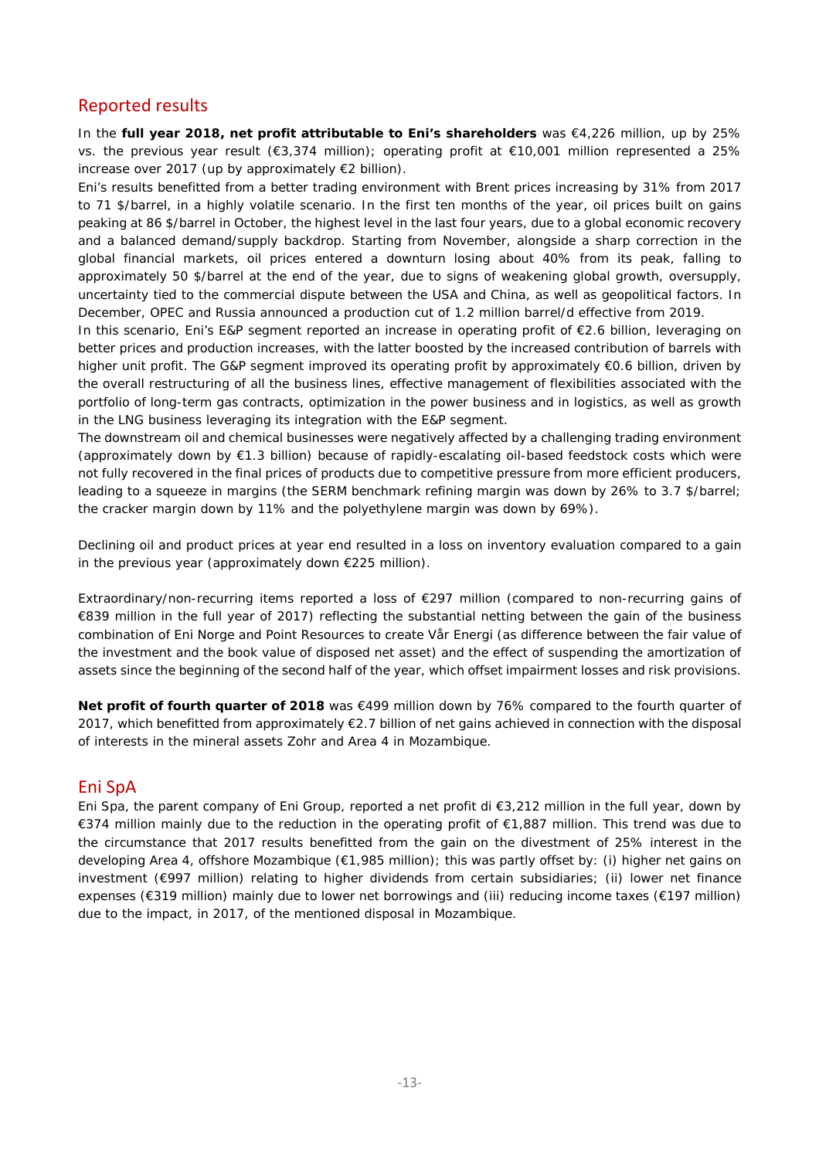### Reported results

In the **full year 2018, net profit attributable to Eni's shareholders** was €4,226 million, up by 25% vs. the previous year result (€3,374 million); operating profit at €10,001 million represented a 25% increase over 2017 (up by approximately €2 billion).

Eni's results benefitted from a better trading environment with Brent prices increasing by 31% from 2017 to 71 \$/barrel, in a highly volatile scenario. In the first ten months of the year, oil prices built on gains peaking at 86 \$/barrel in October, the highest level in the last four years, due to a global economic recovery and a balanced demand/supply backdrop. Starting from November, alongside a sharp correction in the global financial markets, oil prices entered a downturn losing about 40% from its peak, falling to approximately 50 \$/barrel at the end of the year, due to signs of weakening global growth, oversupply, uncertainty tied to the commercial dispute between the USA and China, as well as geopolitical factors. In December, OPEC and Russia announced a production cut of 1.2 million barrel/d effective from 2019.

In this scenario, Eni's E&P segment reported an increase in operating profit of €2.6 billion, leveraging on better prices and production increases, with the latter boosted by the increased contribution of barrels with higher unit profit. The G&P segment improved its operating profit by approximately €0.6 billion, driven by the overall restructuring of all the business lines, effective management of flexibilities associated with the portfolio of long-term gas contracts, optimization in the power business and in logistics, as well as growth in the LNG business leveraging its integration with the E&P segment.

The downstream oil and chemical businesses were negatively affected by a challenging trading environment (approximately down by €1.3 billion) because of rapidly-escalating oil-based feedstock costs which were not fully recovered in the final prices of products due to competitive pressure from more efficient producers, leading to a squeeze in margins (the SERM benchmark refining margin was down by 26% to 3.7 \$/barrel; the cracker margin down by 11% and the polyethylene margin was down by 69%).

Declining oil and product prices at year end resulted in a loss on inventory evaluation compared to a gain in the previous year (approximately down €225 million).

Extraordinary/non-recurring items reported a loss of €297 million (compared to non-recurring gains of €839 million in the full year of 2017) reflecting the substantial netting between the gain of the business combination of Eni Norge and Point Resources to create Vår Energi (as difference between the fair value of the investment and the book value of disposed net asset) and the effect of suspending the amortization of assets since the beginning of the second half of the year, which offset impairment losses and risk provisions.

**Net profit of fourth quarter of 2018** was €499 million down by 76% compared to the fourth quarter of 2017, which benefitted from approximately €2.7 billion of net gains achieved in connection with the disposal of interests in the mineral assets Zohr and Area 4 in Mozambique.

### Eni SpA

Eni Spa, the parent company of Eni Group, reported a net profit di €3,212 million in the full year, down by €374 million mainly due to the reduction in the operating profit of €1,887 million. This trend was due to the circumstance that 2017 results benefitted from the gain on the divestment of 25% interest in the developing Area 4, offshore Mozambique (€1,985 million); this was partly offset by: (i) higher net gains on investment (€997 million) relating to higher dividends from certain subsidiaries; (ii) lower net finance expenses (€319 million) mainly due to lower net borrowings and (iii) reducing income taxes (€197 million) due to the impact, in 2017, of the mentioned disposal in Mozambique.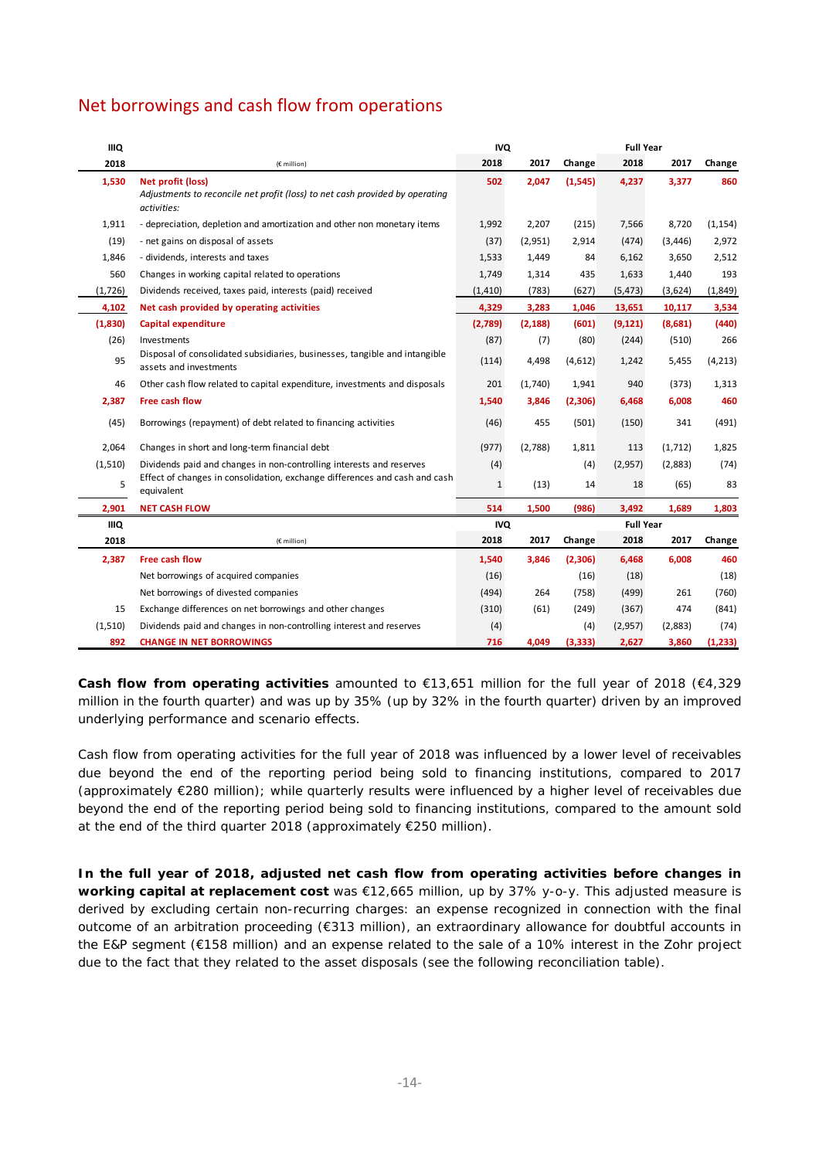## Net borrowings and cash flow from operations

| <b>IIIQ</b> |                                                                                                                         | <b>IVQ</b>   |          |          | <b>Full Year</b> |          |          |
|-------------|-------------------------------------------------------------------------------------------------------------------------|--------------|----------|----------|------------------|----------|----------|
| 2018        | (€ million)                                                                                                             | 2018         | 2017     | Change   | 2018             | 2017     | Change   |
| 1,530       | <b>Net profit (loss)</b><br>Adjustments to reconcile net profit (loss) to net cash provided by operating<br>activities: | 502          | 2,047    | (1, 545) | 4,237            | 3,377    | 860      |
| 1,911       | - depreciation, depletion and amortization and other non monetary items                                                 | 1,992        | 2,207    | (215)    | 7,566            | 8,720    | (1, 154) |
| (19)        | - net gains on disposal of assets                                                                                       | (37)         | (2,951)  | 2,914    | (474)            | (3, 446) | 2,972    |
| 1,846       | - dividends, interests and taxes                                                                                        | 1,533        | 1,449    | 84       | 6,162            | 3,650    | 2,512    |
| 560         | Changes in working capital related to operations                                                                        | 1,749        | 1,314    | 435      | 1,633            | 1,440    | 193      |
| (1,726)     | Dividends received, taxes paid, interests (paid) received                                                               | (1, 410)     | (783)    | (627)    | (5, 473)         | (3,624)  | (1,849)  |
| 4,102       | Net cash provided by operating activities                                                                               | 4,329        | 3,283    | 1,046    | 13,651           | 10,117   | 3,534    |
| (1,830)     | Capital expenditure                                                                                                     | (2,789)      | (2, 188) | (601)    | (9, 121)         | (8,681)  | (440)    |
| (26)        | Investments                                                                                                             | (87)         | (7)      | (80)     | (244)            | (510)    | 266      |
| 95          | Disposal of consolidated subsidiaries, businesses, tangible and intangible<br>assets and investments                    |              | 4,498    | (4,612)  | 1,242            | 5,455    | (4, 213) |
| 46          | Other cash flow related to capital expenditure, investments and disposals                                               |              | (1,740)  | 1,941    | 940              | (373)    | 1,313    |
| 2,387       | Free cash flow                                                                                                          |              | 3,846    | (2,306)  | 6,468            | 6,008    | 460      |
| (45)        | Borrowings (repayment) of debt related to financing activities                                                          | (46)         | 455      | (501)    | (150)            | 341      | (491)    |
| 2,064       | Changes in short and long-term financial debt                                                                           | (977)        | (2,788)  | 1,811    | 113              | (1,712)  | 1,825    |
| (1,510)     | Dividends paid and changes in non-controlling interests and reserves                                                    | (4)          |          | (4)      | (2,957)          | (2,883)  | (74)     |
| 5           | Effect of changes in consolidation, exchange differences and cash and cash<br>equivalent                                | $\mathbf{1}$ | (13)     | 14       | 18               | (65)     | 83       |
| 2,901       | <b>NET CASH FLOW</b>                                                                                                    | 514          | 1,500    | (986)    | 3,492            | 1,689    | 1,803    |
| IIIQ        |                                                                                                                         | <b>IVQ</b>   |          |          | <b>Full Year</b> |          |          |
| 2018        | (€ million)                                                                                                             | 2018         | 2017     | Change   | 2018             | 2017     | Change   |
| 2,387       | <b>Free cash flow</b>                                                                                                   | 1,540        | 3,846    | (2,306)  | 6,468            | 6,008    | 460      |
|             | Net borrowings of acquired companies                                                                                    | (16)         |          | (16)     | (18)             |          | (18)     |
|             | Net borrowings of divested companies                                                                                    | (494)        | 264      | (758)    | (499)            | 261      | (760)    |
| 15          | Exchange differences on net borrowings and other changes                                                                | (310)        | (61)     | (249)    | (367)            | 474      | (841)    |
| (1,510)     | Dividends paid and changes in non-controlling interest and reserves                                                     | (4)          |          | (4)      | (2,957)          | (2,883)  | (74)     |
| 892         | <b>CHANGE IN NET BORROWINGS</b>                                                                                         | 716          | 4,049    | (3, 333) | 2,627            | 3,860    | (1, 233) |

**Cash flow from operating activities** amounted to €13,651 million for the full year of 2018 (€4,329 million in the fourth quarter) and was up by 35% (up by 32% in the fourth quarter) driven by an improved underlying performance and scenario effects.

Cash flow from operating activities for the full year of 2018 was influenced by a lower level of receivables due beyond the end of the reporting period being sold to financing institutions, compared to 2017 (approximately €280 million); while quarterly results were influenced by a higher level of receivables due beyond the end of the reporting period being sold to financing institutions, compared to the amount sold at the end of the third quarter 2018 (approximately €250 million).

**In the full year of 2018, adjusted net cash flow from operating activities before changes in working capital at replacement cost** was €12,665 million, up by 37% y-o-y. This adjusted measure is derived by excluding certain non-recurring charges: an expense recognized in connection with the final outcome of an arbitration proceeding (€313 million), an extraordinary allowance for doubtful accounts in the E&P segment (€158 million) and an expense related to the sale of a 10% interest in the Zohr project due to the fact that they related to the asset disposals (see the following reconciliation table).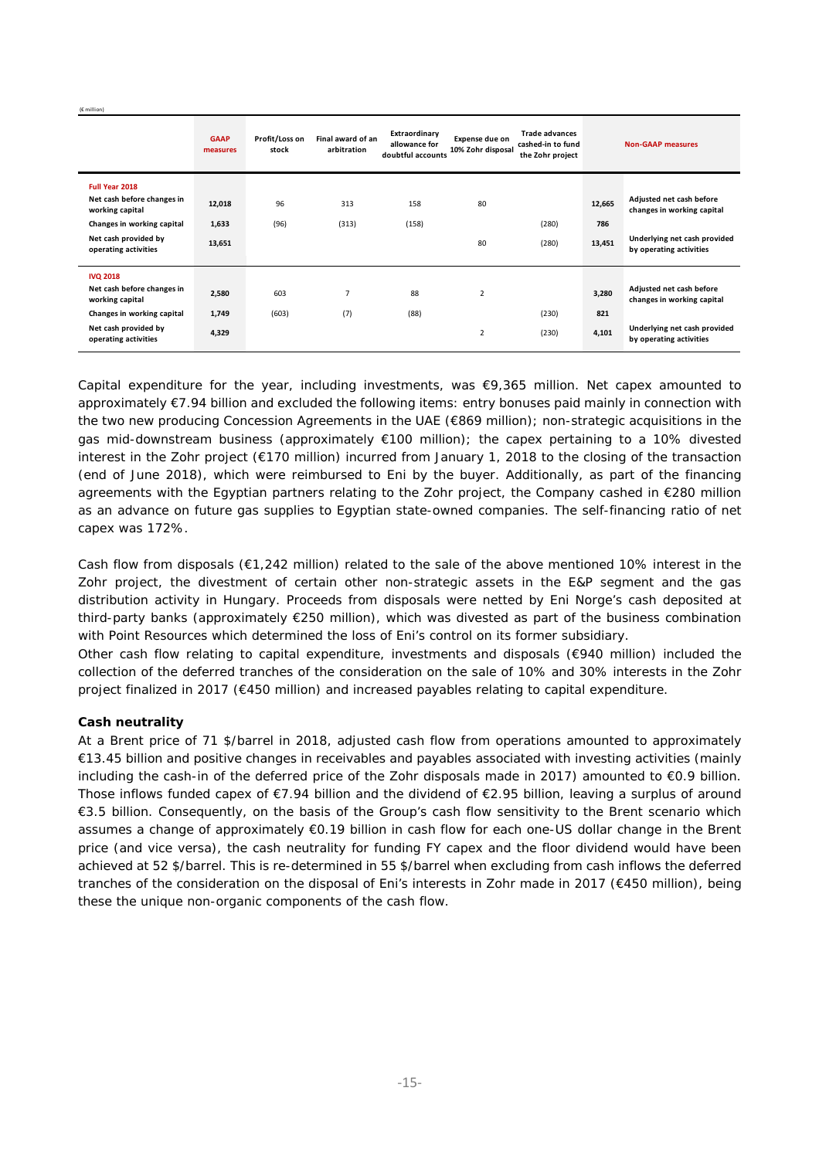(€ million)

|                                               | <b>GAAP</b><br>measures | Profit/Loss on<br>stock | Final award of an<br>arbitration | Extraordinary<br>allowance for<br>doubtful accounts | Expense due on<br>10% Zohr disposal | <b>Trade advances</b><br>cashed-in to fund<br>the Zohr project |        | <b>Non-GAAP measures</b>                                |
|-----------------------------------------------|-------------------------|-------------------------|----------------------------------|-----------------------------------------------------|-------------------------------------|----------------------------------------------------------------|--------|---------------------------------------------------------|
| Full Year 2018                                |                         |                         |                                  |                                                     |                                     |                                                                |        |                                                         |
| Net cash before changes in<br>working capital | 12,018                  | 96                      | 313                              | 158                                                 | 80                                  |                                                                | 12,665 | Adjusted net cash before<br>changes in working capital  |
| Changes in working capital                    | 1,633                   | (96)                    | (313)                            | (158)                                               |                                     | (280)                                                          | 786    |                                                         |
| Net cash provided by<br>operating activities  | 13,651                  |                         |                                  |                                                     | 80                                  | (280)                                                          | 13,451 | Underlying net cash provided<br>by operating activities |
| <b>IVQ 2018</b>                               |                         |                         |                                  |                                                     |                                     |                                                                |        |                                                         |
| Net cash before changes in<br>working capital | 2,580                   | 603                     | 7                                | 88                                                  | $\overline{2}$                      |                                                                | 3,280  | Adjusted net cash before<br>changes in working capital  |
| Changes in working capital                    | 1,749                   | (603)                   | (7)                              | (88)                                                |                                     | (230)                                                          | 821    |                                                         |
| Net cash provided by<br>operating activities  | 4,329                   |                         |                                  |                                                     | 2                                   | (230)                                                          | 4,101  | Underlying net cash provided<br>by operating activities |

Capital expenditure for the year, including investments, was €9,365 million. Net capex amounted to approximately €7.94 billion and excluded the following items: entry bonuses paid mainly in connection with the two new producing Concession Agreements in the UAE (€869 million); non-strategic acquisitions in the gas mid-downstream business (approximately €100 million); the capex pertaining to a 10% divested interest in the Zohr project (€170 million) incurred from January 1, 2018 to the closing of the transaction (end of June 2018), which were reimbursed to Eni by the buyer. Additionally, as part of the financing agreements with the Egyptian partners relating to the Zohr project, the Company cashed in €280 million as an advance on future gas supplies to Egyptian state-owned companies. The self-financing ratio of net capex was 172%.

Cash flow from disposals (€1,242 million) related to the sale of the above mentioned 10% interest in the Zohr project, the divestment of certain other non-strategic assets in the E&P segment and the gas distribution activity in Hungary. Proceeds from disposals were netted by Eni Norge's cash deposited at third-party banks (approximately €250 million), which was divested as part of the business combination with Point Resources which determined the loss of Eni's control on its former subsidiary.

Other cash flow relating to capital expenditure, investments and disposals (€940 million) included the collection of the deferred tranches of the consideration on the sale of 10% and 30% interests in the Zohr project finalized in 2017 (€450 million) and increased payables relating to capital expenditure.

### **Cash neutrality**

At a Brent price of 71 \$/barrel in 2018, adjusted cash flow from operations amounted to approximately €13.45 billion and positive changes in receivables and payables associated with investing activities (mainly including the cash-in of the deferred price of the Zohr disposals made in 2017) amounted to €0.9 billion. Those inflows funded capex of €7.94 billion and the dividend of €2.95 billion, leaving a surplus of around €3.5 billion. Consequently, on the basis of the Group's cash flow sensitivity to the Brent scenario which assumes a change of approximately €0.19 billion in cash flow for each one-US dollar change in the Brent price (and vice versa), the cash neutrality for funding FY capex and the floor dividend would have been achieved at 52 \$/barrel. This is re-determined in 55 \$/barrel when excluding from cash inflows the deferred tranches of the consideration on the disposal of Eni's interests in Zohr made in 2017 (€450 million), being these the unique non-organic components of the cash flow.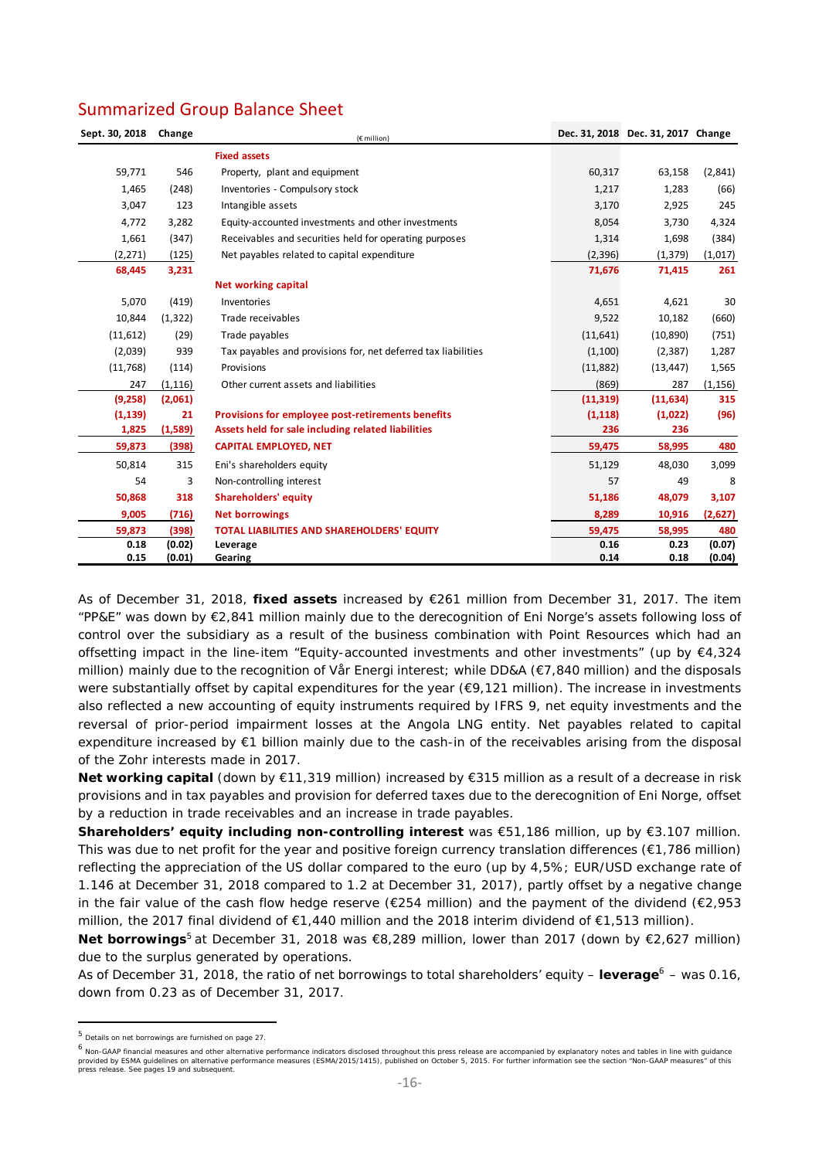| Sept. 30, 2018 | Change   | (€ million)                                                   |           | Dec. 31, 2018 Dec. 31, 2017 Change |          |
|----------------|----------|---------------------------------------------------------------|-----------|------------------------------------|----------|
|                |          | <b>Fixed assets</b>                                           |           |                                    |          |
| 59,771         | 546      | Property, plant and equipment                                 | 60,317    | 63,158                             | (2,841)  |
| 1,465          | (248)    | Inventories - Compulsory stock                                | 1,217     | 1,283                              | (66)     |
| 3,047          | 123      | Intangible assets                                             | 3,170     | 2,925                              | 245      |
| 4,772          | 3,282    | Equity-accounted investments and other investments            | 8,054     | 3,730                              | 4,324    |
| 1,661          | (347)    | Receivables and securities held for operating purposes        | 1,314     | 1,698                              | (384)    |
| (2,271)        | (125)    | Net payables related to capital expenditure                   | (2,396)   | (1, 379)                           | (1,017)  |
| 68,445         | 3,231    |                                                               | 71,676    | 71,415                             | 261      |
|                |          | <b>Net working capital</b>                                    |           |                                    |          |
| 5,070          | (419)    | Inventories                                                   | 4,651     | 4,621                              | 30       |
| 10,844         | (1, 322) | Trade receivables                                             | 9,522     | 10,182                             | (660)    |
| (11, 612)      | (29)     | Trade payables                                                | (11, 641) | (10, 890)                          | (751)    |
| (2,039)        | 939      | Tax payables and provisions for, net deferred tax liabilities | (1,100)   | (2, 387)                           | 1,287    |
| (11,768)       | (114)    | Provisions                                                    | (11,882)  | (13, 447)                          | 1,565    |
| 247            | (1, 116) | Other current assets and liabilities                          | (869)     | 287                                | (1, 156) |
| (9,258)        | (2,061)  |                                                               | (11, 319) | (11, 634)                          | 315      |
| (1, 139)       | 21       | Provisions for employee post-retirements benefits             | (1, 118)  | (1,022)                            | (96)     |
| 1,825          | (1,589)  | Assets held for sale including related liabilities            | 236       | 236                                |          |
| 59,873         | (398)    | <b>CAPITAL EMPLOYED, NET</b>                                  | 59,475    | 58,995                             | 480      |
| 50,814         | 315      | Eni's shareholders equity                                     | 51,129    | 48,030                             | 3,099    |
| 54             | 3        | Non-controlling interest                                      | 57        | 49                                 | 8        |
| 50,868         | 318      | <b>Shareholders' equity</b>                                   | 51,186    | 48,079                             | 3,107    |
| 9,005          | (716)    | <b>Net borrowings</b>                                         | 8,289     | 10,916                             | (2,627)  |
| 59,873         | (398)    | TOTAL LIABILITIES AND SHAREHOLDERS' EQUITY                    | 59,475    | 58,995                             | 480      |
| 0.18           | (0.02)   | Leverage                                                      | 0.16      | 0.23                               | (0.07)   |
| 0.15           | (0.01)   | Gearing                                                       | 0.14      | 0.18                               | (0.04)   |

As of December 31, 2018, **fixed assets** increased by €261 million from December 31, 2017. The item "PP&E" was down by €2,841 million mainly due to the derecognition of Eni Norge's assets following loss of control over the subsidiary as a result of the business combination with Point Resources which had an offsetting impact in the line-item "Equity-accounted investments and other investments" (up by  $\epsilon 4.324$ million) mainly due to the recognition of Vår Energi interest; while DD&A (€7,840 million) and the disposals were substantially offset by capital expenditures for the year (€9,121 million). The increase in investments also reflected a new accounting of equity instruments required by IFRS 9, net equity investments and the reversal of prior-period impairment losses at the Angola LNG entity. Net payables related to capital expenditure increased by €1 billion mainly due to the cash-in of the receivables arising from the disposal of the Zohr interests made in 2017.

**Net working capital** (down by €11,319 million) increased by €315 million as a result of a decrease in risk provisions and in tax payables and provision for deferred taxes due to the derecognition of Eni Norge, offset by a reduction in trade receivables and an increase in trade payables.

**Shareholders' equity including non-controlling interest** was €51,186 million, up by €3.107 million. This was due to net profit for the year and positive foreign currency translation differences (€1,786 million) reflecting the appreciation of the US dollar compared to the euro (up by 4,5%; EUR/USD exchange rate of 1.146 at December 31, 2018 compared to 1.2 at December 31, 2017), partly offset by a negative change in the fair value of the cash flow hedge reserve ( $\epsilon$ 254 million) and the payment of the dividend ( $\epsilon$ 2,953 million, the 2017 final dividend of €1,440 million and the 2018 interim dividend of €1,513 million).

**Net borrowings**<sup>5</sup> at December 31, 2018 was €8,289 million, lower than 2017 (down by €2,627 million) due to the surplus generated by operations.

As of December 31, 2018, the ratio of net borrowings to total shareholders' equity – **leverage**6 – was 0.16, down from 0.23 as of December 31, 2017.

 <sup>5</sup> Details on net borrowings are furnished on page 27.

<sup>6</sup> Non-GAAP financial measures and other alternative performance indicators disclosed throughout this press release are accompanied by explanatory notes and tables in line with guidance provided by ESMA guidelines on alternative performance measures (ESMA/2015/1415), published on October 5, 2015. For further information see the section "Non-GAAP measures" of this press release. See pages 19 and subsequent.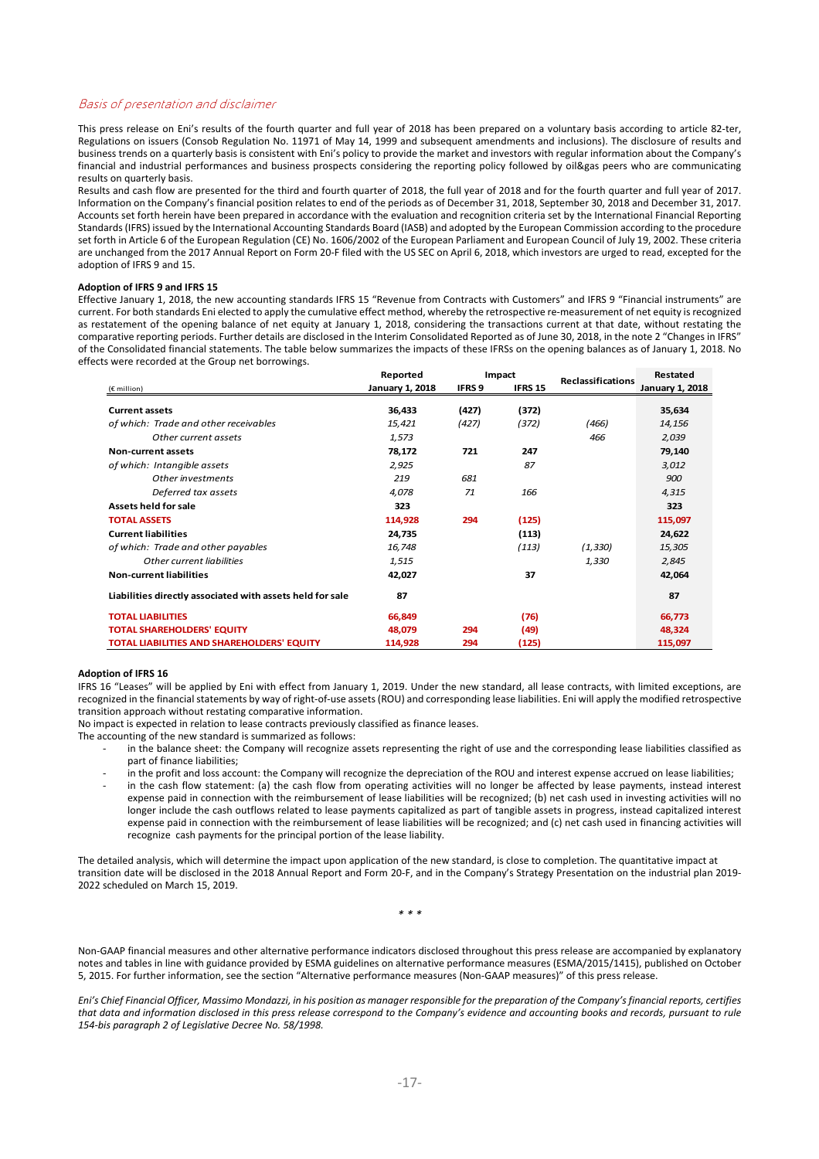#### Basis of presentation and disclaimer

This press release on Eni's results of the fourth quarter and full year of 2018 has been prepared on a voluntary basis according to article 82‐ter, Regulations on issuers (Consob Regulation No. 11971 of May 14, 1999 and subsequent amendments and inclusions). The disclosure of results and business trends on a quarterly basis is consistent with Eni's policy to provide the market and investors with regular information about the Company's financial and industrial performances and business prospects considering the reporting policy followed by oil&gas peers who are communicating results on quarterly basis.

Results and cash flow are presented for the third and fourth quarter of 2018, the full year of 2018 and for the fourth quarter and full year of 2017. Information on the Company's financial position relates to end of the periods as of December 31, 2018, September 30, 2018 and December 31, 2017. Accounts set forth herein have been prepared in accordance with the evaluation and recognition criteria set by the International Financial Reporting Standards(IFRS) issued by the International Accounting Standards Board (IASB) and adopted by the European Commission according to the procedure set forth in Article 6 of the European Regulation (CE) No. 1606/2002 of the European Parliament and European Council of July 19, 2002. These criteria are unchanged from the 2017 Annual Report on Form 20-F filed with the US SEC on April 6, 2018, which investors are urged to read, excepted for the adoption of IFRS 9 and 15.

#### **Adoption of IFRS 9 and IFRS 15**

Effective January 1, 2018, the new accounting standards IFRS 15 "Revenue from Contracts with Customers" and IFRS 9 "Financial instruments" are current. For both standards Eni elected to apply the cumulative effect method, whereby the retrospective re-measurement of net equity is recognized as restatement of the opening balance of net equity at January 1, 2018, considering the transactions current at that date, without restating the comparative reporting periods. Further details are disclosed in the Interim Consolidated Reported as of June 30, 2018, in the note 2 "Changes in IFRS" of the Consolidated financial statements. The table below summarizes the impacts of these IFRSs on the opening balances as of January 1, 2018. No effects were recorded at the Group net borrowings.

|                                                           | Reported                         |       | Impact         | <b>Reclassifications</b> | Restated               |  |
|-----------------------------------------------------------|----------------------------------|-------|----------------|--------------------------|------------------------|--|
| $(E$ million)                                             | IFRS 9<br><b>January 1, 2018</b> |       | <b>IFRS 15</b> |                          | <b>January 1, 2018</b> |  |
| <b>Current assets</b>                                     | 36,433                           | (427) | (372)          |                          | 35,634                 |  |
| of which: Trade and other receivables                     | 15,421                           | (427) | (372)          | (466)                    | 14,156                 |  |
| Other current assets                                      | 1,573                            |       |                | 466                      | 2,039                  |  |
| <b>Non-current assets</b>                                 | 78,172                           | 721   | 247            |                          | 79,140                 |  |
| of which: Intangible assets                               | 2,925                            |       | 87             |                          | 3,012                  |  |
| Other investments                                         | 219                              | 681   |                |                          | 900                    |  |
| Deferred tax assets                                       | 4,078                            | 71    | 166            |                          | 4,315                  |  |
| Assets held for sale                                      | 323                              |       |                |                          | 323                    |  |
| <b>TOTAL ASSETS</b>                                       | 114,928                          | 294   | (125)          |                          | 115,097                |  |
| <b>Current liabilities</b>                                | 24,735                           |       | (113)          |                          | 24,622                 |  |
| of which: Trade and other payables                        | 16,748                           |       | (113)          | (1, 330)                 | 15,305                 |  |
| Other current liabilities                                 | 1,515                            |       |                | 1,330                    | 2,845                  |  |
| <b>Non-current liabilities</b>                            | 42,027                           |       | 37             |                          | 42,064                 |  |
| Liabilities directly associated with assets held for sale | 87                               |       |                |                          | 87                     |  |
| <b>TOTAL LIABILITIES</b>                                  | 66,849                           |       | (76)           |                          | 66,773                 |  |
| <b>TOTAL SHAREHOLDERS' EQUITY</b>                         | 48,079                           | 294   | (49)           |                          | 48,324                 |  |
| <b>TOTAL LIABILITIES AND SHAREHOLDERS' EQUITY</b>         | 114,928                          | 294   | (125)          |                          | 115,097                |  |

#### **Adoption of IFRS 16**

IFRS 16 "Leases" will be applied by Eni with effect from January 1, 2019. Under the new standard, all lease contracts, with limited exceptions, are recognized in the financial statements by way of right‐of‐use assets(ROU) and corresponding lease liabilities. Eni will apply the modified retrospective transition approach without restating comparative information.

No impact is expected in relation to lease contracts previously classified as finance leases.

The accounting of the new standard is summarized as follows:

- in the balance sheet: the Company will recognize assets representing the right of use and the corresponding lease liabilities classified as part of finance liabilities;
- ‐ in the profit and loss account: the Company will recognize the depreciation of the ROU and interest expense accrued on lease liabilities;
- in the cash flow statement: (a) the cash flow from operating activities will no longer be affected by lease payments, instead interest expense paid in connection with the reimbursement of lease liabilities will be recognized; (b) net cash used in investing activities will no longer include the cash outflows related to lease payments capitalized as part of tangible assets in progress, instead capitalized interest expense paid in connection with the reimbursement of lease liabilities will be recognized; and (c) net cash used in financing activities will recognize cash payments for the principal portion of the lease liability.

The detailed analysis, which will determine the impact upon application of the new standard, is close to completion. The quantitative impact at transition date will be disclosed in the 2018 Annual Report and Form 20‐F, and in the Company's Strategy Presentation on the industrial plan 2019‐ 2022 scheduled on March 15, 2019.

*\* \* \**

Non‐GAAP financial measures and other alternative performance indicators disclosed throughout this press release are accompanied by explanatory notes and tables in line with guidance provided by ESMA guidelines on alternative performance measures (ESMA/2015/1415), published on October 5, 2015. For further information, see the section "Alternative performance measures (Non‐GAAP measures)" of this press release.

Eni's Chief Financial Officer, Massimo Mondazzi, in his position as manager responsible for the preparation of the Company's financial reports, certifies that data and information disclosed in this press release correspond to the Company's evidence and accounting books and records, pursuant to rule *154‐bis paragraph 2 of Legislative Decree No. 58/1998.*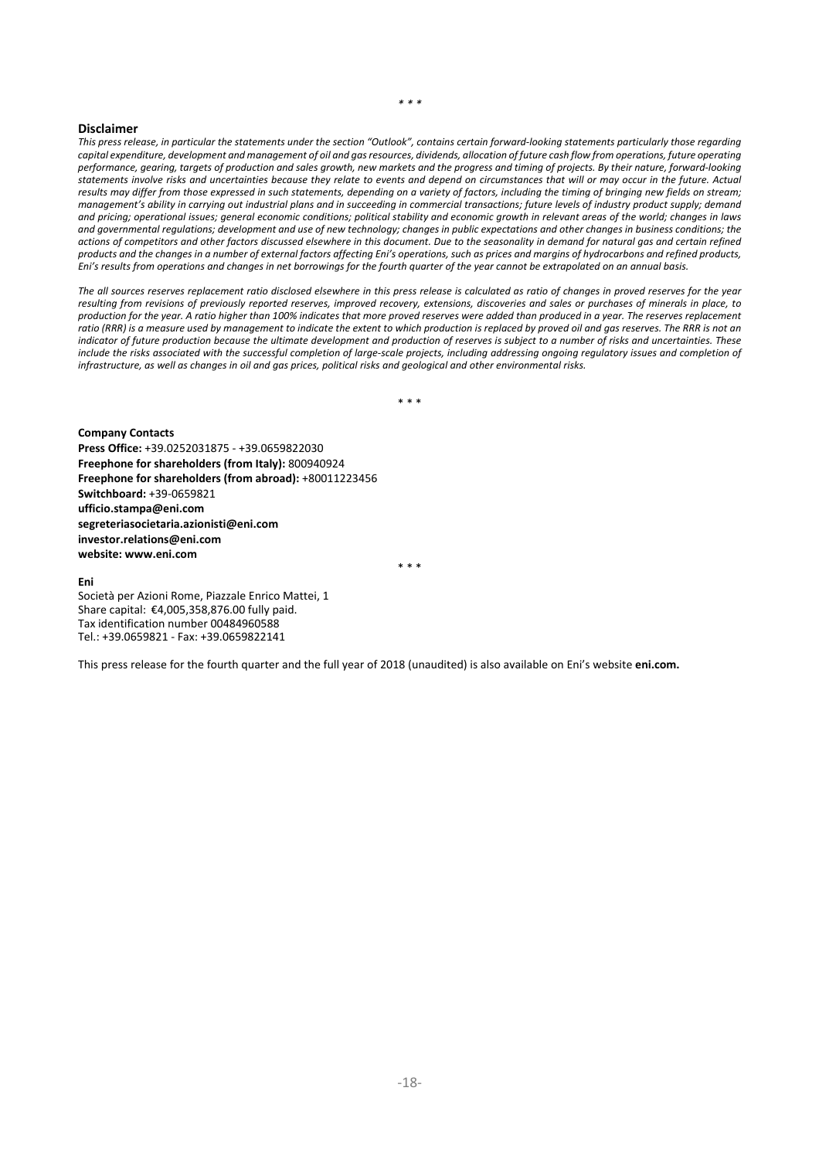#### *\* \* \**

#### **Disclaimer**

This press release, in particular the statements under the section "Outlook", contains certain forward-looking statements particularly those regarding capital expenditure, development and management of oil and gas resources, dividends, allocation of future cash flow from operations, future operating performance, aearina, targets of production and sales arowth, new markets and the progress and timina of projects. By their nature, forward-looking statements involve risks and uncertainties because they relate to events and depend on circumstances that will or may occur in the future. Actual results may differ from those expressed in such statements, depending on a variety of factors, including the timing of bringing new fields on stream: management's ability in carrying out industrial plans and in succeeding in commercial transactions; future levels of industry product supply; demand and pricing; operational issues; general economic conditions; political stability and economic growth in relevant areas of the world; changes in laws and governmental requlations; development and use of new technology; changes in public expectations and other changes in business conditions; the actions of competitors and other factors discussed elsewhere in this document. Due to the seasonality in demand for natural gas and certain refined products and the changes in a number of external factors affecting Eni's operations, such as prices and margins of hydrocarbons and refined products, Eni's results from operations and changes in net borrowings for the fourth quarter of the year cannot be extrapolated on an annual basis.

The all sources reserves replacement ratio disclosed elsewhere in this press release is calculated as ratio of changes in proved reserves for the year resulting from revisions of previously reported reserves, improved recovery, extensions, discoveries and sales or purchases of minerals in place, to production for the year. A ratio higher than 100% indicates that more proved reserves were added than produced in a year. The reserves replacement ratio (RRR) is a measure used by management to indicate the extent to which production is replaced by proved oil and gas reserves. The RRR is not an indicator of future production because the ultimate development and production of reserves is subject to a number of risks and uncertainties. These include the risks associated with the successful completion of large-scale projects, including addressing ongoing regulatory issues and completion of infrastructure, as well as changes in oil and gas prices, political risks and geological and other environmental risks.

\* \* \*

\* \* \*

**Company Contacts Press Office:** +39.0252031875 ‐ +39.0659822030 **Freephone for shareholders (from Italy):** 800940924 **Freephone for shareholders (from abroad):** +80011223456 **Switchboard:** +39‐0659821 **ufficio.stampa@eni.com segreteriasocietaria.azionisti@eni.com investor.relations@eni.com website: www.eni.com** 

#### **Eni**

Società per Azioni Rome, Piazzale Enrico Mattei, 1 Share capital: €4,005,358,876.00 fully paid. Tax identification number 00484960588 Tel.: +39.0659821 ‐ Fax: +39.0659822141

This press release for the fourth quarter and the full year of 2018 (unaudited) is also available on Eni's website **eni.com.**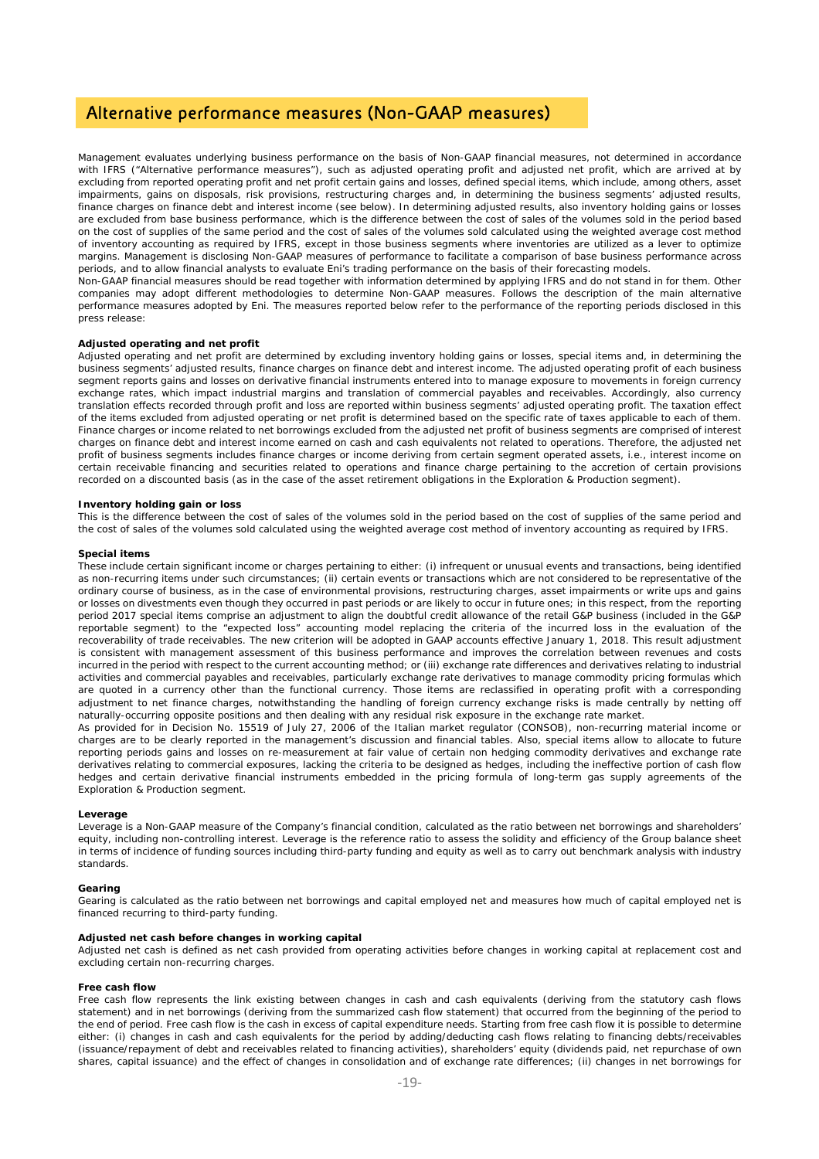### Alternative performance measures (Non-GAAP measures)

Management evaluates underlying business performance on the basis of Non-GAAP financial measures, not determined in accordance with IFRS ("Alternative performance measures"), such as adjusted operating profit and adjusted net profit, which are arrived at by excluding from reported operating profit and net profit certain gains and losses, defined special items, which include, among others, asset impairments, gains on disposals, risk provisions, restructuring charges and, in determining the business segments' adjusted results, finance charges on finance debt and interest income (see below). In determining adjusted results, also inventory holding gains or losses are excluded from base business performance, which is the difference between the cost of sales of the volumes sold in the period based on the cost of supplies of the same period and the cost of sales of the volumes sold calculated using the weighted average cost method of inventory accounting as required by IFRS, except in those business segments where inventories are utilized as a lever to optimize margins. Management is disclosing Non-GAAP measures of performance to facilitate a comparison of base business performance across periods, and to allow financial analysts to evaluate Eni's trading performance on the basis of their forecasting models.

Non-GAAP financial measures should be read together with information determined by applying IFRS and do not stand in for them. Other companies may adopt different methodologies to determine Non-GAAP measures. Follows the description of the main alternative performance measures adopted by Eni. The measures reported below refer to the performance of the reporting periods disclosed in this press release:

#### *Adjusted operating and net profit*

Adjusted operating and net profit are determined by excluding inventory holding gains or losses, special items and, in determining the business segments' adjusted results, finance charges on finance debt and interest income. The adjusted operating profit of each business segment reports gains and losses on derivative financial instruments entered into to manage exposure to movements in foreign currency exchange rates, which impact industrial margins and translation of commercial payables and receivables. Accordingly, also currency translation effects recorded through profit and loss are reported within business segments' adjusted operating profit. The taxation effect of the items excluded from adjusted operating or net profit is determined based on the specific rate of taxes applicable to each of them. Finance charges or income related to net borrowings excluded from the adjusted net profit of business segments are comprised of interest charges on finance debt and interest income earned on cash and cash equivalents not related to operations. Therefore, the adjusted net profit of business segments includes finance charges or income deriving from certain segment operated assets, i.e., interest income on certain receivable financing and securities related to operations and finance charge pertaining to the accretion of certain provisions recorded on a discounted basis (as in the case of the asset retirement obligations in the Exploration & Production segment).

#### *Inventory holding gain or loss*

This is the difference between the cost of sales of the volumes sold in the period based on the cost of supplies of the same period and the cost of sales of the volumes sold calculated using the weighted average cost method of inventory accounting as required by IFRS.

#### *Special items*

These include certain significant income or charges pertaining to either: (i) infrequent or unusual events and transactions, being identified as non-recurring items under such circumstances; (ii) certain events or transactions which are not considered to be representative of the ordinary course of business, as in the case of environmental provisions, restructuring charges, asset impairments or write ups and gains or losses on divestments even though they occurred in past periods or are likely to occur in future ones; in this respect, from the reporting period 2017 special items comprise an adjustment to align the doubtful credit allowance of the retail G&P business (included in the G&P reportable segment) to the "expected loss" accounting model replacing the criteria of the incurred loss in the evaluation of the recoverability of trade receivables. The new criterion will be adopted in GAAP accounts effective January 1, 2018. This result adjustment is consistent with management assessment of this business performance and improves the correlation between revenues and costs incurred in the period with respect to the current accounting method; or (iii) exchange rate differences and derivatives relating to industrial activities and commercial payables and receivables, particularly exchange rate derivatives to manage commodity pricing formulas which are quoted in a currency other than the functional currency. Those items are reclassified in operating profit with a corresponding adjustment to net finance charges, notwithstanding the handling of foreign currency exchange risks is made centrally by netting off naturally-occurring opposite positions and then dealing with any residual risk exposure in the exchange rate market.

As provided for in Decision No. 15519 of July 27, 2006 of the Italian market regulator (CONSOB), non-recurring material income or charges are to be clearly reported in the management's discussion and financial tables. Also, special items allow to allocate to future reporting periods gains and losses on re-measurement at fair value of certain non hedging commodity derivatives and exchange rate derivatives relating to commercial exposures, lacking the criteria to be designed as hedges, including the ineffective portion of cash flow hedges and certain derivative financial instruments embedded in the pricing formula of long-term gas supply agreements of the Exploration & Production segment

#### *Leverage*

Leverage is a Non-GAAP measure of the Company's financial condition, calculated as the ratio between net borrowings and shareholders' equity, including non-controlling interest. Leverage is the reference ratio to assess the solidity and efficiency of the Group balance sheet in terms of incidence of funding sources including third-party funding and equity as well as to carry out benchmark analysis with industry standards.

#### *Gearing*

Gearing is calculated as the ratio between net borrowings and capital employed net and measures how much of capital employed net is financed recurring to third-party funding.

#### *Adjusted net cash before changes in working capital*

Adjusted net cash is defined as net cash provided from operating activities before changes in working capital at replacement cost and excluding certain non-recurring charges.

#### *Free cash flow*

Free cash flow represents the link existing between changes in cash and cash equivalents (deriving from the statutory cash flows statement) and in net borrowings (deriving from the summarized cash flow statement) that occurred from the beginning of the period to the end of period. Free cash flow is the cash in excess of capital expenditure needs. Starting from free cash flow it is possible to determine either: (i) changes in cash and cash equivalents for the period by adding/deducting cash flows relating to financing debts/receivables (issuance/repayment of debt and receivables related to financing activities), shareholders' equity (dividends paid, net repurchase of own shares, capital issuance) and the effect of changes in consolidation and of exchange rate differences; (ii) changes in net borrowings for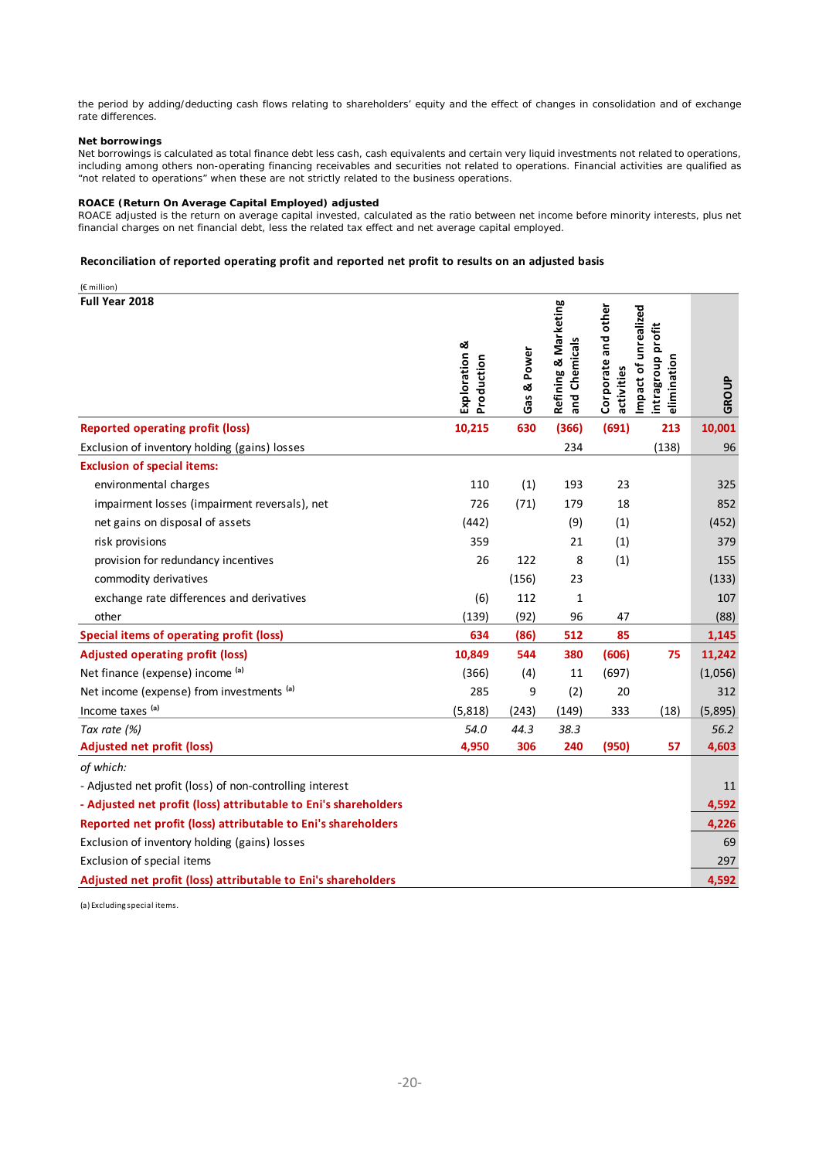the period by adding/deducting cash flows relating to shareholders' equity and the effect of changes in consolidation and of exchange rate differences.

#### *Net borrowings*

Net borrowings is calculated as total finance debt less cash, cash equivalents and certain very liquid investments not related to operations, including among others non-operating financing receivables and securities not related to operations. Financial activities are qualified as "not related to operations" when these are not strictly related to the business operations.

#### *ROACE (Return On Average Capital Employed) adjusted*

ROACE adjusted is the return on average capital invested, calculated as the ratio between net income before minority interests, plus net financial charges on net financial debt, less the related tax effect and net average capital employed.

keting

#### **Reconciliation of reported operating profit and reported net profit to results on an adjusted basis**

(€ million) **Full Year 2018**

| <b>Full Year 2018</b>                                           | Exploration &<br>Production | Gas & Power | Refining & Marketing<br>and Chemicals | Corporate and other<br>activities | Impact of unrealized<br>intragroup profit<br>elimination | GROUP   |
|-----------------------------------------------------------------|-----------------------------|-------------|---------------------------------------|-----------------------------------|----------------------------------------------------------|---------|
| <b>Reported operating profit (loss)</b>                         | 10,215                      | 630         | (366)                                 | (691)                             | 213                                                      | 10,001  |
| Exclusion of inventory holding (gains) losses                   |                             |             | 234                                   |                                   | (138)                                                    | 96      |
| <b>Exclusion of special items:</b>                              |                             |             |                                       |                                   |                                                          |         |
| environmental charges                                           | 110                         | (1)         | 193                                   | 23                                |                                                          | 325     |
| impairment losses (impairment reversals), net                   | 726                         | (71)        | 179                                   | 18                                |                                                          | 852     |
| net gains on disposal of assets                                 | (442)                       |             | (9)                                   | (1)                               |                                                          | (452)   |
| risk provisions                                                 | 359                         |             | 21                                    | (1)                               |                                                          | 379     |
| provision for redundancy incentives                             | 26                          | 122         | 8                                     | (1)                               |                                                          | 155     |
| commodity derivatives                                           |                             | (156)       | 23                                    |                                   |                                                          | (133)   |
| exchange rate differences and derivatives                       | (6)                         | 112         | 1                                     |                                   |                                                          | 107     |
| other                                                           | (139)                       | (92)        | 96                                    | 47                                |                                                          | (88)    |
| <b>Special items of operating profit (loss)</b>                 | 634                         | (86)        | 512                                   | 85                                |                                                          | 1,145   |
| <b>Adjusted operating profit (loss)</b>                         | 10,849                      | 544         | 380                                   | (606)                             | 75                                                       | 11,242  |
| Net finance (expense) income (a)                                | (366)                       | (4)         | 11                                    | (697)                             |                                                          | (1,056) |
| Net income (expense) from investments (a)                       | 285                         | 9           | (2)                                   | 20                                |                                                          | 312     |
| Income taxes (a)                                                | (5,818)                     | (243)       | (149)                                 | 333                               | (18)                                                     | (5,895) |
| Tax rate (%)                                                    | 54.0                        | 44.3        | 38.3                                  |                                   |                                                          | 56.2    |
| <b>Adjusted net profit (loss)</b>                               | 4,950                       | 306         | 240                                   | (950)                             | 57                                                       | 4,603   |
| of which:                                                       |                             |             |                                       |                                   |                                                          |         |
| - Adjusted net profit (loss) of non-controlling interest        |                             |             |                                       |                                   |                                                          | 11      |
| - Adjusted net profit (loss) attributable to Eni's shareholders |                             |             |                                       |                                   |                                                          | 4,592   |
| Reported net profit (loss) attributable to Eni's shareholders   |                             |             |                                       |                                   |                                                          | 4,226   |
| Exclusion of inventory holding (gains) losses                   |                             |             |                                       |                                   |                                                          | 69      |
| Exclusion of special items                                      |                             |             |                                       |                                   |                                                          | 297     |
| Adjusted net profit (loss) attributable to Eni's shareholders   |                             |             |                                       |                                   |                                                          | 4,592   |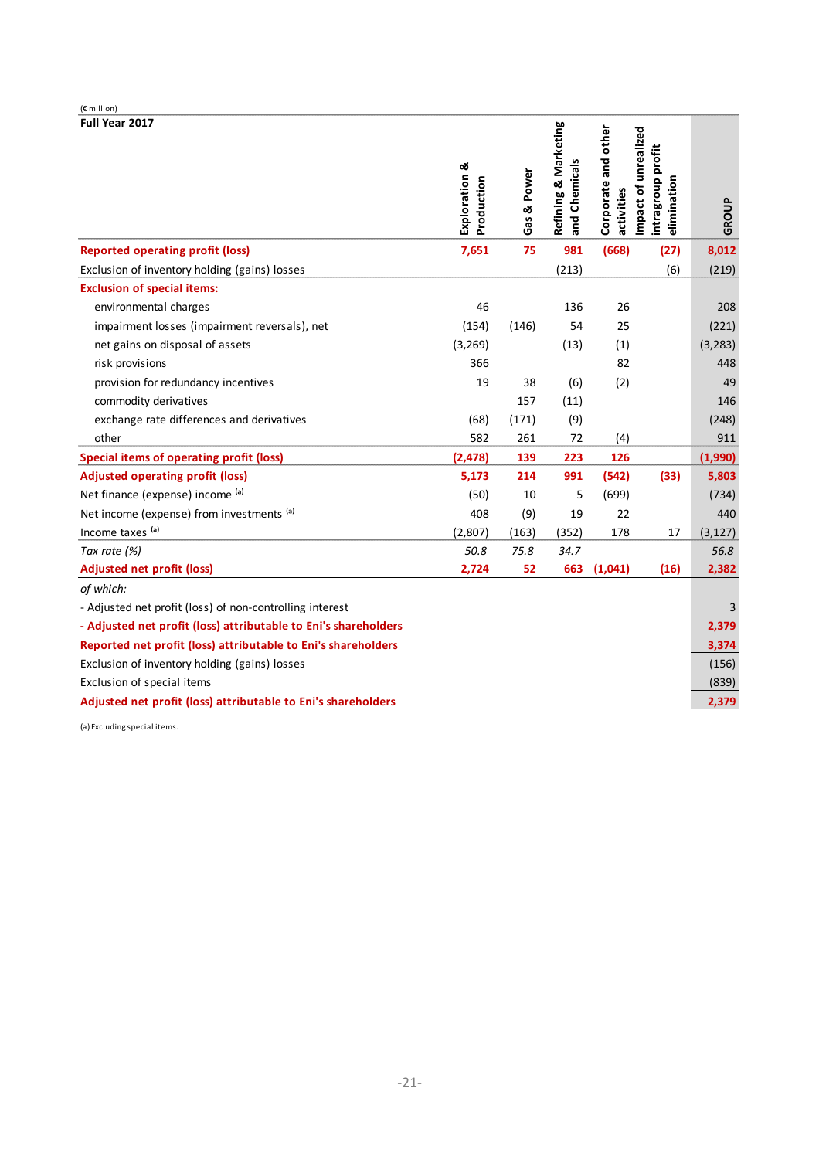| (€ million)                                                     |                             |             |                                       |                                   |                                                          |          |
|-----------------------------------------------------------------|-----------------------------|-------------|---------------------------------------|-----------------------------------|----------------------------------------------------------|----------|
| Full Year 2017                                                  | Exploration &<br>Production | Gas & Power | Refining & Marketing<br>and Chemicals | Corporate and other<br>activities | Impact of unrealized<br>intragroup profit<br>elimination | GROUP    |
| <b>Reported operating profit (loss)</b>                         | 7,651                       | 75          | 981                                   | (668)                             | (27)                                                     | 8,012    |
| Exclusion of inventory holding (gains) losses                   |                             |             | (213)                                 |                                   | (6)                                                      | (219)    |
| <b>Exclusion of special items:</b>                              |                             |             |                                       |                                   |                                                          |          |
| environmental charges                                           | 46                          |             | 136                                   | 26                                |                                                          | 208      |
| impairment losses (impairment reversals), net                   | (154)                       | (146)       | 54                                    | 25                                |                                                          | (221)    |
| net gains on disposal of assets                                 | (3, 269)                    |             | (13)                                  | (1)                               |                                                          | (3, 283) |
| risk provisions                                                 | 366                         |             |                                       | 82                                |                                                          | 448      |
| provision for redundancy incentives                             | 19                          | 38          | (6)                                   | (2)                               |                                                          | 49       |
| commodity derivatives                                           |                             | 157         | (11)                                  |                                   |                                                          | 146      |
| exchange rate differences and derivatives                       | (68)                        | (171)       | (9)                                   |                                   |                                                          | (248)    |
| other                                                           | 582                         | 261         | 72                                    | (4)                               |                                                          | 911      |
| <b>Special items of operating profit (loss)</b>                 | (2, 478)                    | 139         | 223                                   | 126                               |                                                          | (1,990)  |
| <b>Adjusted operating profit (loss)</b>                         | 5,173                       | 214         | 991                                   | (542)                             | (33)                                                     | 5,803    |
| Net finance (expense) income (a)                                | (50)                        | 10          | 5                                     | (699)                             |                                                          | (734)    |
| Net income (expense) from investments (a)                       | 408                         | (9)         | 19                                    | 22                                |                                                          | 440      |
| Income taxes (a)                                                | (2,807)                     | (163)       | (352)                                 | 178                               | 17                                                       | (3, 127) |
| Tax rate (%)                                                    | 50.8                        | 75.8        | 34.7                                  |                                   |                                                          | 56.8     |
| <b>Adjusted net profit (loss)</b>                               | 2,724                       | 52          | 663                                   | (1,041)                           | (16)                                                     | 2,382    |
| of which:                                                       |                             |             |                                       |                                   |                                                          |          |
| - Adjusted net profit (loss) of non-controlling interest        |                             |             |                                       |                                   |                                                          | 3        |
| - Adjusted net profit (loss) attributable to Eni's shareholders |                             |             |                                       |                                   |                                                          | 2,379    |
| Reported net profit (loss) attributable to Eni's shareholders   |                             |             |                                       |                                   |                                                          | 3,374    |
| Exclusion of inventory holding (gains) losses                   |                             |             |                                       |                                   |                                                          | (156)    |
| Exclusion of special items                                      |                             |             |                                       |                                   |                                                          | (839)    |
| Adjusted net profit (loss) attributable to Eni's shareholders   |                             |             |                                       |                                   |                                                          | 2,379    |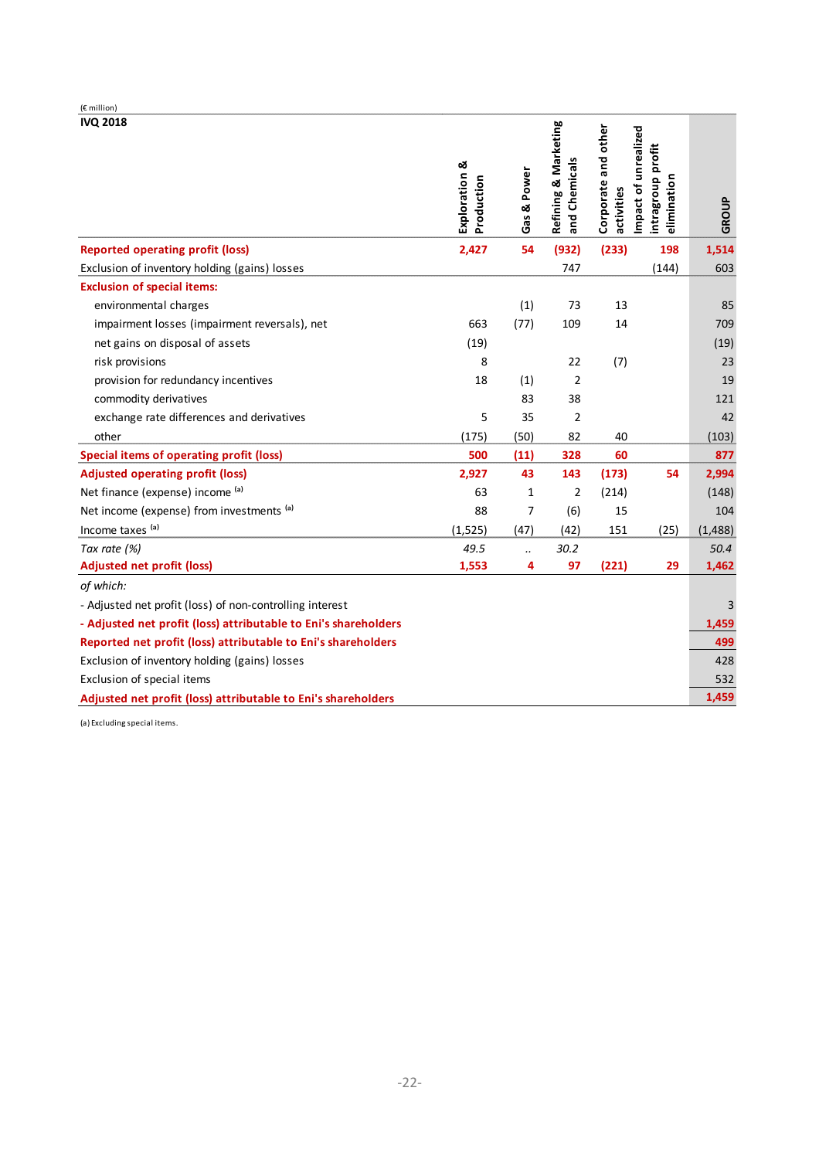| (€ million)                                                     |                             |              |                                       |                                   |                                                          |          |
|-----------------------------------------------------------------|-----------------------------|--------------|---------------------------------------|-----------------------------------|----------------------------------------------------------|----------|
| <b>IVQ 2018</b>                                                 | Exploration &<br>Production | Gas & Power  | Refining & Marketing<br>and Chemicals | Corporate and other<br>activities | Impact of unrealized<br>intragroup profit<br>elimination | GROUP    |
| <b>Reported operating profit (loss)</b>                         | 2,427                       | 54           | (932)                                 | (233)                             | 198                                                      | 1,514    |
| Exclusion of inventory holding (gains) losses                   |                             |              | 747                                   |                                   | (144)                                                    | 603      |
| <b>Exclusion of special items:</b>                              |                             |              |                                       |                                   |                                                          |          |
| environmental charges                                           |                             | (1)          | 73                                    | 13                                |                                                          | 85       |
| impairment losses (impairment reversals), net                   | 663                         | (77)         | 109                                   | 14                                |                                                          | 709      |
| net gains on disposal of assets                                 | (19)                        |              |                                       |                                   |                                                          | (19)     |
| risk provisions                                                 | 8                           |              | 22                                    | (7)                               |                                                          | 23       |
| provision for redundancy incentives                             | 18                          | (1)          | $\overline{2}$                        |                                   |                                                          | 19       |
| commodity derivatives                                           |                             | 83           | 38                                    |                                   |                                                          | 121      |
| exchange rate differences and derivatives                       | 5                           | 35           | $\overline{2}$                        |                                   |                                                          | 42       |
| other                                                           | (175)                       | (50)         | 82                                    | 40                                |                                                          | (103)    |
| <b>Special items of operating profit (loss)</b>                 | 500                         | (11)         | 328                                   | 60                                |                                                          | 877      |
| <b>Adjusted operating profit (loss)</b>                         | 2,927                       | 43           | 143                                   | (173)                             | 54                                                       | 2,994    |
| Net finance (expense) income (a)                                | 63                          | $\mathbf{1}$ | $\overline{2}$                        | (214)                             |                                                          | (148)    |
| Net income (expense) from investments (a)                       | 88                          | 7            | (6)                                   | 15                                |                                                          | 104      |
| Income taxes (a)                                                | (1, 525)                    | (47)         | (42)                                  | 151                               | (25)                                                     | (1, 488) |
| Tax rate (%)                                                    | 49.5                        | $\ddotsc$    | 30.2                                  |                                   |                                                          | 50.4     |
| <b>Adjusted net profit (loss)</b>                               | 1,553                       | 4            | 97                                    | (221)                             | 29                                                       | 1,462    |
| of which:                                                       |                             |              |                                       |                                   |                                                          |          |
| - Adjusted net profit (loss) of non-controlling interest        |                             |              |                                       |                                   |                                                          | 3        |
| - Adjusted net profit (loss) attributable to Eni's shareholders |                             |              |                                       |                                   |                                                          | 1,459    |
| Reported net profit (loss) attributable to Eni's shareholders   |                             |              |                                       |                                   |                                                          | 499      |
| Exclusion of inventory holding (gains) losses                   |                             |              |                                       |                                   |                                                          | 428      |
| Exclusion of special items                                      |                             |              |                                       |                                   |                                                          | 532      |
| Adjusted net profit (loss) attributable to Eni's shareholders   |                             |              |                                       |                                   |                                                          | 1,459    |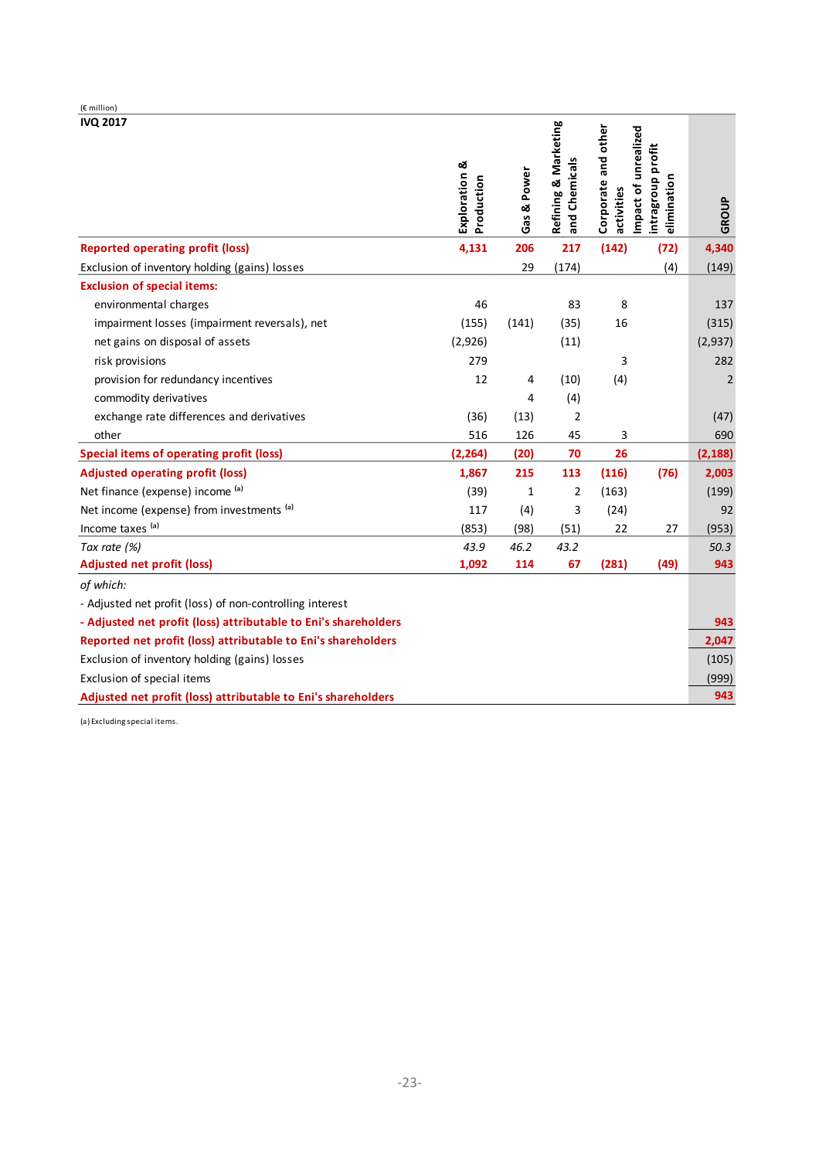| (€ million)                                                     |                             |              |                                       |                                   |                                                          |                |
|-----------------------------------------------------------------|-----------------------------|--------------|---------------------------------------|-----------------------------------|----------------------------------------------------------|----------------|
| <b>IVQ 2017</b>                                                 | Exploration &<br>Production | Gas & Power  | Refining & Marketing<br>and Chemicals | Corporate and other<br>activities | Impact of unrealized<br>intragroup profit<br>elimination | GROUP          |
| <b>Reported operating profit (loss)</b>                         | 4,131                       | 206          | 217                                   | (142)                             | (72)                                                     | 4,340          |
| Exclusion of inventory holding (gains) losses                   |                             | 29           | (174)                                 |                                   | (4)                                                      | (149)          |
| <b>Exclusion of special items:</b>                              |                             |              |                                       |                                   |                                                          |                |
| environmental charges                                           | 46                          |              | 83                                    | 8                                 |                                                          | 137            |
| impairment losses (impairment reversals), net                   | (155)                       | (141)        | (35)                                  | 16                                |                                                          | (315)          |
| net gains on disposal of assets                                 | (2,926)                     |              | (11)                                  |                                   |                                                          | (2,937)        |
| risk provisions                                                 | 279                         |              |                                       | 3                                 |                                                          | 282            |
| provision for redundancy incentives                             | 12                          | 4            | (10)                                  | (4)                               |                                                          | $\overline{2}$ |
| commodity derivatives                                           |                             | 4            | (4)                                   |                                   |                                                          |                |
| exchange rate differences and derivatives                       | (36)                        | (13)         | 2                                     |                                   |                                                          | (47)           |
| other                                                           | 516                         | 126          | 45                                    | 3                                 |                                                          | 690            |
| <b>Special items of operating profit (loss)</b>                 | (2, 264)                    | (20)         | 70                                    | 26                                |                                                          | (2, 188)       |
| <b>Adjusted operating profit (loss)</b>                         | 1,867                       | 215          | 113                                   | (116)                             | (76)                                                     | 2,003          |
| Net finance (expense) income (a)                                | (39)                        | $\mathbf{1}$ | $\overline{2}$                        | (163)                             |                                                          | (199)          |
| Net income (expense) from investments (a)                       | 117                         | (4)          | 3                                     | (24)                              |                                                          | 92             |
| Income taxes (a)                                                | (853)                       | (98)         | (51)                                  | 22                                | 27                                                       | (953)          |
| Tax rate (%)                                                    | 43.9                        | 46.2         | 43.2                                  |                                   |                                                          | 50.3           |
| <b>Adjusted net profit (loss)</b>                               | 1,092                       | 114          | 67                                    | (281)                             | (49)                                                     | 943            |
| of which:                                                       |                             |              |                                       |                                   |                                                          |                |
| - Adjusted net profit (loss) of non-controlling interest        |                             |              |                                       |                                   |                                                          |                |
| - Adjusted net profit (loss) attributable to Eni's shareholders |                             |              |                                       |                                   |                                                          | 943            |
| Reported net profit (loss) attributable to Eni's shareholders   |                             |              |                                       |                                   |                                                          | 2,047          |
| Exclusion of inventory holding (gains) losses                   |                             |              |                                       |                                   |                                                          | (105)          |
| Exclusion of special items                                      |                             |              |                                       |                                   |                                                          | (999)          |
| Adjusted net profit (loss) attributable to Eni's shareholders   |                             |              |                                       |                                   |                                                          | 943            |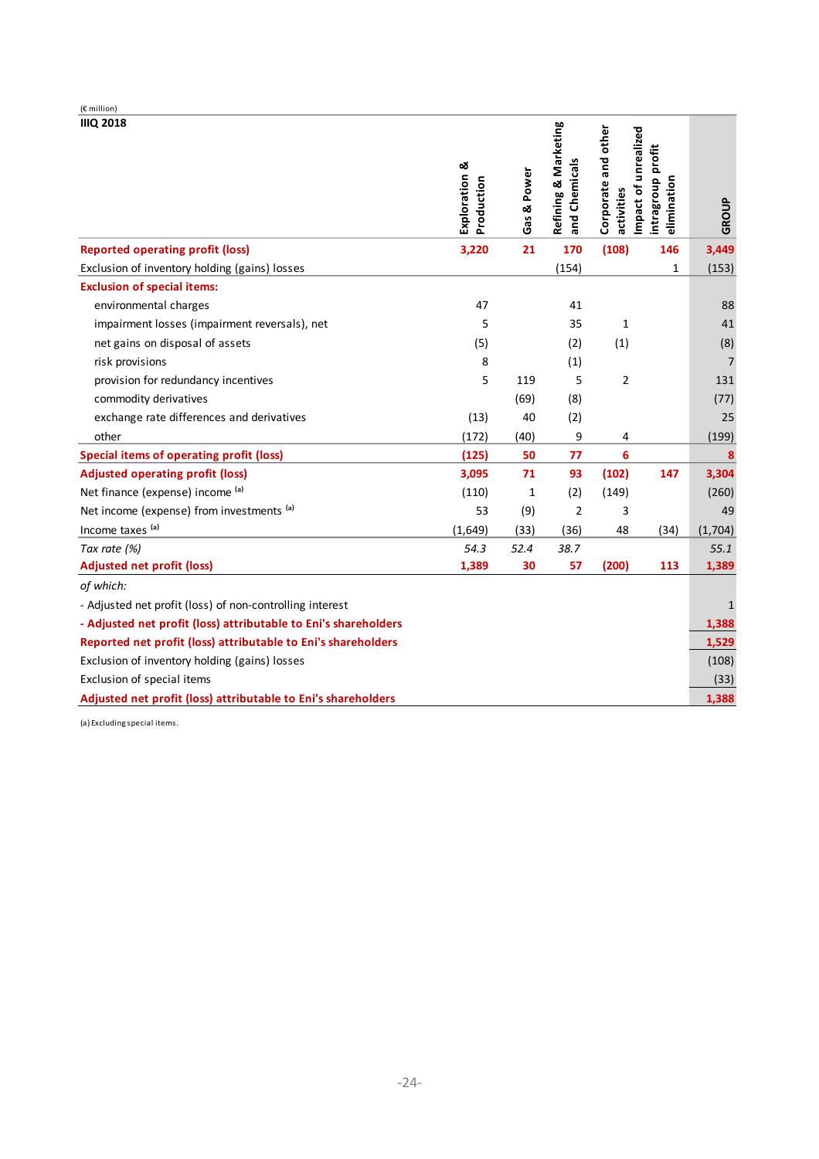| (€ million)                                                     |                             |             |                                       |                                   |                                                          |                |
|-----------------------------------------------------------------|-----------------------------|-------------|---------------------------------------|-----------------------------------|----------------------------------------------------------|----------------|
| <b>IIIQ 2018</b>                                                | Exploration &<br>Production | Gas & Power | Refining & Marketing<br>and Chemicals | Corporate and other<br>activities | Impact of unrealized<br>intragroup profit<br>elimination | GROUP          |
| <b>Reported operating profit (loss)</b>                         | 3,220                       | 21          | 170                                   | (108)                             | 146                                                      | 3,449          |
| Exclusion of inventory holding (gains) losses                   |                             |             | (154)                                 |                                   | 1                                                        | (153)          |
| <b>Exclusion of special items:</b>                              |                             |             |                                       |                                   |                                                          |                |
| environmental charges                                           | 47                          |             | 41                                    |                                   |                                                          | 88             |
| impairment losses (impairment reversals), net                   | 5                           |             | 35                                    | 1                                 |                                                          | 41             |
| net gains on disposal of assets                                 | (5)                         |             | (2)                                   | (1)                               |                                                          | (8)            |
| risk provisions                                                 | 8                           |             | (1)                                   |                                   |                                                          | $\overline{7}$ |
| provision for redundancy incentives                             | 5                           | 119         | 5                                     | 2                                 |                                                          | 131            |
| commodity derivatives                                           |                             | (69)        | (8)                                   |                                   |                                                          | (77)           |
| exchange rate differences and derivatives                       | (13)                        | 40          | (2)                                   |                                   |                                                          | 25             |
| other                                                           | (172)                       | (40)        | 9                                     | 4                                 |                                                          | (199)          |
| <b>Special items of operating profit (loss)</b>                 | (125)                       | 50          | 77                                    | 6                                 |                                                          | 8              |
| <b>Adjusted operating profit (loss)</b>                         | 3,095                       | 71          | 93                                    | (102)                             | 147                                                      | 3,304          |
| Net finance (expense) income (a)                                | (110)                       | 1           | (2)                                   | (149)                             |                                                          | (260)          |
| Net income (expense) from investments (a)                       | 53                          | (9)         | $\overline{2}$                        | 3                                 |                                                          | 49             |
| Income taxes (a)                                                | (1,649)                     | (33)        | (36)                                  | 48                                | (34)                                                     | (1,704)        |
| Tax rate (%)                                                    | 54.3                        | 52.4        | 38.7                                  |                                   |                                                          | 55.1           |
| <b>Adjusted net profit (loss)</b>                               | 1,389                       | 30          | 57                                    | (200)                             | 113                                                      | 1,389          |
| of which:                                                       |                             |             |                                       |                                   |                                                          |                |
| - Adjusted net profit (loss) of non-controlling interest        |                             |             |                                       |                                   |                                                          | 1              |
| - Adjusted net profit (loss) attributable to Eni's shareholders |                             |             |                                       |                                   |                                                          | 1,388          |
| Reported net profit (loss) attributable to Eni's shareholders   |                             |             |                                       |                                   |                                                          | 1,529          |
| Exclusion of inventory holding (gains) losses                   |                             |             |                                       |                                   |                                                          | (108)          |
| Exclusion of special items                                      |                             |             |                                       |                                   |                                                          | (33)           |
| Adjusted net profit (loss) attributable to Eni's shareholders   |                             |             |                                       |                                   |                                                          | 1,388          |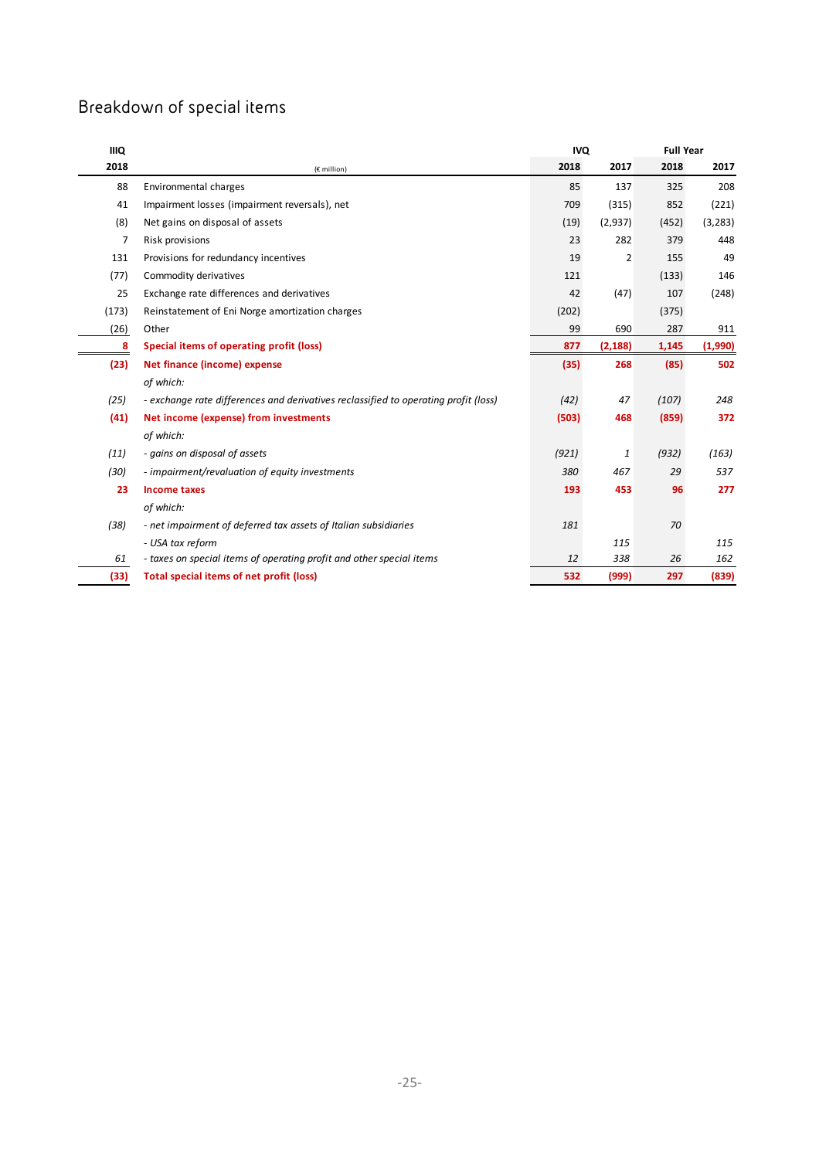## Breakdown of special items

| <b>IIIQ</b> |                                                                                     |       | <b>IVQ</b>     |       | <b>Full Year</b> |  |
|-------------|-------------------------------------------------------------------------------------|-------|----------------|-------|------------------|--|
| 2018        | (€ million)                                                                         | 2018  | 2017           | 2018  | 2017             |  |
| 88          | Environmental charges                                                               | 85    | 137            | 325   | 208              |  |
| 41          | Impairment losses (impairment reversals), net                                       | 709   | (315)          | 852   | (221)            |  |
| (8)         | Net gains on disposal of assets                                                     | (19)  | (2,937)        | (452) | (3, 283)         |  |
| 7           | Risk provisions                                                                     | 23    | 282            | 379   | 448              |  |
| 131         | Provisions for redundancy incentives                                                | 19    | $\overline{2}$ | 155   | 49               |  |
| (77)        | Commodity derivatives                                                               | 121   |                | (133) | 146              |  |
| 25          | Exchange rate differences and derivatives                                           | 42    | (47)           | 107   | (248)            |  |
| (173)       | Reinstatement of Eni Norge amortization charges                                     | (202) |                | (375) |                  |  |
| (26)        | Other                                                                               | 99    | 690            | 287   | 911              |  |
| 8           | Special items of operating profit (loss)                                            | 877   | (2, 188)       | 1,145 | (1,990)          |  |
| (23)        | Net finance (income) expense                                                        | (35)  | 268            | (85)  | 502              |  |
|             | of which:                                                                           |       |                |       |                  |  |
| (25)        | - exchange rate differences and derivatives reclassified to operating profit (loss) | (42)  | 47             | (107) | 248              |  |
| (41)        | Net income (expense) from investments                                               | (503) | 468            | (859) | 372              |  |
|             | of which:                                                                           |       |                |       |                  |  |
| (11)        | - gains on disposal of assets                                                       | (921) | 1              | (932) | (163)            |  |
| (30)        | - impairment/revaluation of equity investments                                      | 380   | 467            | 29    | 537              |  |
| 23          | <b>Income taxes</b>                                                                 | 193   | 453            | 96    | 277              |  |
|             | of which:                                                                           |       |                |       |                  |  |
| (38)        | - net impairment of deferred tax assets of Italian subsidiaries                     | 181   |                | 70    |                  |  |
|             | - USA tax reform                                                                    |       | 115            |       | 115              |  |
| 61          | - taxes on special items of operating profit and other special items                | 12    | 338            | 26    | 162              |  |
| (33)        | Total special items of net profit (loss)                                            | 532   | (999)          | 297   | (839)            |  |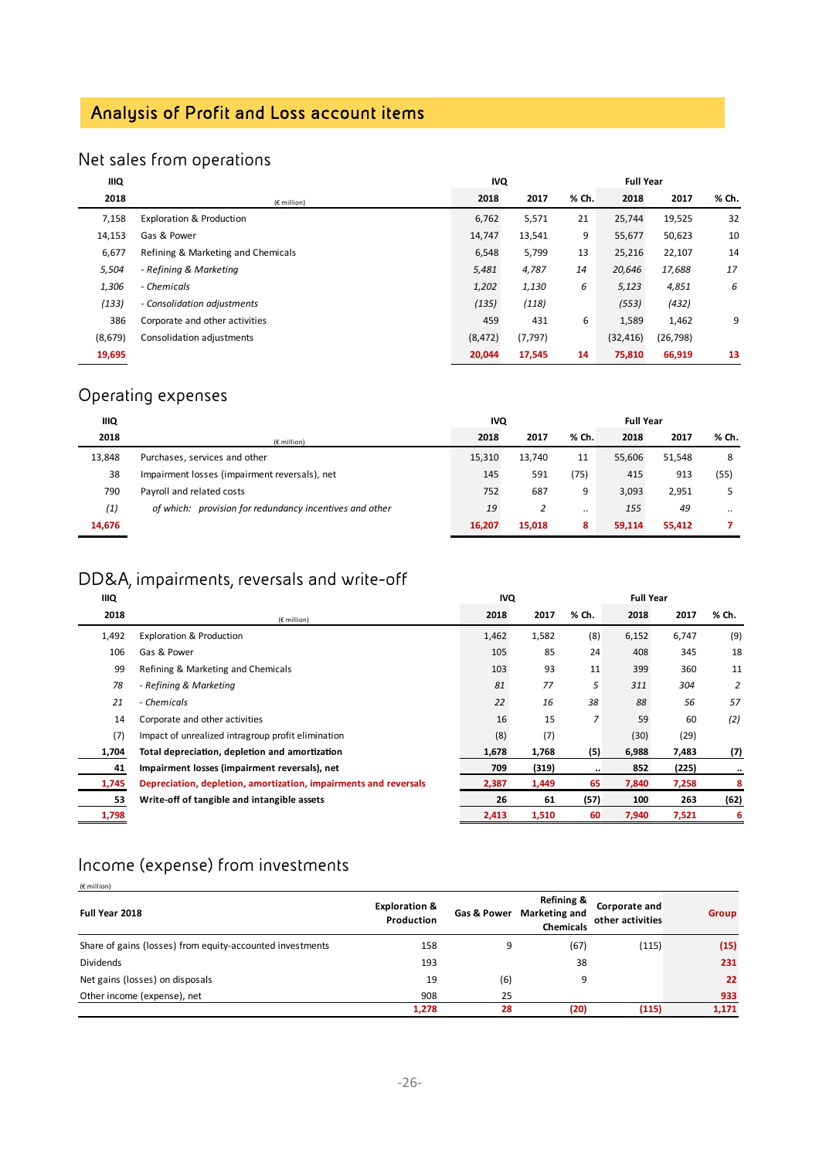## Analysis of Profit and Loss account items

## Net sales from operations

| <b>IIIQ</b> |                                     | <b>IVQ</b> |          | <b>Full Year</b> |           |           |       |
|-------------|-------------------------------------|------------|----------|------------------|-----------|-----------|-------|
| 2018        | $(E$ million)                       | 2018       | 2017     | % Ch.            | 2018      | 2017      | % Ch. |
| 7,158       | <b>Exploration &amp; Production</b> | 6,762      | 5,571    | 21               | 25,744    | 19,525    | 32    |
| 14,153      | Gas & Power                         | 14,747     | 13,541   | 9                | 55,677    | 50,623    | 10    |
| 6,677       | Refining & Marketing and Chemicals  | 6,548      | 5,799    | 13               | 25,216    | 22,107    | 14    |
| 5,504       | - Refining & Marketing              | 5,481      | 4,787    | 14               | 20,646    | 17,688    | 17    |
| 1,306       | - Chemicals                         | 1,202      | 1,130    | 6                | 5,123     | 4,851     | 6     |
| (133)       | - Consolidation adjustments         | (135)      | (118)    |                  | (553)     | (432)     |       |
| 386         | Corporate and other activities      | 459        | 431      | 6                | 1,589     | 1,462     | 9     |
| (8,679)     | Consolidation adjustments           | (8, 472)   | (7, 797) |                  | (32, 416) | (26, 798) |       |
| 19,695      |                                     | 20,044     | 17,545   | 14               | 75,810    | 66,919    | 13    |

## Operating expenses

| ШQ     |                                                         | <b>IVQ</b> |        |       | <b>Full Year</b> |        |       |
|--------|---------------------------------------------------------|------------|--------|-------|------------------|--------|-------|
| 2018   | $(E$ million)                                           | 2018       | 2017   | % Ch. | 2018             | 2017   | % Ch. |
| 13,848 | Purchases, services and other                           | 15,310     | 13,740 | 11    | 55,606           | 51,548 | 8     |
| 38     | Impairment losses (impairment reversals), net           | 145        | 591    | (75)  | 415              | 913    | (55)  |
| 790    | Payroll and related costs                               | 752        | 687    | 9     | 3,093            | 2,951  |       |
| (1)    | of which: provision for redundancy incentives and other | 19         | 2      |       | 155              | 49     |       |
| 14,676 |                                                         | 16,207     | 15,018 | 8     | 59,114           | 55,412 |       |

## DD&A, impairments, reversals and write-off

| <b>IIIQ</b> |                                                                  | <b>IVQ</b> |       | <b>Full Year</b> |       |       |       |
|-------------|------------------------------------------------------------------|------------|-------|------------------|-------|-------|-------|
| 2018        | $(E$ million)                                                    | 2018       | 2017  | % Ch.            | 2018  | 2017  | % Ch. |
| 1,492       | <b>Exploration &amp; Production</b>                              | 1,462      | 1,582 | (8)              | 6,152 | 6,747 | (9)   |
| 106         | Gas & Power                                                      | 105        | 85    | 24               | 408   | 345   | 18    |
| 99          | Refining & Marketing and Chemicals                               | 103        | 93    | 11               | 399   | 360   | 11    |
| 78          | - Refining & Marketing                                           | 81         | 77    | 5                | 311   | 304   | 2     |
| 21          | - Chemicals                                                      | 22         | 16    | 38               | 88    | 56    | 57    |
| 14          | Corporate and other activities                                   | 16         | 15    | $\overline{z}$   | 59    | 60    | (2)   |
| (7)         | Impact of unrealized intragroup profit elimination               | (8)        | (7)   |                  | (30)  | (29)  |       |
| 1,704       | Total depreciation, depletion and amortization                   | 1,678      | 1,768 | (5)              | 6,988 | 7,483 | (7)   |
| 41          | Impairment losses (impairment reversals), net                    | 709        | (319) |                  | 852   | (225) |       |
| 1,745       | Depreciation, depletion, amortization, impairments and reversals | 2,387      | 1,449 | 65               | 7,840 | 7,258 | 8     |
| 53          | Write-off of tangible and intangible assets                      | 26         | 61    | (57)             | 100   | 263   | (62)  |
| 1,798       |                                                                  | 2,413      | 1,510 | 60               | 7,940 | 7,521 | 6     |

## Income (expense) from investments

(€ million)

| Full Year 2018                                            | <b>Exploration &amp;</b><br>Production | Gas & Power | Refining &<br><b>Marketing and</b><br><b>Chemicals</b> | Corporate and<br>other activities | <b>Group</b> |
|-----------------------------------------------------------|----------------------------------------|-------------|--------------------------------------------------------|-----------------------------------|--------------|
| Share of gains (losses) from equity-accounted investments | 158                                    | 9           | (67)                                                   | (115)                             | (15)         |
| <b>Dividends</b>                                          | 193                                    |             | 38                                                     |                                   | 231          |
| Net gains (losses) on disposals                           | 19                                     | (6)         | a                                                      |                                   | 22           |
| Other income (expense), net                               | 908                                    | 25          |                                                        |                                   | 933          |
|                                                           | 1,278                                  | 28          | (20)                                                   | (115)                             | 1,171        |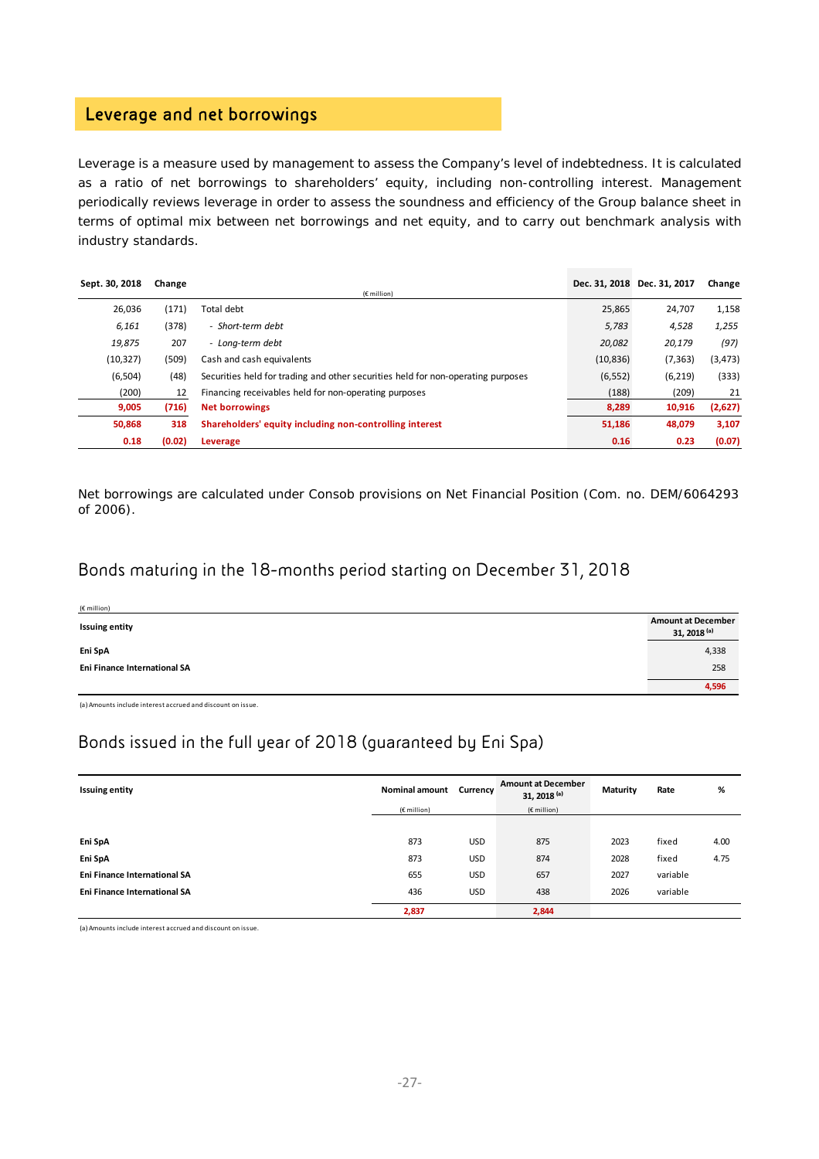## Leverage and net borrowings

Leverage is a measure used by management to assess the Company's level of indebtedness. It is calculated as a ratio of net borrowings to shareholders' equity, including non-controlling interest. Management periodically reviews leverage in order to assess the soundness and efficiency of the Group balance sheet in terms of optimal mix between net borrowings and net equity, and to carry out benchmark analysis with industry standards.

| Sept. 30, 2018 | Change | $(E$ million)                                                                    |           | Dec. 31, 2018 Dec. 31, 2017 | Change   |
|----------------|--------|----------------------------------------------------------------------------------|-----------|-----------------------------|----------|
| 26,036         | (171)  | Total debt                                                                       | 25,865    | 24,707                      | 1,158    |
| 6,161          | (378)  | - Short-term debt                                                                | 5,783     | 4,528                       | 1,255    |
| 19,875         | 207    | - Long-term debt                                                                 | 20,082    | 20,179                      | (97)     |
| (10, 327)      | (509)  | Cash and cash equivalents                                                        | (10, 836) | (7, 363)                    | (3, 473) |
| (6, 504)       | (48)   | Securities held for trading and other securities held for non-operating purposes | (6, 552)  | (6, 219)                    | (333)    |
| (200)          | 12     | Financing receivables held for non-operating purposes                            | (188)     | (209)                       | 21       |
| 9,005          | (716)  | <b>Net borrowings</b>                                                            | 8,289     | 10,916                      | (2,627)  |
| 50,868         | 318    | Shareholders' equity including non-controlling interest                          | 51,186    | 48,079                      | 3,107    |
| 0.18           | (0.02) | Leverage                                                                         | 0.16      | 0.23                        | (0.07)   |

Net borrowings are calculated under Consob provisions on Net Financial Position (Com. no. DEM/6064293 of 2006).

## Bonds maturing in the 18-months period starting on December 31, 2018

| (€ million)                  |                                                      |
|------------------------------|------------------------------------------------------|
| <b>Issuing entity</b>        | <b>Amount at December</b><br>31, 2018 <sup>(a)</sup> |
| Eni SpA                      | 4,338                                                |
| Eni Finance International SA | 258                                                  |
|                              | 4,596                                                |

(a)Amounts include interest accrued and discount on issue.

## Bonds issued in the full year of 2018 (guaranteed by Eni Spa)

| <b>Issuing entity</b>               | <b>Nominal amount</b> | Currency   | <b>Amount at December</b><br>31, 2018 <sup>(a)</sup> | Maturity | Rate     | %    |
|-------------------------------------|-----------------------|------------|------------------------------------------------------|----------|----------|------|
|                                     | (€ million)           |            | $(E$ million)                                        |          |          |      |
|                                     |                       |            |                                                      |          |          |      |
| Eni SpA                             | 873                   | <b>USD</b> | 875                                                  | 2023     | fixed    | 4.00 |
| Eni SpA                             | 873                   | <b>USD</b> | 874                                                  | 2028     | fixed    | 4.75 |
| <b>Eni Finance International SA</b> | 655                   | <b>USD</b> | 657                                                  | 2027     | variable |      |
| <b>Eni Finance International SA</b> | 436                   | <b>USD</b> | 438                                                  | 2026     | variable |      |
|                                     | 2,837                 |            | 2,844                                                |          |          |      |

(a) Amounts include interest accrued and discount on issue.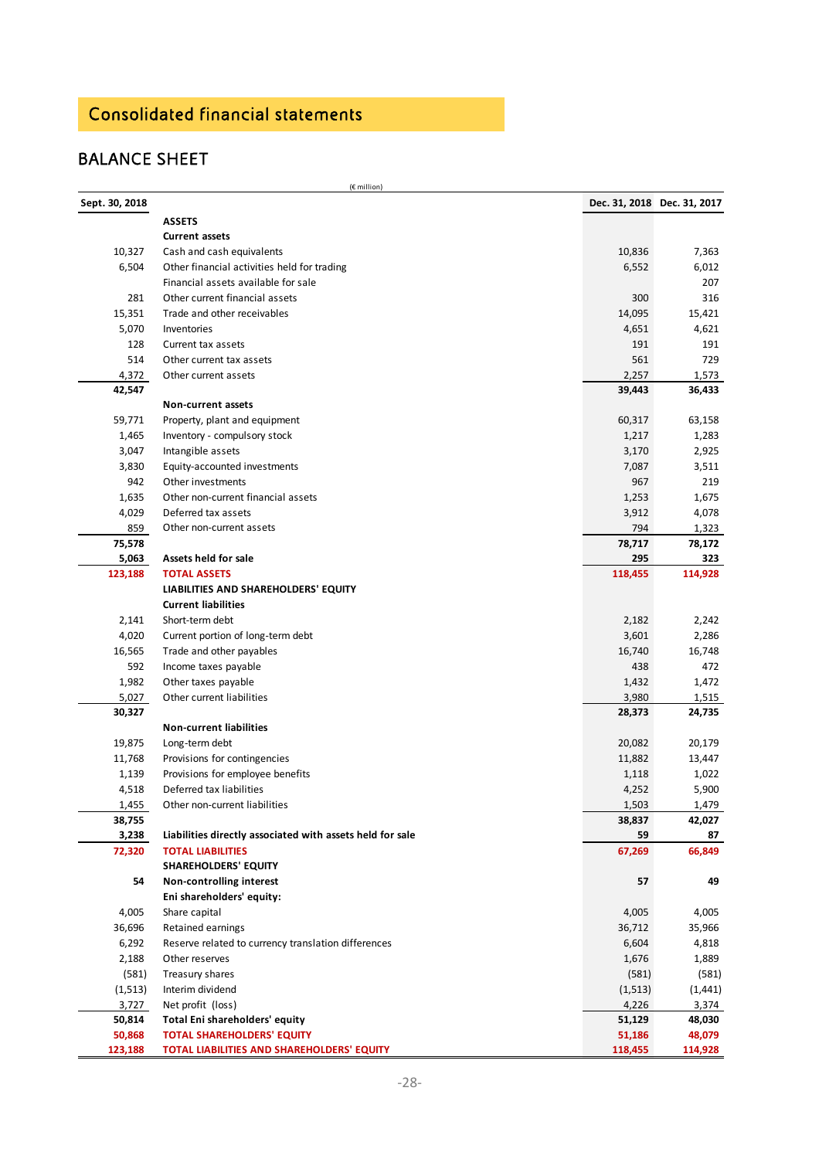## Consolidated financial statements

## BALANCE SHEET

|                | (€ million)                                               |          |                             |
|----------------|-----------------------------------------------------------|----------|-----------------------------|
| Sept. 30, 2018 |                                                           |          | Dec. 31, 2018 Dec. 31, 2017 |
|                | <b>ASSETS</b>                                             |          |                             |
|                | <b>Current assets</b>                                     |          |                             |
| 10,327         | Cash and cash equivalents                                 | 10,836   | 7,363                       |
| 6,504          | Other financial activities held for trading               | 6,552    | 6,012                       |
|                | Financial assets available for sale                       |          | 207                         |
| 281            | Other current financial assets                            | 300      | 316                         |
| 15,351         | Trade and other receivables                               | 14,095   | 15,421                      |
| 5,070          | Inventories                                               | 4,651    | 4,621                       |
| 128            | Current tax assets                                        | 191      | 191                         |
| 514            | Other current tax assets                                  | 561      | 729                         |
| 4,372          | Other current assets                                      | 2,257    | 1,573                       |
| 42,547         |                                                           | 39,443   | 36,433                      |
|                | Non-current assets                                        |          |                             |
| 59,771         | Property, plant and equipment                             | 60,317   | 63,158                      |
| 1,465          | Inventory - compulsory stock                              | 1,217    | 1,283                       |
| 3,047          | Intangible assets                                         | 3,170    | 2,925                       |
| 3,830          | Equity-accounted investments                              | 7,087    | 3,511                       |
| 942            | Other investments                                         | 967      | 219                         |
| 1,635          | Other non-current financial assets                        | 1,253    | 1,675                       |
| 4,029          | Deferred tax assets                                       | 3,912    | 4,078                       |
| 859            | Other non-current assets                                  | 794      | 1,323                       |
| 75,578         |                                                           | 78,717   | 78,172                      |
| 5,063          | Assets held for sale                                      | 295      | 323                         |
| 123,188        | <b>TOTAL ASSETS</b>                                       | 118,455  | 114,928                     |
|                | LIABILITIES AND SHAREHOLDERS' EQUITY                      |          |                             |
|                | <b>Current liabilities</b>                                |          |                             |
| 2,141          | Short-term debt                                           | 2,182    | 2,242                       |
| 4,020          | Current portion of long-term debt                         | 3,601    | 2,286                       |
| 16,565         | Trade and other payables                                  | 16,740   | 16,748                      |
| 592            | Income taxes payable                                      | 438      | 472                         |
| 1,982          | Other taxes payable                                       | 1,432    | 1,472                       |
| 5,027          | Other current liabilities                                 | 3,980    | 1,515                       |
| 30,327         |                                                           | 28,373   | 24,735                      |
|                | <b>Non-current liabilities</b>                            |          |                             |
| 19,875         | Long-term debt                                            | 20,082   | 20,179                      |
| 11,768         | Provisions for contingencies                              | 11,882   | 13,447                      |
| 1,139          | Provisions for employee benefits                          | 1,118    | 1,022                       |
| 4,518          | Deferred tax liabilities                                  | 4,252    | 5,900                       |
| <u>1,455</u>   | Other non-current liabilities                             | 1,503    | 1,479                       |
| 38,755         |                                                           | 38,837   | 42,027                      |
| 3,238          | Liabilities directly associated with assets held for sale | 59       | 87                          |
| 72,320         | <b>TOTAL LIABILITIES</b>                                  | 67,269   | 66,849                      |
|                | <b>SHAREHOLDERS' EQUITY</b>                               |          |                             |
| 54             | Non-controlling interest                                  | 57       | 49                          |
|                | Eni shareholders' equity:                                 |          |                             |
| 4,005          | Share capital                                             | 4,005    | 4,005                       |
| 36,696         | Retained earnings                                         | 36,712   | 35,966                      |
| 6,292          | Reserve related to currency translation differences       | 6,604    | 4,818                       |
| 2,188          | Other reserves                                            | 1,676    | 1,889                       |
| (581)          | Treasury shares                                           | (581)    | (581)                       |
| (1, 513)       | Interim dividend                                          | (1, 513) | (1, 441)                    |
| 3,727          | Net profit (loss)                                         | 4,226    | 3,374                       |
| 50,814         | Total Eni shareholders' equity                            | 51,129   | 48,030                      |
| 50,868         | <b>TOTAL SHAREHOLDERS' EQUITY</b>                         | 51,186   | 48,079                      |
| 123,188        | TOTAL LIABILITIES AND SHAREHOLDERS' EQUITY                | 118,455  | 114,928                     |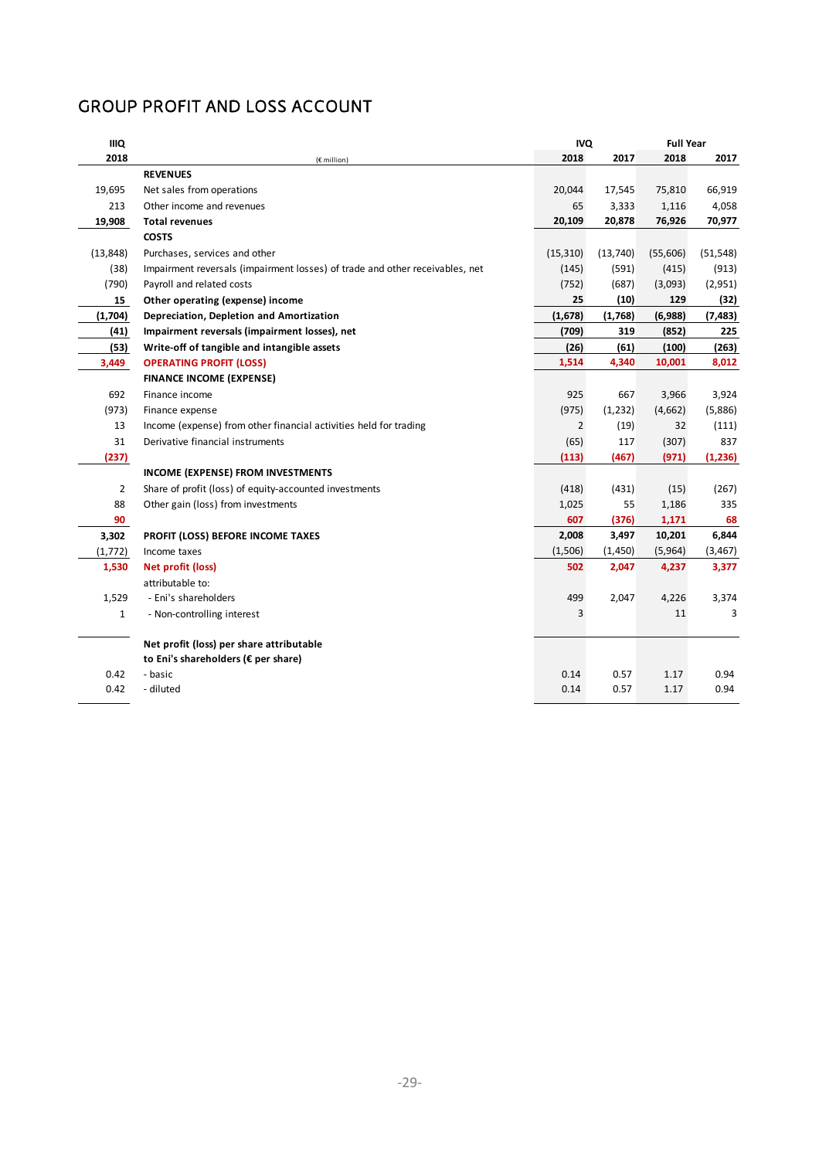## GROUP PROFIT AND LOSS ACCOUNT

| <b>IIIQ</b>  |                                                                              |                | <b>IVQ</b> | <b>Full Year</b> |           |
|--------------|------------------------------------------------------------------------------|----------------|------------|------------------|-----------|
| 2018         | (€ million)                                                                  | 2018           | 2017       | 2018             | 2017      |
|              | <b>REVENUES</b>                                                              |                |            |                  |           |
| 19,695       | Net sales from operations                                                    | 20,044         | 17,545     | 75,810           | 66,919    |
| 213          | Other income and revenues                                                    | 65             | 3,333      | 1,116            | 4,058     |
| 19,908       | <b>Total revenues</b>                                                        | 20,109         | 20,878     | 76,926           | 70,977    |
|              | <b>COSTS</b>                                                                 |                |            |                  |           |
| (13, 848)    | Purchases, services and other                                                | (15, 310)      | (13,740)   | (55,606)         | (51, 548) |
| (38)         | Impairment reversals (impairment losses) of trade and other receivables, net | (145)          | (591)      | (415)            | (913)     |
| (790)        | Payroll and related costs                                                    | (752)          | (687)      | (3,093)          | (2,951)   |
| 15           | Other operating (expense) income                                             | 25             | (10)       | 129              | (32)      |
| (1,704)      | Depreciation, Depletion and Amortization                                     | (1,678)        | (1,768)    | (6,988)          | (7, 483)  |
| (41)         | Impairment reversals (impairment losses), net                                | (709)          | 319        | (852)            | 225       |
| (53)         | Write-off of tangible and intangible assets                                  | (26)           | (61)       | (100)            | (263)     |
| 3,449        | <b>OPERATING PROFIT (LOSS)</b>                                               | 1,514          | 4,340      | 10,001           | 8,012     |
|              | <b>FINANCE INCOME (EXPENSE)</b>                                              |                |            |                  |           |
| 692          | Finance income                                                               | 925            | 667        | 3,966            | 3,924     |
| (973)        | Finance expense                                                              | (975)          | (1, 232)   | (4,662)          | (5,886)   |
| 13           | Income (expense) from other financial activities held for trading            | $\overline{2}$ | (19)       | 32               | (111)     |
| 31           | Derivative financial instruments                                             | (65)           | 117        | (307)            | 837       |
| (237)        |                                                                              | (113)          | (467)      | (971)            | (1,236)   |
|              | <b>INCOME (EXPENSE) FROM INVESTMENTS</b>                                     |                |            |                  |           |
| 2            | Share of profit (loss) of equity-accounted investments                       | (418)          | (431)      | (15)             | (267)     |
| 88           | Other gain (loss) from investments                                           | 1,025          | 55         | 1,186            | 335       |
| 90           |                                                                              | 607            | (376)      | 1,171            | 68        |
| 3,302        | PROFIT (LOSS) BEFORE INCOME TAXES                                            | 2,008          | 3,497      | 10,201           | 6,844     |
| (1, 772)     | Income taxes                                                                 | (1,506)        | (1,450)    | (5,964)          | (3, 467)  |
| 1,530        | Net profit (loss)                                                            | 502            | 2,047      | 4,237            | 3,377     |
|              | attributable to:                                                             |                |            |                  |           |
| 1,529        | - Eni's shareholders                                                         | 499            | 2,047      | 4,226            | 3,374     |
| $\mathbf{1}$ | - Non-controlling interest                                                   | 3              |            | 11               | 3         |
|              | Net profit (loss) per share attributable                                     |                |            |                  |           |
|              | to Eni's shareholders (€ per share)                                          |                |            |                  |           |
| 0.42         | - basic                                                                      | 0.14           | 0.57       | 1.17             | 0.94      |
| 0.42         | - diluted                                                                    | 0.14           | 0.57       | 1.17             | 0.94      |
|              |                                                                              |                |            |                  |           |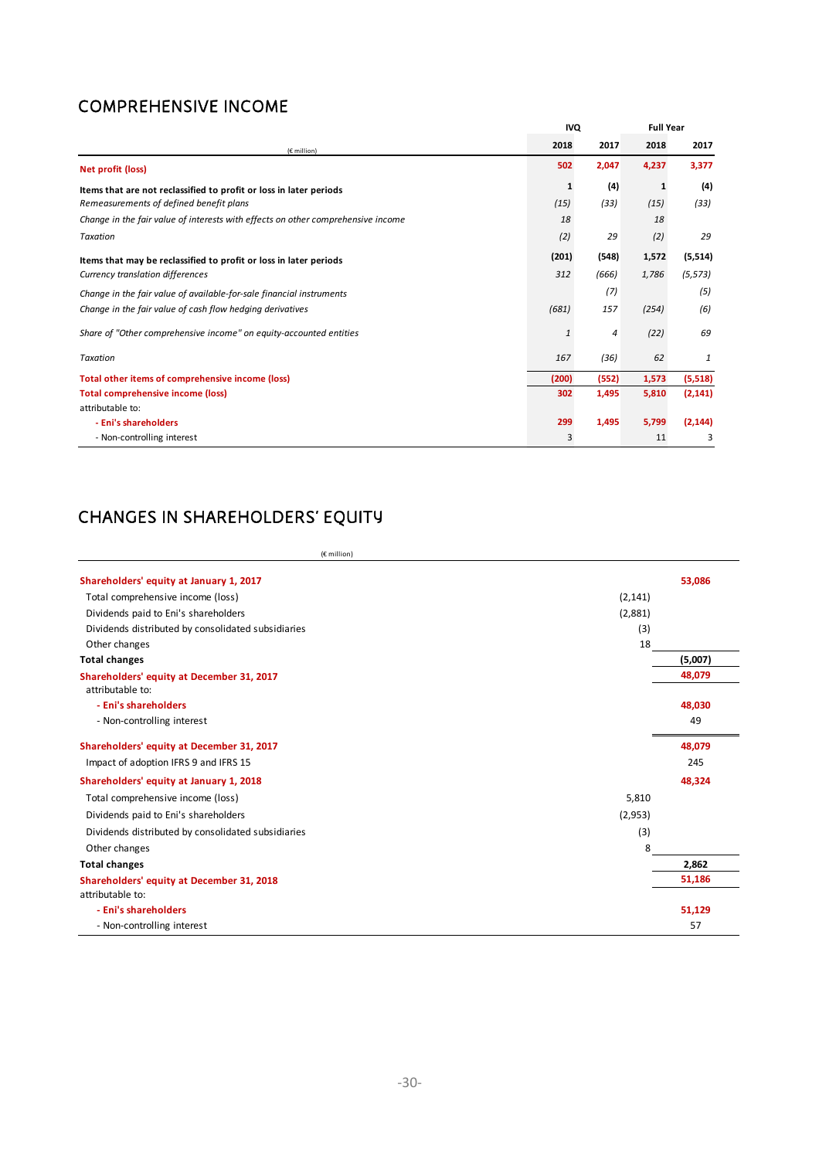## COMPREHENSIVE INCOME

|                                                                                  | <b>IVQ</b>   |       | <b>Full Year</b> |          |
|----------------------------------------------------------------------------------|--------------|-------|------------------|----------|
| (€ million)                                                                      | 2018         | 2017  | 2018             | 2017     |
| Net profit (loss)                                                                | 502          | 2,047 | 4,237            | 3,377    |
| Items that are not reclassified to profit or loss in later periods               | 1            | (4)   | 1                | (4)      |
| Remeasurements of defined benefit plans                                          | (15)         | (33)  | (15)             | (33)     |
| Change in the fair value of interests with effects on other comprehensive income | 18           |       | 18               |          |
| Taxation                                                                         | (2)          | 29    | (2)              | 29       |
| Items that may be reclassified to profit or loss in later periods                | (201)        | (548) | 1,572            | (5, 514) |
| Currency translation differences                                                 | 312          | (666) | 1,786            | (5, 573) |
| Change in the fair value of available-for-sale financial instruments             |              | (7)   |                  | (5)      |
| Change in the fair value of cash flow hedging derivatives                        | (681)        | 157   | (254)            | (6)      |
| Share of "Other comprehensive income" on equity-accounted entities               | $\mathbf{1}$ | 4     | (22)             | 69       |
| Taxation                                                                         | 167          | (36)  | 62               | 1        |
| Total other items of comprehensive income (loss)                                 | (200)        | (552) | 1,573            | (5,518)  |
| <b>Total comprehensive income (loss)</b>                                         | 302          | 1,495 | 5,810            | (2, 141) |
| attributable to:                                                                 |              |       |                  |          |
| - Eni's shareholders                                                             | 299          | 1,495 | 5,799            | (2, 144) |
| - Non-controlling interest                                                       | 3            |       | 11               | 3        |

## CHANGES IN SHAREHOLDERS' EQUITY

| (€ million)                                                   |          |         |
|---------------------------------------------------------------|----------|---------|
| Shareholders' equity at January 1, 2017                       |          | 53,086  |
| Total comprehensive income (loss)                             | (2, 141) |         |
| Dividends paid to Eni's shareholders                          | (2,881)  |         |
| Dividends distributed by consolidated subsidiaries            | (3)      |         |
| Other changes                                                 | 18       |         |
| <b>Total changes</b>                                          |          | (5,007) |
| Shareholders' equity at December 31, 2017<br>attributable to: |          | 48,079  |
| - Eni's shareholders                                          |          | 48,030  |
| - Non-controlling interest                                    |          | 49      |
| Shareholders' equity at December 31, 2017                     |          | 48,079  |
| Impact of adoption IFRS 9 and IFRS 15                         |          | 245     |
| Shareholders' equity at January 1, 2018                       |          | 48,324  |
| Total comprehensive income (loss)                             | 5,810    |         |
| Dividends paid to Eni's shareholders                          | (2,953)  |         |
| Dividends distributed by consolidated subsidiaries            | (3)      |         |
| Other changes                                                 | 8        |         |
| <b>Total changes</b>                                          |          | 2,862   |
| Shareholders' equity at December 31, 2018                     |          | 51,186  |
| attributable to:                                              |          |         |
| - Eni's shareholders                                          |          | 51,129  |
| - Non-controlling interest                                    |          | 57      |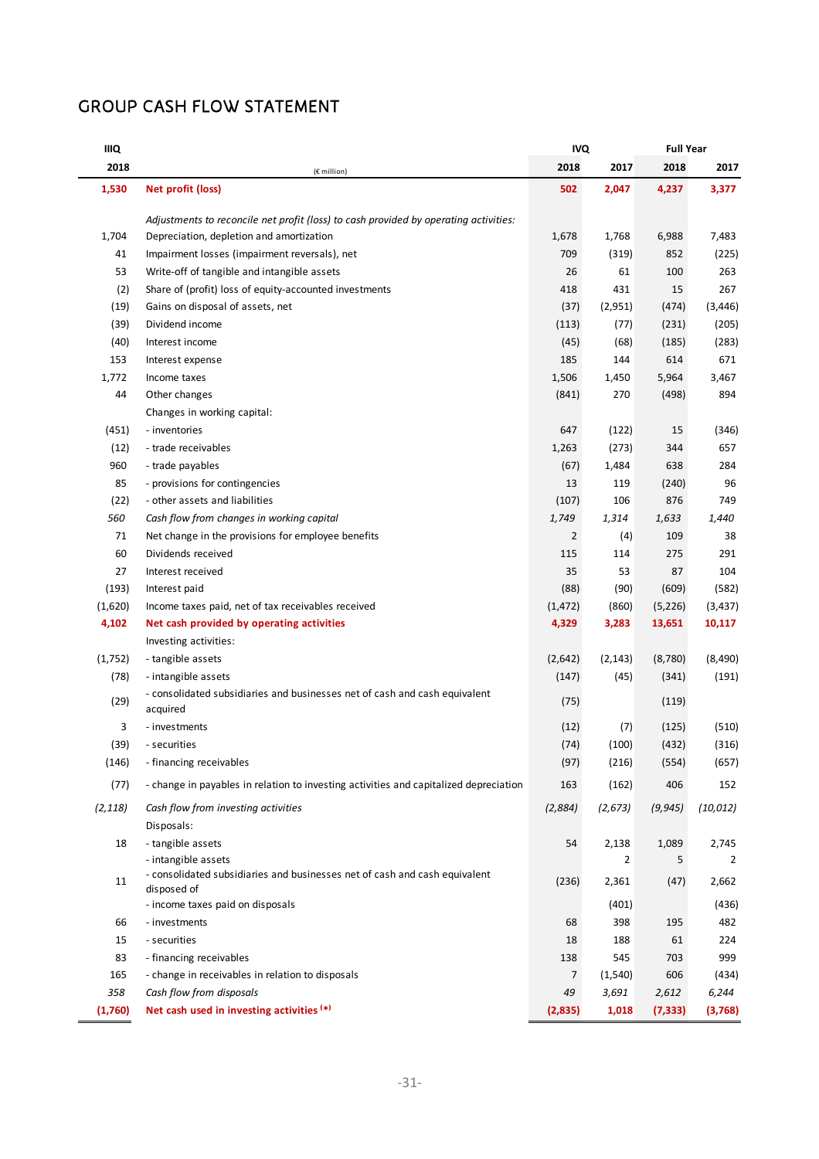## GROUP CASH FLOW STATEMENT

| IIIQ     | <b>IVQ</b>                                                                                |                |          | <b>Full Year</b> |           |  |
|----------|-------------------------------------------------------------------------------------------|----------------|----------|------------------|-----------|--|
| 2018     | (€ million)                                                                               | 2018           | 2017     | 2018             | 2017      |  |
| 1,530    | Net profit (loss)                                                                         | 502            | 2,047    | 4,237            | 3,377     |  |
|          | Adjustments to reconcile net profit (loss) to cash provided by operating activities:      |                |          |                  |           |  |
| 1,704    | Depreciation, depletion and amortization                                                  | 1,678          | 1,768    | 6,988            | 7,483     |  |
| 41       | Impairment losses (impairment reversals), net                                             | 709            | (319)    | 852              | (225)     |  |
| 53       | Write-off of tangible and intangible assets                                               | 26             | 61       | 100              | 263       |  |
| (2)      | Share of (profit) loss of equity-accounted investments                                    | 418            | 431      | 15               | 267       |  |
| (19)     | Gains on disposal of assets, net                                                          | (37)           | (2,951)  | (474)            | (3, 446)  |  |
| (39)     | Dividend income                                                                           | (113)          | (77)     | (231)            | (205)     |  |
| (40)     | Interest income                                                                           | (45)           | (68)     | (185)            | (283)     |  |
| 153      | Interest expense                                                                          | 185            | 144      | 614              | 671       |  |
| 1,772    | Income taxes                                                                              | 1,506          | 1,450    | 5,964            | 3,467     |  |
| 44       | Other changes                                                                             | (841)          | 270      | (498)            | 894       |  |
|          | Changes in working capital:                                                               |                |          |                  |           |  |
| (451)    | - inventories                                                                             | 647            | (122)    | 15               | (346)     |  |
| (12)     | - trade receivables                                                                       | 1,263          | (273)    | 344              | 657       |  |
| 960      | - trade payables                                                                          | (67)           | 1,484    | 638              | 284       |  |
| 85       | - provisions for contingencies                                                            | 13             | 119      | (240)            | 96        |  |
| (22)     | - other assets and liabilities                                                            | (107)          | 106      | 876              | 749       |  |
| 560      | Cash flow from changes in working capital                                                 | 1,749          | 1,314    | 1,633            | 1,440     |  |
| 71       | Net change in the provisions for employee benefits                                        | $\overline{2}$ | (4)      | 109              | 38        |  |
| 60       | Dividends received                                                                        | 115            | 114      | 275              | 291       |  |
| 27       | Interest received                                                                         | 35             | 53       | 87               | 104       |  |
| (193)    | Interest paid                                                                             | (88)           | (90)     | (609)            | (582)     |  |
| (1,620)  | Income taxes paid, net of tax receivables received                                        | (1, 472)       | (860)    | (5, 226)         | (3, 437)  |  |
| 4,102    | Net cash provided by operating activities                                                 | 4,329          | 3,283    | 13,651           | 10,117    |  |
|          | Investing activities:                                                                     |                |          |                  |           |  |
| (1,752)  | - tangible assets                                                                         | (2,642)        | (2, 143) | (8,780)          | (8, 490)  |  |
| (78)     | - intangible assets                                                                       | (147)          | (45)     | (341)            | (191)     |  |
|          | - consolidated subsidiaries and businesses net of cash and cash equivalent                |                |          |                  |           |  |
| (29)     | acquired                                                                                  | (75)           |          | (119)            |           |  |
| 3        | - investments                                                                             | (12)           | (7)      | (125)            | (510)     |  |
| (39)     | - securities                                                                              | (74)           | (100)    | (432)            | (316)     |  |
| (146)    | - financing receivables                                                                   | (97)           | (216)    | (554)            | (657)     |  |
| (77)     | - change in payables in relation to investing activities and capitalized depreciation     | 163            | (162)    | 406              | 152       |  |
| (2, 118) | Cash flow from investing activities                                                       | (2,884)        | (2,673)  | (9, 945)         | (10, 012) |  |
|          | Disposals:                                                                                |                |          |                  |           |  |
| 18       | - tangible assets                                                                         | 54             | 2,138    | 1,089            | 2,745     |  |
|          | - intangible assets                                                                       |                | 2        | 5                | 2         |  |
| 11       | - consolidated subsidiaries and businesses net of cash and cash equivalent<br>disposed of | (236)          | 2,361    | (47)             | 2,662     |  |
|          | - income taxes paid on disposals                                                          |                | (401)    |                  | (436)     |  |
| 66       | - investments                                                                             | 68             | 398      | 195              | 482       |  |
| 15       | - securities                                                                              | 18             | 188      | 61               | 224       |  |
| 83       | - financing receivables                                                                   | 138            | 545      | 703              | 999       |  |
| 165      | - change in receivables in relation to disposals                                          | 7              | (1, 540) | 606              | (434)     |  |
| 358      | Cash flow from disposals                                                                  | 49             | 3,691    | 2,612            | 6,244     |  |
| (1,760)  | Net cash used in investing activities (*)                                                 | (2,835)        | 1,018    | (7, 333)         | (3,768)   |  |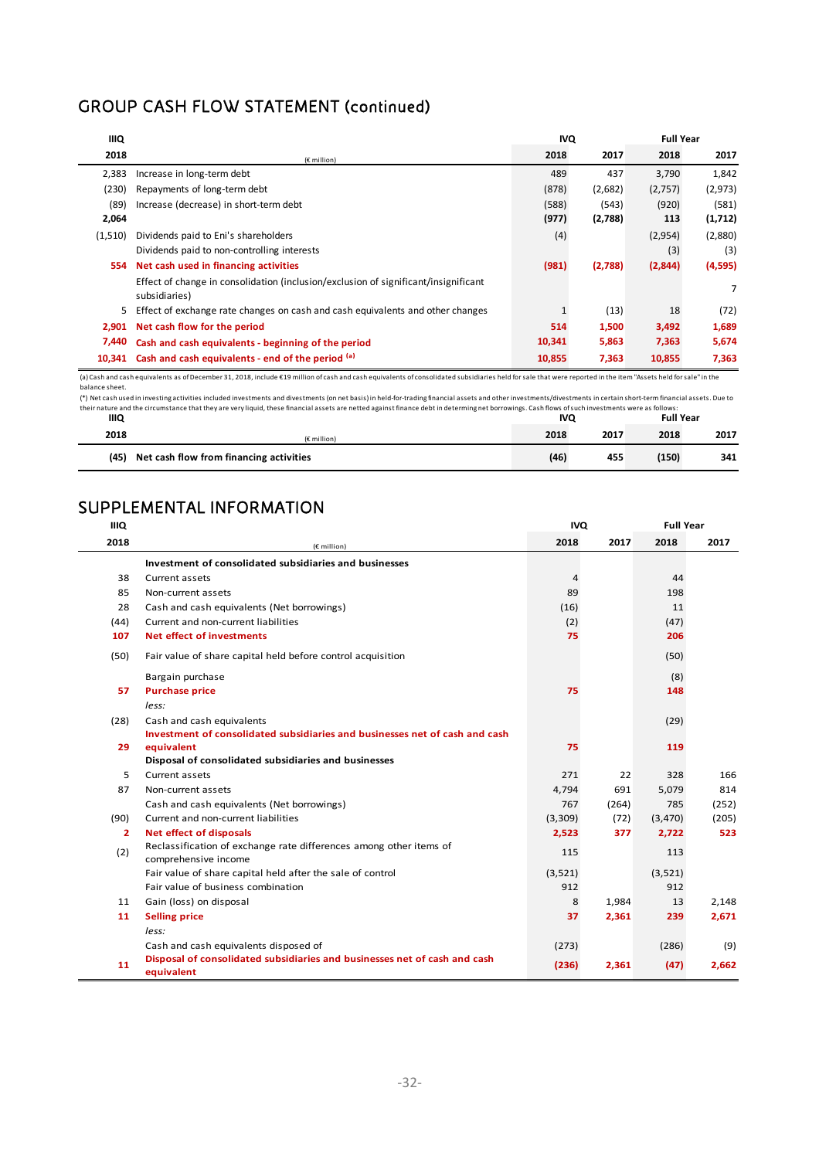## GROUP CASH FLOW STATEMENT (continued)

| <b>IIIQ</b> |                                                                                                      | <b>IVQ</b> |         | <b>Full Year</b> |          |
|-------------|------------------------------------------------------------------------------------------------------|------------|---------|------------------|----------|
| 2018        | (€ million)                                                                                          | 2018       | 2017    | 2018             | 2017     |
| 2,383       | Increase in long-term debt                                                                           | 489        | 437     | 3,790            | 1,842    |
| (230)       | Repayments of long-term debt                                                                         | (878)      | (2,682) | (2,757)          | (2, 973) |
| (89)        | Increase (decrease) in short-term debt                                                               | (588)      | (543)   | (920)            | (581)    |
| 2,064       |                                                                                                      | (977)      | (2,788) | 113              | (1,712)  |
| (1,510)     | Dividends paid to Eni's shareholders                                                                 | (4)        |         | (2,954)          | (2,880)  |
|             | Dividends paid to non-controlling interests                                                          |            |         | (3)              | (3)      |
| 554         | Net cash used in financing activities                                                                | (981)      | (2,788) | (2,844)          | (4,595)  |
|             | Effect of change in consolidation (inclusion/exclusion of significant/insignificant<br>subsidiaries) |            |         |                  | 7        |
| 5.          | Effect of exchange rate changes on cash and cash equivalents and other changes                       |            | (13)    | 18               | (72)     |
| 2,901       | Net cash flow for the period                                                                         | 514        | 1,500   | 3,492            | 1,689    |
| 7,440       | Cash and cash equivalents - beginning of the period                                                  | 10,341     | 5,863   | 7,363            | 5,674    |
| 10.341      | Cash and cash equivalents - end of the period (a)                                                    | 10,855     | 7,363   | 10,855           | 7,363    |

(a) Cash and cash equivalents as ofDecember 31, 2018, include €19 million of cash and cash equivalents of consolidated subsidiaries held forsale that were reported in the item "Assets held forsale" in the balance sheet.

their nature and the circumstance that they are very liquid, these financial assets are netted against finance debt in determing net borrowings. Cash flows of such investments were as follows:<br>IIIQ Full Year - unnou conconcontent investing activities included investments and divestments (on net basis) in held‐for‐trading financial assets and other investments/divestments in certain short‐term financial assets. Due to

| шо   |                                         | <b>IVQ</b> |      | Full Year |      |
|------|-----------------------------------------|------------|------|-----------|------|
| 2018 | $(E$ million)                           | 2018       | 2017 | 2018      | 2017 |
| (45) | Net cash flow from financing activities | (46)       | 455  | (150)     | 341  |

## SUPPLEMENTAL INFORMATION

| <b>IIIQ</b>  |                                                                                            | <b>IVQ</b>     |       | <b>Full Year</b> |       |
|--------------|--------------------------------------------------------------------------------------------|----------------|-------|------------------|-------|
| 2018         | (€ million)                                                                                | 2018           | 2017  | 2018             | 2017  |
|              | Investment of consolidated subsidiaries and businesses                                     |                |       |                  |       |
| 38           | Current assets                                                                             | $\overline{4}$ |       | 44               |       |
| 85           | Non-current assets                                                                         | 89             |       | 198              |       |
| 28           | Cash and cash equivalents (Net borrowings)                                                 | (16)           |       | 11               |       |
| (44)         | Current and non-current liabilities                                                        | (2)            |       | (47)             |       |
| 107          | Net effect of investments                                                                  | 75             |       | 206              |       |
| (50)         | Fair value of share capital held before control acquisition                                |                |       | (50)             |       |
|              | Bargain purchase                                                                           |                |       | (8)              |       |
| 57           | <b>Purchase price</b>                                                                      | 75             |       | 148              |       |
|              | less:                                                                                      |                |       |                  |       |
| (28)         | Cash and cash equivalents                                                                  |                |       | (29)             |       |
|              | Investment of consolidated subsidiaries and businesses net of cash and cash                |                |       |                  |       |
| 29           | equivalent                                                                                 | 75             |       | 119              |       |
|              | Disposal of consolidated subsidiaries and businesses                                       |                |       |                  |       |
| 5            | Current assets                                                                             | 271            | 22    | 328              | 166   |
| 87           | Non-current assets                                                                         | 4,794          | 691   | 5,079            | 814   |
|              | Cash and cash equivalents (Net borrowings)                                                 | 767            | (264) | 785              | (252) |
| (90)         | Current and non-current liabilities                                                        | (3,309)        | (72)  | (3, 470)         | (205) |
| $\mathbf{2}$ | <b>Net effect of disposals</b>                                                             | 2,523          | 377   | 2,722            | 523   |
| (2)          | Reclassification of exchange rate differences among other items of<br>comprehensive income | 115            |       | 113              |       |
|              | Fair value of share capital held after the sale of control                                 | (3,521)        |       | (3,521)          |       |
|              | Fair value of business combination                                                         | 912            |       | 912              |       |
| 11           | Gain (loss) on disposal                                                                    | 8              | 1,984 | 13               | 2,148 |
| 11           | <b>Selling price</b>                                                                       | 37             | 2,361 | 239              | 2,671 |
|              | less:                                                                                      |                |       |                  |       |
|              | Cash and cash equivalents disposed of                                                      | (273)          |       | (286)            | (9)   |
| 11           | Disposal of consolidated subsidiaries and businesses net of cash and cash                  | (236)          | 2,361 | (47)             | 2,662 |
|              | equivalent                                                                                 |                |       |                  |       |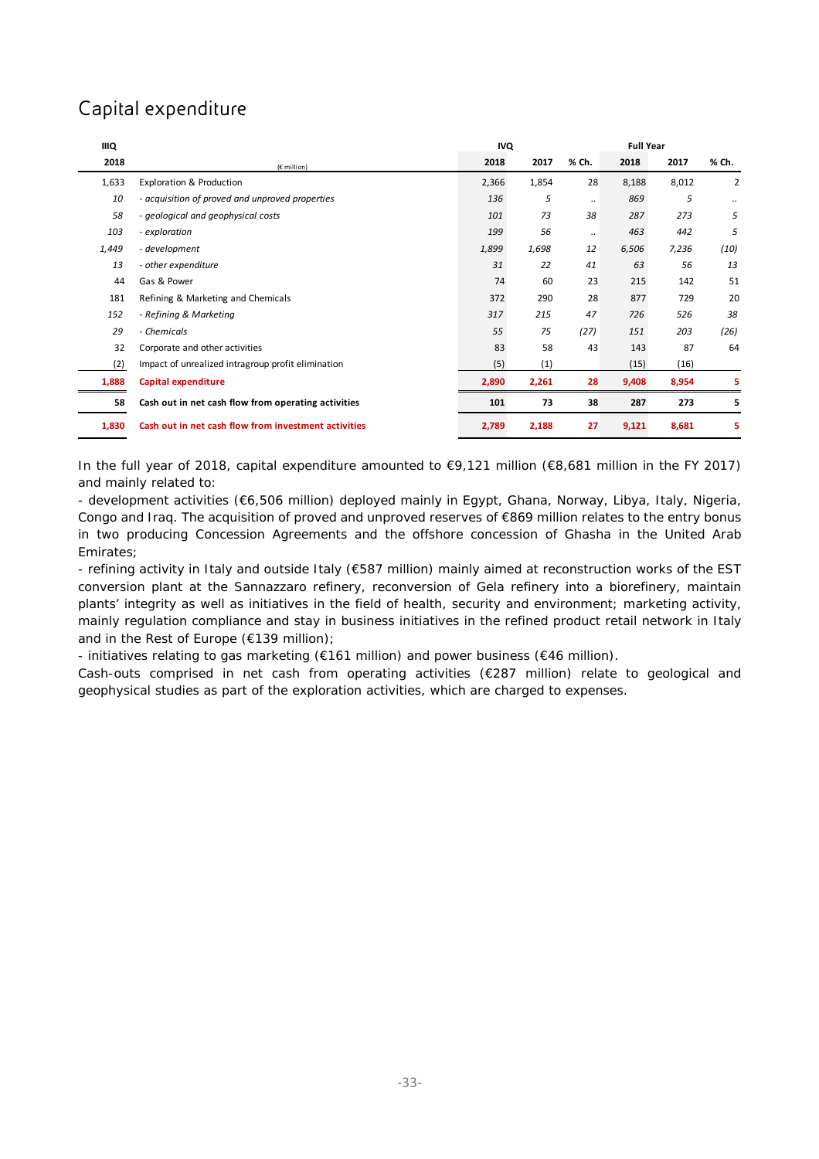## Capital expenditure

| <b>IIIQ</b> |                                                      | <b>IVQ</b> |       | <b>Full Year</b> |       |       |                |
|-------------|------------------------------------------------------|------------|-------|------------------|-------|-------|----------------|
| 2018        | (€ million)                                          | 2018       | 2017  | % Ch.            | 2018  | 2017  | % Ch.          |
| 1,633       | <b>Exploration &amp; Production</b>                  | 2,366      | 1,854 | 28               | 8,188 | 8,012 | $\overline{2}$ |
| 10          | - acquisition of proved and unproved properties      | 136        | 5     |                  | 869   | 5     |                |
| 58          | - geological and geophysical costs                   | 101        | 73    | 38               | 287   | 273   | 5              |
| 103         | - exploration                                        | 199        | 56    |                  | 463   | 442   | 5              |
| 1,449       | - development                                        | 1,899      | 1,698 | 12               | 6,506 | 7,236 | (10)           |
| 13          | - other expenditure                                  | 31         | 22    | 41               | 63    | 56    | 13             |
| 44          | Gas & Power                                          | 74         | 60    | 23               | 215   | 142   | 51             |
| 181         | Refining & Marketing and Chemicals                   | 372        | 290   | 28               | 877   | 729   | 20             |
| 152         | - Refining & Marketing                               | 317        | 215   | 47               | 726   | 526   | 38             |
| 29          | - Chemicals                                          | 55         | 75    | (27)             | 151   | 203   | (26)           |
| 32          | Corporate and other activities                       | 83         | 58    | 43               | 143   | 87    | 64             |
| (2)         | Impact of unrealized intragroup profit elimination   | (5)        | (1)   |                  | (15)  | (16)  |                |
| 1,888       | Capital expenditure                                  | 2,890      | 2,261 | 28               | 9,408 | 8,954 | 5              |
| 58          | Cash out in net cash flow from operating activities  | 101        | 73    | 38               | 287   | 273   | 5              |
| 1,830       | Cash out in net cash flow from investment activities | 2,789      | 2,188 | 27               | 9,121 | 8,681 | 5              |

In the full year of 2018, capital expenditure amounted to €9,121 million (€8,681 million in the FY 2017) and mainly related to:

- development activities (€6,506 million) deployed mainly in Egypt, Ghana, Norway, Libya, Italy, Nigeria, Congo and Iraq. The acquisition of proved and unproved reserves of €869 million relates to the entry bonus in two producing Concession Agreements and the offshore concession of Ghasha in the United Arab Emirates;

- refining activity in Italy and outside Italy (€587 million) mainly aimed at reconstruction works of the EST conversion plant at the Sannazzaro refinery, reconversion of Gela refinery into a biorefinery, maintain plants' integrity as well as initiatives in the field of health, security and environment; marketing activity, mainly regulation compliance and stay in business initiatives in the refined product retail network in Italy and in the Rest of Europe (€139 million);

- initiatives relating to gas marketing ( $€161$  million) and power business ( $€46$  million).

Cash-outs comprised in net cash from operating activities (€287 million) relate to geological and geophysical studies as part of the exploration activities, which are charged to expenses.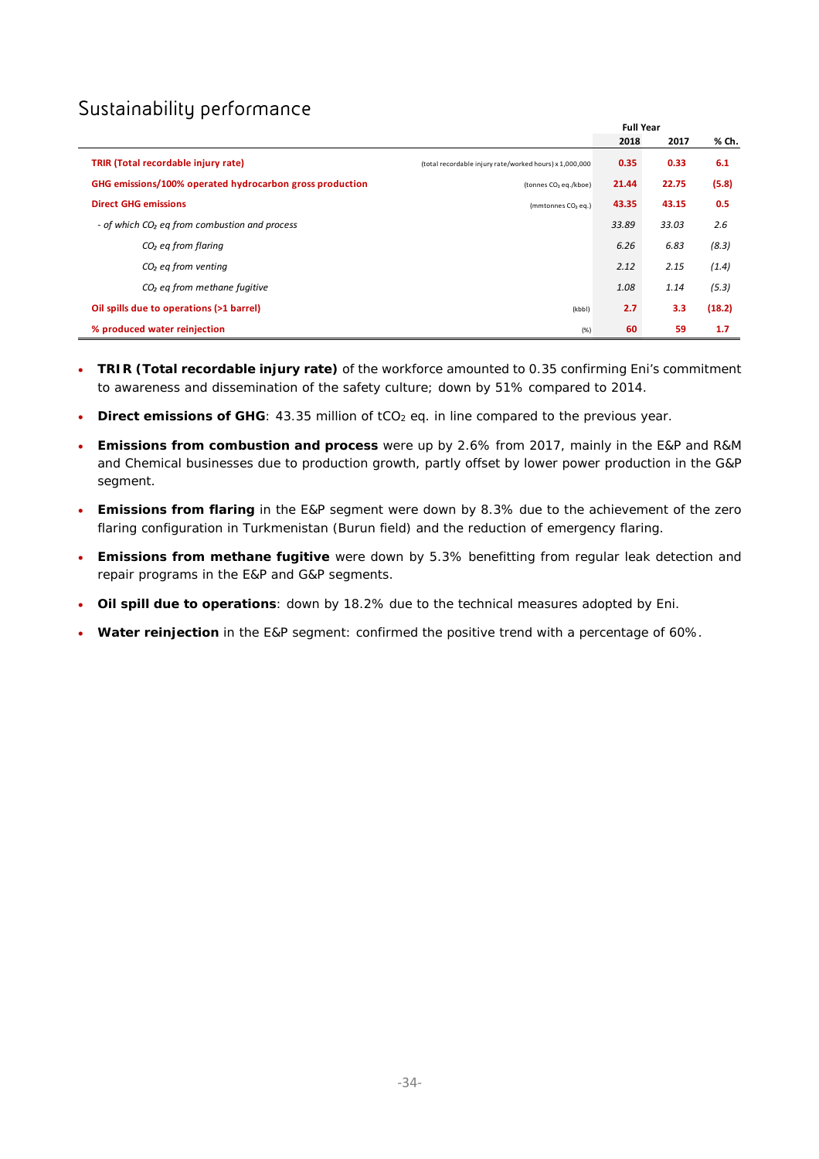## Sustainability performance

|                                                           |                                                         | <b>Full Year</b> |       |        |
|-----------------------------------------------------------|---------------------------------------------------------|------------------|-------|--------|
|                                                           |                                                         | 2018             | 2017  | % Ch.  |
| <b>TRIR (Total recordable injury rate)</b>                | (total recordable injury rate/worked hours) x 1,000,000 | 0.35             | 0.33  | 6.1    |
| GHG emissions/100% operated hydrocarbon gross production  | (tonnes CO <sub>2</sub> eq./kboe)                       | 21.44            | 22.75 | (5.8)  |
| <b>Direct GHG emissions</b>                               | (mmtonnes CO <sub>2</sub> eq.)                          | 43.35            | 43.15 | 0.5    |
| - of which CO <sub>2</sub> eq from combustion and process |                                                         | 33.89            | 33.03 | 2.6    |
| $CO2$ eq from flaring                                     |                                                         | 6.26             | 6.83  | (8.3)  |
| $CO2$ eg from venting                                     |                                                         | 2.12             | 2.15  | (1.4)  |
| $CO2$ eg from methane fugitive                            |                                                         | 1.08             | 1.14  | (5.3)  |
| Oil spills due to operations (>1 barrel)                  | (kbbl)                                                  | 2.7              | 3.3   | (18.2) |
| % produced water reinjection                              | (% )                                                    | 60               | 59    | 1.7    |

- **TRIR (Total recordable injury rate)** of the workforce amounted to 0.35 confirming Eni's commitment to awareness and dissemination of the safety culture; down by 51% compared to 2014.
- **Direct emissions of GHG**: 43.35 million of tCO<sub>2</sub> eq. in line compared to the previous year.
- **Emissions from combustion and process** were up by 2.6% from 2017, mainly in the E&P and R&M and Chemical businesses due to production growth, partly offset by lower power production in the G&P segment.
- **Emissions from flaring** in the E&P segment were down by 8.3% due to the achievement of the zero flaring configuration in Turkmenistan (Burun field) and the reduction of emergency flaring.
- **Emissions from methane fugitive** were down by 5.3% benefitting from regular leak detection and repair programs in the E&P and G&P segments.
- **Oil spill due to operations**: down by 18.2% due to the technical measures adopted by Eni.
- **Water reinjection** in the E&P segment: confirmed the positive trend with a percentage of 60%.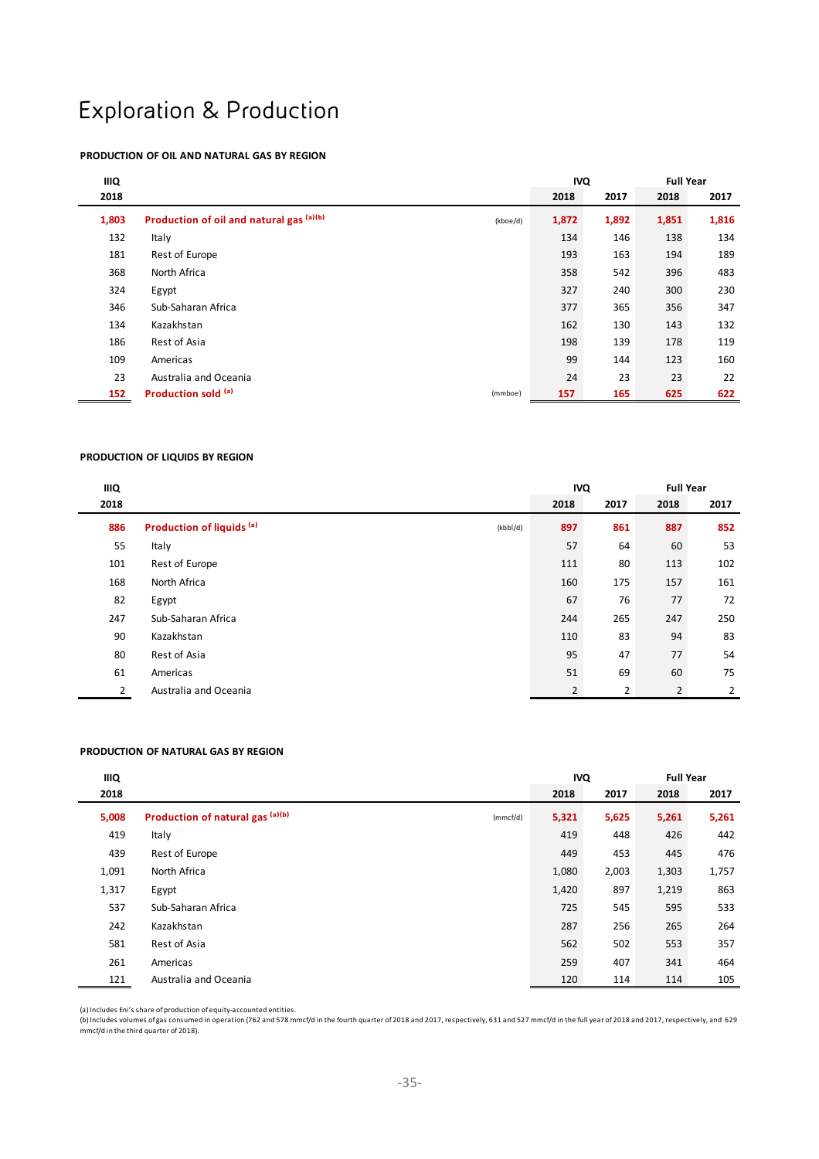# Exploration & Production

#### **PRODUCTION OF OIL AND NATURAL GAS BY REGION**

| <b>IIIQ</b> |                                          | <b>IVQ</b> |       | <b>Full Year</b> |       |       |
|-------------|------------------------------------------|------------|-------|------------------|-------|-------|
| 2018        |                                          |            | 2018  | 2017             | 2018  | 2017  |
| 1,803       | Production of oil and natural gas (a)(b) | (kboe/d)   | 1,872 | 1,892            | 1,851 | 1,816 |
| 132         | Italy                                    |            | 134   | 146              | 138   | 134   |
| 181         | Rest of Europe                           |            | 193   | 163              | 194   | 189   |
| 368         | North Africa                             |            | 358   | 542              | 396   | 483   |
| 324         | Egypt                                    |            | 327   | 240              | 300   | 230   |
| 346         | Sub-Saharan Africa                       |            | 377   | 365              | 356   | 347   |
| 134         | Kazakhstan                               |            | 162   | 130              | 143   | 132   |
| 186         | Rest of Asia                             |            | 198   | 139              | 178   | 119   |
| 109         | Americas                                 |            | 99    | 144              | 123   | 160   |
| 23          | Australia and Oceania                    |            | 24    | 23               | 23    | 22    |
| 152         | Production sold (a)                      | (mmboe)    | 157   | 165              | 625   | 622   |

#### **PRODUCTION OF LIQUIDS BY REGION**

| IIIQ |                                                  | <b>Full Year</b><br><b>IVQ</b> |      |                |      |
|------|--------------------------------------------------|--------------------------------|------|----------------|------|
| 2018 |                                                  | 2018                           | 2017 | 2018           | 2017 |
| 886  | Production of liquids <sup>(a)</sup><br>(kbbI/d) | 897                            | 861  | 887            | 852  |
| 55   | Italy                                            | 57                             | 64   | 60             | 53   |
| 101  | Rest of Europe                                   | 111                            | 80   | 113            | 102  |
| 168  | North Africa                                     | 160                            | 175  | 157            | 161  |
| 82   | Egypt                                            | 67                             | 76   | 77             | 72   |
| 247  | Sub-Saharan Africa                               | 244                            | 265  | 247            | 250  |
| 90   | Kazakhstan                                       | 110                            | 83   | 94             | 83   |
| 80   | Rest of Asia                                     | 95                             | 47   | 77             | 54   |
| 61   | Americas                                         | 51                             | 69   | 60             | 75   |
| 2    | Australia and Oceania                            | $\overline{2}$                 | 2    | $\overline{2}$ | 2    |

#### **PRODUCTION OF NATURAL GAS BY REGION**

| IIIQ  |                                              | <b>IVQ</b> |       | <b>Full Year</b> |       |
|-------|----------------------------------------------|------------|-------|------------------|-------|
| 2018  |                                              | 2018       | 2017  | 2018             | 2017  |
| 5,008 | Production of natural gas (a)(b)<br>(mmcf/d) | 5,321      | 5,625 | 5,261            | 5,261 |
| 419   | Italy                                        | 419        | 448   | 426              | 442   |
| 439   | Rest of Europe                               | 449        | 453   | 445              | 476   |
| 1,091 | North Africa                                 | 1,080      | 2,003 | 1,303            | 1,757 |
| 1,317 | Egypt                                        | 1,420      | 897   | 1,219            | 863   |
| 537   | Sub-Saharan Africa                           | 725        | 545   | 595              | 533   |
| 242   | Kazakhstan                                   | 287        | 256   | 265              | 264   |
| 581   | Rest of Asia                                 | 562        | 502   | 553              | 357   |
| 261   | Americas                                     | 259        | 407   | 341              | 464   |
| 121   | Australia and Oceania                        | 120        | 114   | 114              | 105   |

(a) Includes Eni's share of production of equity‐accounted entities.

(b) Includes volumes ofgas consumed in operation (762 and 578 mmcf/d in the fourth quarter of 2018 and 2017, respectively, 631 and 527 mmcf/d in the full year of 2018 and 2017, respectively, and 629<br>mmcf/d in the third qua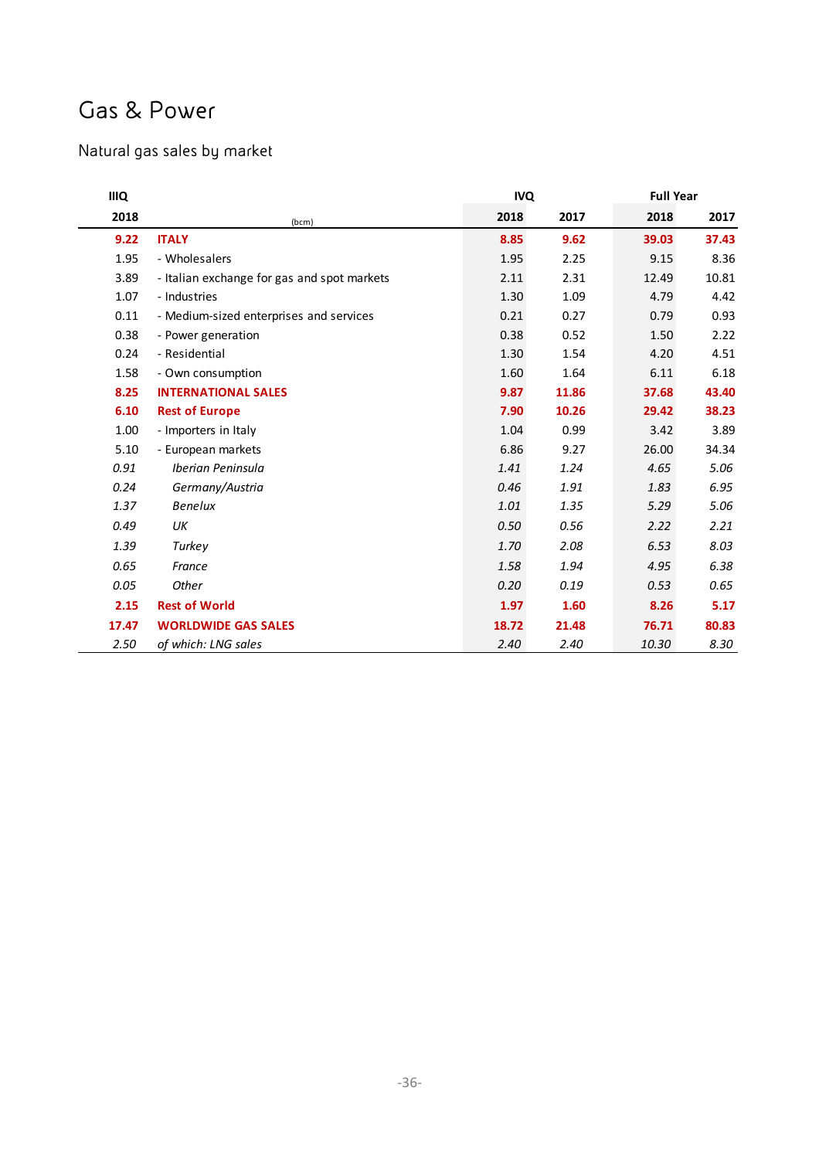# Gas & Power

## Natural gas sales by market

| <b>IIIQ</b> |                                             |       | <b>IVQ</b> |       | <b>Full Year</b> |
|-------------|---------------------------------------------|-------|------------|-------|------------------|
| 2018        | (bcm)                                       | 2018  | 2017       | 2018  | 2017             |
| 9.22        | <b>ITALY</b>                                | 8.85  | 9.62       | 39.03 | 37.43            |
| 1.95        | - Wholesalers                               | 1.95  | 2.25       | 9.15  | 8.36             |
| 3.89        | - Italian exchange for gas and spot markets | 2.11  | 2.31       | 12.49 | 10.81            |
| 1.07        | - Industries                                | 1.30  | 1.09       | 4.79  | 4.42             |
| 0.11        | - Medium-sized enterprises and services     | 0.21  | 0.27       | 0.79  | 0.93             |
| 0.38        | - Power generation                          | 0.38  | 0.52       | 1.50  | 2.22             |
| 0.24        | - Residential                               | 1.30  | 1.54       | 4.20  | 4.51             |
| 1.58        | - Own consumption                           | 1.60  | 1.64       | 6.11  | 6.18             |
| 8.25        | <b>INTERNATIONAL SALES</b>                  | 9.87  | 11.86      | 37.68 | 43.40            |
| 6.10        | <b>Rest of Europe</b>                       | 7.90  | 10.26      | 29.42 | 38.23            |
| 1.00        | - Importers in Italy                        | 1.04  | 0.99       | 3.42  | 3.89             |
| 5.10        | - European markets                          | 6.86  | 9.27       | 26.00 | 34.34            |
| 0.91        | Iberian Peninsula                           | 1.41  | 1.24       | 4.65  | 5.06             |
| 0.24        | Germany/Austria                             | 0.46  | 1.91       | 1.83  | 6.95             |
| 1.37        | <b>Benelux</b>                              | 1.01  | 1.35       | 5.29  | 5.06             |
| 0.49        | UK                                          | 0.50  | 0.56       | 2.22  | 2.21             |
| 1.39        | Turkey                                      | 1.70  | 2.08       | 6.53  | 8.03             |
| 0.65        | France                                      | 1.58  | 1.94       | 4.95  | 6.38             |
| 0.05        | Other                                       | 0.20  | 0.19       | 0.53  | 0.65             |
| 2.15        | <b>Rest of World</b>                        | 1.97  | 1.60       | 8.26  | 5.17             |
| 17.47       | <b>WORLDWIDE GAS SALES</b>                  | 18.72 | 21.48      | 76.71 | 80.83            |
| 2.50        | of which: LNG sales                         | 2.40  | 2.40       | 10.30 | 8.30             |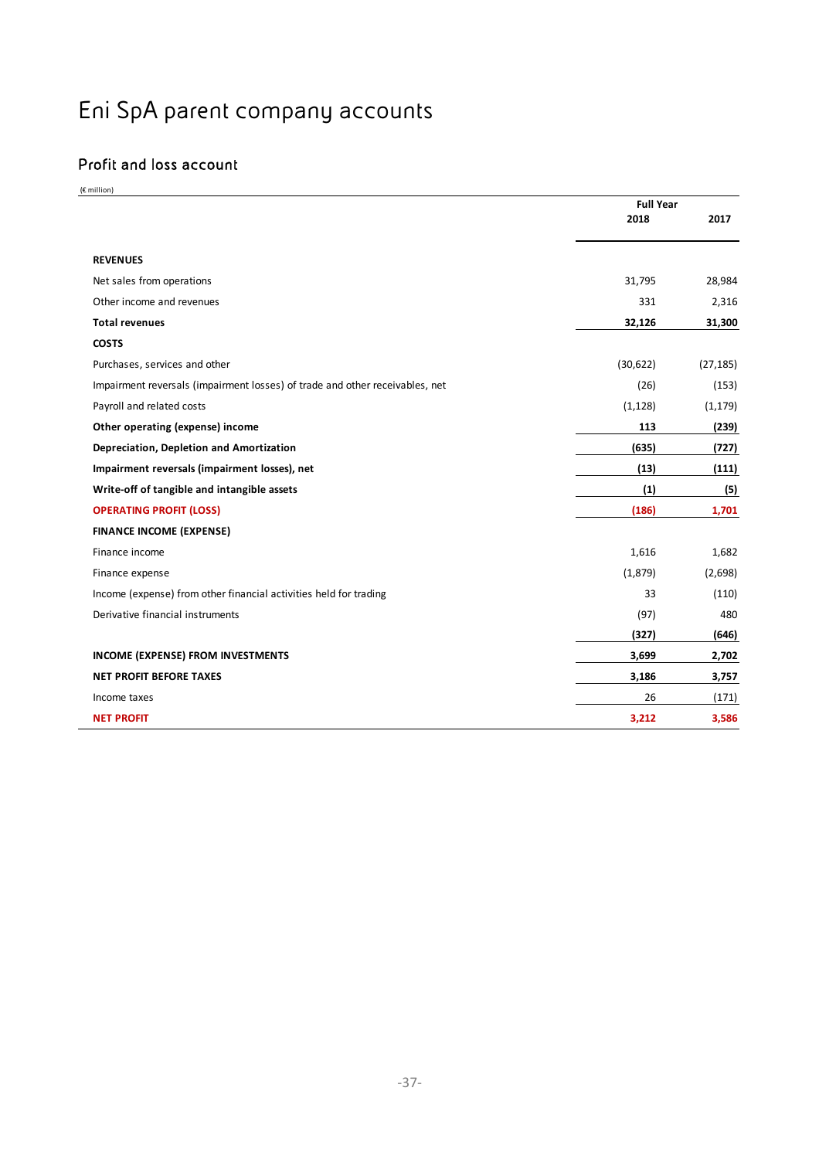# Eni SpA parent company accounts

## Profit and loss account

(€ million)

|                                                                              | <b>Full Year</b> |           |
|------------------------------------------------------------------------------|------------------|-----------|
|                                                                              | 2018             | 2017      |
|                                                                              |                  |           |
| <b>REVENUES</b>                                                              |                  |           |
| Net sales from operations                                                    | 31,795           | 28,984    |
| Other income and revenues                                                    | 331              | 2,316     |
| <b>Total revenues</b>                                                        | 32,126           | 31,300    |
| <b>COSTS</b>                                                                 |                  |           |
| Purchases, services and other                                                | (30, 622)        | (27, 185) |
| Impairment reversals (impairment losses) of trade and other receivables, net | (26)             | (153)     |
| Payroll and related costs                                                    | (1, 128)         | (1, 179)  |
| Other operating (expense) income                                             | 113              | (239)     |
| Depreciation, Depletion and Amortization                                     | (635)            | (727)     |
| Impairment reversals (impairment losses), net                                | (13)             | (111)     |
| Write-off of tangible and intangible assets                                  | (1)              | (5)       |
| <b>OPERATING PROFIT (LOSS)</b>                                               | (186)            | 1,701     |
| <b>FINANCE INCOME (EXPENSE)</b>                                              |                  |           |
| Finance income                                                               | 1,616            | 1,682     |
| Finance expense                                                              | (1,879)          | (2,698)   |
| Income (expense) from other financial activities held for trading            | 33               | (110)     |
| Derivative financial instruments                                             | (97)             | 480       |
|                                                                              | (327)            | (646)     |
| <b>INCOME (EXPENSE) FROM INVESTMENTS</b>                                     | 3,699            | 2,702     |
| <b>NET PROFIT BEFORE TAXES</b>                                               | 3,186            | 3,757     |
| Income taxes                                                                 | 26               | (171)     |
| <b>NET PROFIT</b>                                                            | 3,212            | 3,586     |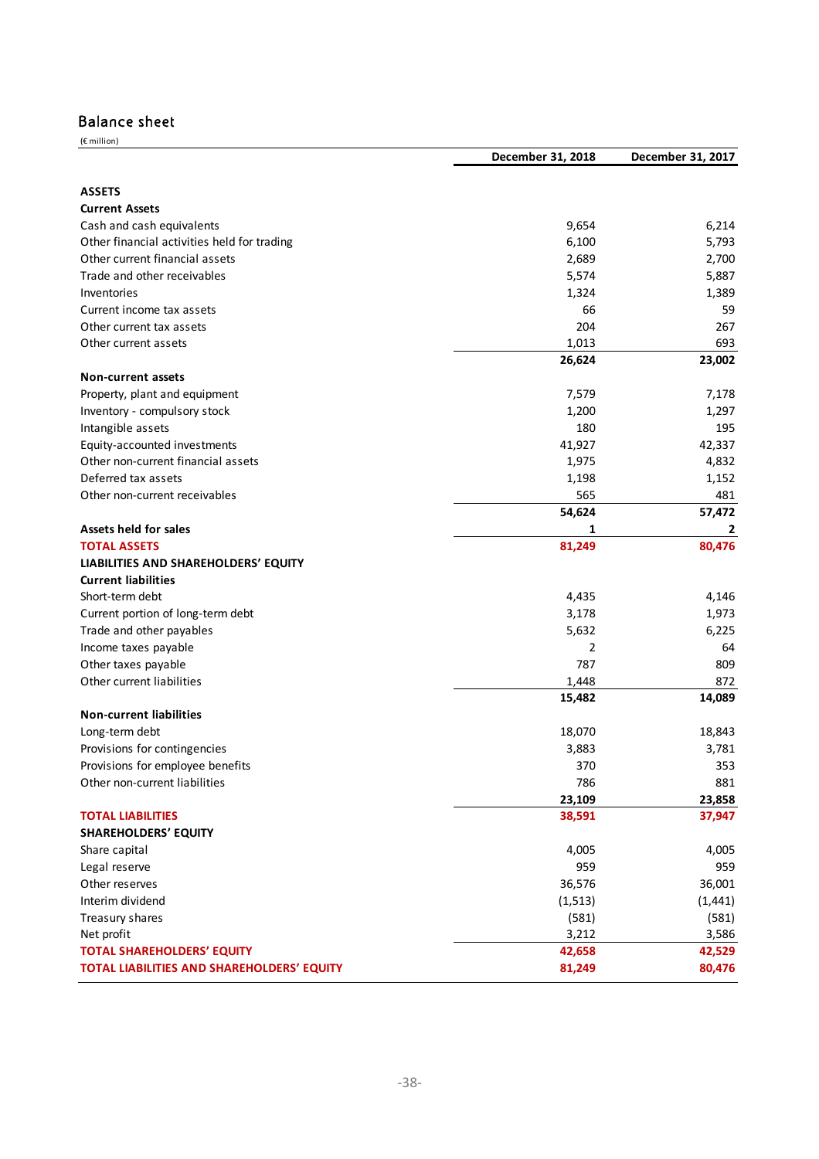### Balance sheet

| (€ million)                                 | December 31, 2018 | December 31, 2017 |
|---------------------------------------------|-------------------|-------------------|
|                                             |                   |                   |
| <b>ASSETS</b>                               |                   |                   |
| <b>Current Assets</b>                       |                   |                   |
| Cash and cash equivalents                   | 9,654             | 6,214             |
| Other financial activities held for trading | 6,100             | 5,793             |
| Other current financial assets              | 2,689             | 2,700             |
| Trade and other receivables                 | 5,574             | 5,887             |
| Inventories                                 | 1,324             | 1,389             |
| Current income tax assets                   | 66                | 59                |
| Other current tax assets                    | 204               | 267               |
| Other current assets                        | 1,013             | 693               |
|                                             | 26,624            | 23,002            |
| <b>Non-current assets</b>                   |                   |                   |
| Property, plant and equipment               | 7,579             | 7,178             |
| Inventory - compulsory stock                | 1,200             | 1,297             |
| Intangible assets                           | 180               | 195               |
| Equity-accounted investments                | 41,927            | 42,337            |
| Other non-current financial assets          | 1,975             | 4,832             |
| Deferred tax assets                         | 1,198             | 1,152             |
| Other non-current receivables               | 565               | 481               |
|                                             | 54,624            | 57,472            |
| <b>Assets held for sales</b>                | 1                 | 2                 |
| <b>TOTAL ASSETS</b>                         | 81,249            | 80,476            |
| LIABILITIES AND SHAREHOLDERS' EQUITY        |                   |                   |
| <b>Current liabilities</b>                  |                   |                   |
| Short-term debt                             | 4,435             | 4,146             |
| Current portion of long-term debt           | 3,178             | 1,973             |
| Trade and other payables                    | 5,632             | 6,225             |
| Income taxes payable                        | $\overline{2}$    | 64                |
| Other taxes payable                         | 787               | 809               |
| Other current liabilities                   | 1,448             | 872               |
|                                             | 15,482            | 14,089            |
| <b>Non-current liabilities</b>              |                   |                   |
| Long-term debt                              | 18,070            | 18,843            |
| Provisions for contingencies                | 3,883             | 3,781             |
| Provisions for employee benefits            | 370               | 353               |
| Other non-current liabilities               | 786               | 881               |
|                                             | 23,109            | 23,858            |
| <b>TOTAL LIABILITIES</b>                    | 38,591            | 37,947            |
| <b>SHAREHOLDERS' EQUITY</b>                 |                   |                   |
| Share capital                               | 4,005             | 4,005             |
| Legal reserve                               | 959               | 959               |
| Other reserves                              | 36,576            | 36,001            |
| Interim dividend                            | (1, 513)          | (1, 441)          |
| Treasury shares                             | (581)             | (581)             |
| Net profit                                  | 3,212             | 3,586             |
| <b>TOTAL SHAREHOLDERS' EQUITY</b>           | 42,658            | 42,529            |
| TOTAL LIABILITIES AND SHAREHOLDERS' EQUITY  | 81,249            | 80,476            |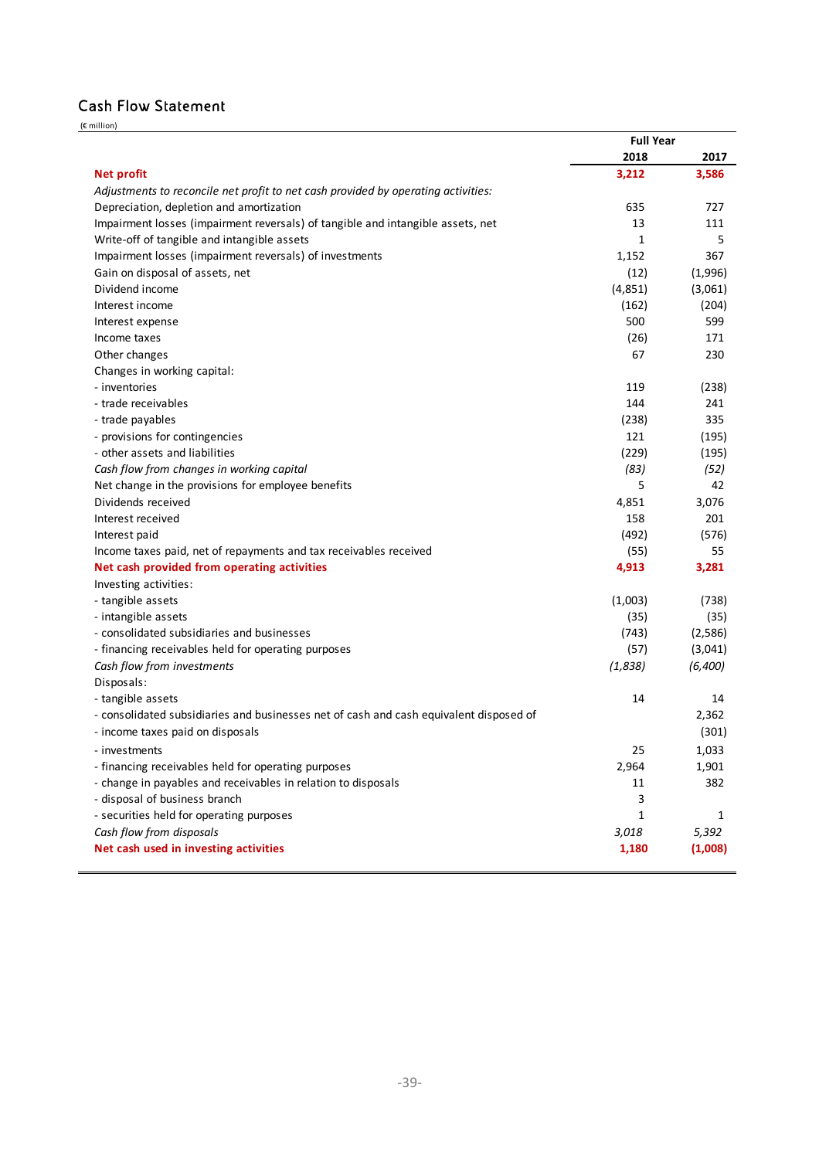## Cash Flow Statement

(€ million)

|                                                                                        | <b>Full Year</b> |         |
|----------------------------------------------------------------------------------------|------------------|---------|
|                                                                                        | 2018             | 2017    |
| <b>Net profit</b>                                                                      | 3,212            | 3,586   |
| Adjustments to reconcile net profit to net cash provided by operating activities:      |                  |         |
| Depreciation, depletion and amortization                                               | 635              | 727     |
| Impairment losses (impairment reversals) of tangible and intangible assets, net        | 13               | 111     |
| Write-off of tangible and intangible assets                                            | 1                | 5       |
| Impairment losses (impairment reversals) of investments                                | 1,152            | 367     |
| Gain on disposal of assets, net                                                        | (12)             | (1,996) |
| Dividend income                                                                        | (4,851)          | (3,061) |
| Interest income                                                                        | (162)            | (204)   |
| Interest expense                                                                       | 500              | 599     |
| Income taxes                                                                           | (26)             | 171     |
| Other changes                                                                          | 67               | 230     |
| Changes in working capital:                                                            |                  |         |
| - inventories                                                                          | 119              | (238)   |
| - trade receivables                                                                    | 144              | 241     |
| - trade payables                                                                       | (238)            | 335     |
| - provisions for contingencies                                                         | 121              | (195)   |
| - other assets and liabilities                                                         | (229)            | (195)   |
| Cash flow from changes in working capital                                              | (83)             | (52)    |
| Net change in the provisions for employee benefits                                     | 5                | 42      |
| Dividends received                                                                     | 4,851            | 3,076   |
| Interest received                                                                      | 158              | 201     |
| Interest paid                                                                          | (492)            | (576)   |
| Income taxes paid, net of repayments and tax receivables received                      | (55)             | 55      |
| Net cash provided from operating activities                                            | 4,913            | 3,281   |
| Investing activities:                                                                  |                  |         |
| - tangible assets                                                                      | (1,003)          | (738)   |
| - intangible assets                                                                    | (35)             | (35)    |
| - consolidated subsidiaries and businesses                                             | (743)            | (2,586) |
| - financing receivables held for operating purposes                                    | (57)             | (3,041) |
| Cash flow from investments                                                             | (1,838)          | (6,400) |
| Disposals:                                                                             |                  |         |
| - tangible assets                                                                      | 14               | 14      |
| - consolidated subsidiaries and businesses net of cash and cash equivalent disposed of |                  | 2,362   |
| - income taxes paid on disposals                                                       |                  | (301)   |
| - investments                                                                          | 25               | 1,033   |
| - financing receivables held for operating purposes                                    | 2,964            | 1,901   |
| - change in payables and receivables in relation to disposals                          | 11               | 382     |
| - disposal of business branch                                                          | 3                |         |
| - securities held for operating purposes                                               | 1                | 1       |
| Cash flow from disposals                                                               | 3,018            | 5,392   |
| Net cash used in investing activities                                                  | 1,180            | (1,008) |
|                                                                                        |                  |         |